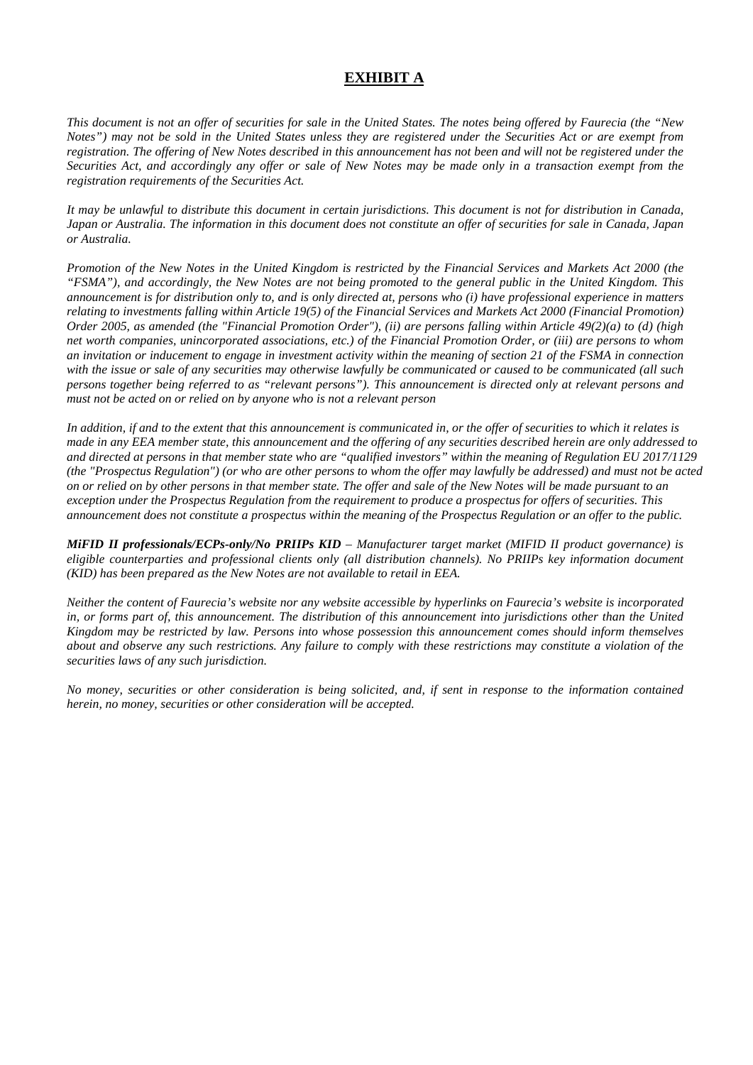# **EXHIBIT A**

*This document is not an offer of securities for sale in the United States. The notes being offered by Faurecia (the "New Notes") may not be sold in the United States unless they are registered under the Securities Act or are exempt from registration. The offering of New Notes described in this announcement has not been and will not be registered under the Securities Act, and accordingly any offer or sale of New Notes may be made only in a transaction exempt from the registration requirements of the Securities Act.* 

*It may be unlawful to distribute this document in certain jurisdictions. This document is not for distribution in Canada, Japan or Australia. The information in this document does not constitute an offer of securities for sale in Canada, Japan or Australia.* 

*Promotion of the New Notes in the United Kingdom is restricted by the Financial Services and Markets Act 2000 (the "FSMA"), and accordingly, the New Notes are not being promoted to the general public in the United Kingdom. This announcement is for distribution only to, and is only directed at, persons who (i) have professional experience in matters relating to investments falling within Article 19(5) of the Financial Services and Markets Act 2000 (Financial Promotion) Order 2005, as amended (the "Financial Promotion Order"), (ii) are persons falling within Article 49(2)(a) to (d) (high net worth companies, unincorporated associations, etc.) of the Financial Promotion Order, or (iii) are persons to whom an invitation or inducement to engage in investment activity within the meaning of section 21 of the FSMA in connection with the issue or sale of any securities may otherwise lawfully be communicated or caused to be communicated (all such persons together being referred to as "relevant persons"). This announcement is directed only at relevant persons and must not be acted on or relied on by anyone who is not a relevant person* 

*In addition, if and to the extent that this announcement is communicated in, or the offer of securities to which it relates is made in any EEA member state, this announcement and the offering of any securities described herein are only addressed to and directed at persons in that member state who are "qualified investors" within the meaning of Regulation EU 2017/1129 (the "Prospectus Regulation") (or who are other persons to whom the offer may lawfully be addressed) and must not be acted on or relied on by other persons in that member state. The offer and sale of the New Notes will be made pursuant to an exception under the Prospectus Regulation from the requirement to produce a prospectus for offers of securities. This announcement does not constitute a prospectus within the meaning of the Prospectus Regulation or an offer to the public.* 

*MiFID II professionals/ECPs-only/No PRIIPs KID – Manufacturer target market (MIFID II product governance) is eligible counterparties and professional clients only (all distribution channels). No PRIIPs key information document (KID) has been prepared as the New Notes are not available to retail in EEA.*

*Neither the content of Faurecia's website nor any website accessible by hyperlinks on Faurecia's website is incorporated in, or forms part of, this announcement. The distribution of this announcement into jurisdictions other than the United Kingdom may be restricted by law. Persons into whose possession this announcement comes should inform themselves about and observe any such restrictions. Any failure to comply with these restrictions may constitute a violation of the securities laws of any such jurisdiction.* 

*No money, securities or other consideration is being solicited, and, if sent in response to the information contained herein, no money, securities or other consideration will be accepted.*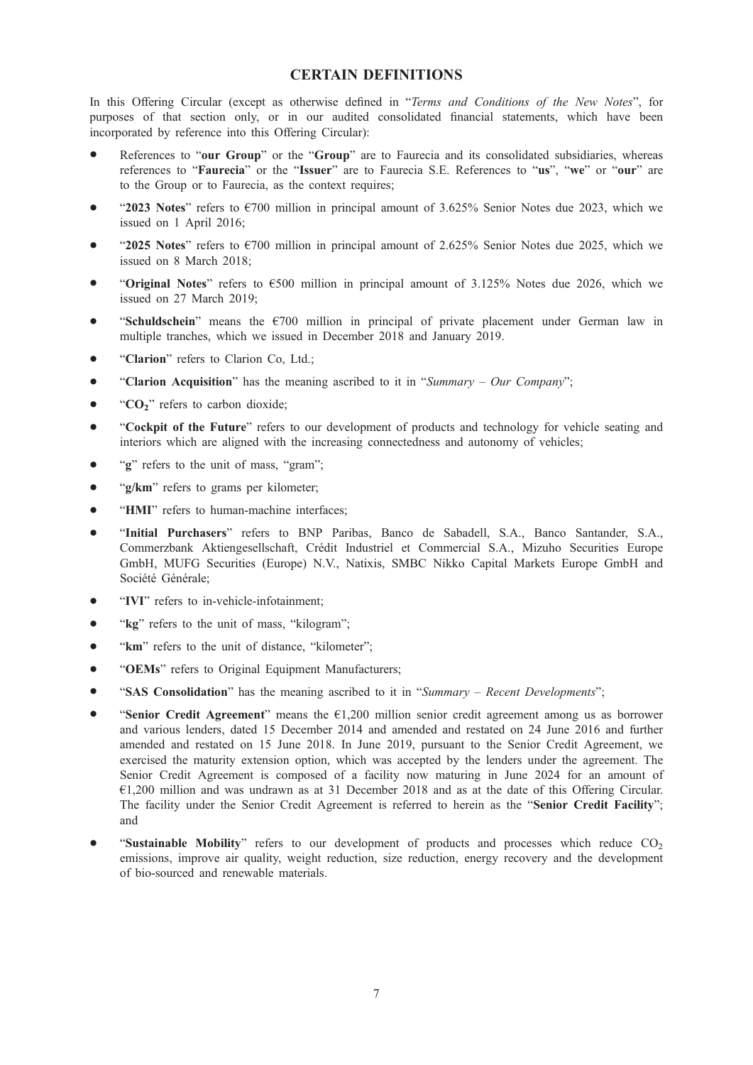# CERTAIN DEFINITIONS

In this Offering Circular (except as otherwise defined in "Terms and Conditions of the New Notes", for purposes of that section only, or in our audited consolidated financial statements, which have been incorporated by reference into this Offering Circular):

- References to "our Group" or the "Group" are to Faurecia and its consolidated subsidiaries, whereas references to "Faurecia" or the "Issuer" are to Faurecia S.E. References to "us", "we" or "our" are to the Group or to Faurecia, as the context requires;
- $\bullet$  "2023 Notes" refers to  $\epsilon$ 700 million in principal amount of 3.625% Senior Notes due 2023, which we issued on 1 April 2016;
- \* "2025 Notes" refers to €700 million in principal amount of 2.625% Senior Notes due 2025, which we issued on 8 March 2018;
- "Original Notes" refers to  $\epsilon$ 500 million in principal amount of 3.125% Notes due 2026, which we issued on 27 March 2019;
- "Schuldschein" means the €700 million in principal of private placement under German law in multiple tranches, which we issued in December 2018 and January 2019.
- "Clarion" refers to Clarion Co, Ltd.;
- "Clarion Acquisition" has the meaning ascribed to it in "Summary Our Company";
- $\bullet$  "CO<sub>2</sub>" refers to carbon dioxide;
- "Cockpit of the Future" refers to our development of products and technology for vehicle seating and interiors which are aligned with the increasing connectedness and autonomy of vehicles;
- $\bullet$  " $\circ$ " refers to the unit of mass, "gram";
- "g/km" refers to grams per kilometer;
- "HMI" refers to human-machine interfaces;
- \* "Initial Purchasers" refers to BNP Paribas, Banco de Sabadell, S.A., Banco Santander, S.A., Commerzbank Aktiengesellschaft, Crédit Industriel et Commercial S.A., Mizuho Securities Europe GmbH, MUFG Securities (Europe) N.V., Natixis, SMBC Nikko Capital Markets Europe GmbH and Société Générale;
- "IVI" refers to in-vehicle-infotainment:
- "kg" refers to the unit of mass, "kilogram";
- "km" refers to the unit of distance, "kilometer";
- "OEMs" refers to Original Equipment Manufacturers;
- "SAS Consolidation" has the meaning ascribed to it in "Summary Recent Developments";
- "Senior Credit Agreement" means the  $E1,200$  million senior credit agreement among us as borrower and various lenders, dated 15 December 2014 and amended and restated on 24 June 2016 and further amended and restated on 15 June 2018. In June 2019, pursuant to the Senior Credit Agreement, we exercised the maturity extension option, which was accepted by the lenders under the agreement. The Senior Credit Agreement is composed of a facility now maturing in June 2024 for an amount of €1,200 million and was undrawn as at 31 December 2018 and as at the date of this Offering Circular. The facility under the Senior Credit Agreement is referred to herein as the "Senior Credit Facility"; and
- "Sustainable Mobility" refers to our development of products and processes which reduce  $CO<sub>2</sub>$ emissions, improve air quality, weight reduction, size reduction, energy recovery and the development of bio-sourced and renewable materials.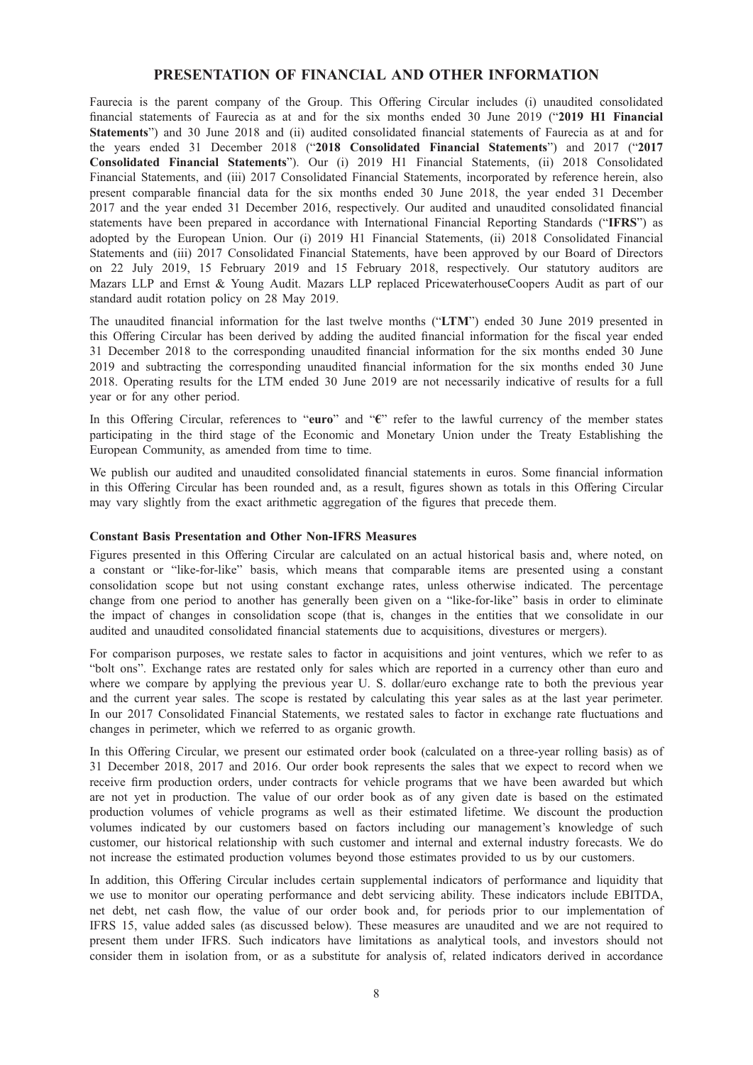## PRESENTATION OF FINANCIAL AND OTHER INFORMATION

Faurecia is the parent company of the Group. This Offering Circular includes (i) unaudited consolidated financial statements of Faurecia as at and for the six months ended 30 June 2019 ("2019 H1 Financial Statements") and 30 June 2018 and (ii) audited consolidated financial statements of Faurecia as at and for the years ended 31 December 2018 ("2018 Consolidated Financial Statements") and 2017 ("2017 Consolidated Financial Statements"). Our (i) 2019 H1 Financial Statements, (ii) 2018 Consolidated Financial Statements, and (iii) 2017 Consolidated Financial Statements, incorporated by reference herein, also present comparable financial data for the six months ended 30 June 2018, the year ended 31 December 2017 and the year ended 31 December 2016, respectively. Our audited and unaudited consolidated financial statements have been prepared in accordance with International Financial Reporting Standards ("IFRS") as adopted by the European Union. Our (i) 2019 H1 Financial Statements, (ii) 2018 Consolidated Financial Statements and (iii) 2017 Consolidated Financial Statements, have been approved by our Board of Directors on 22 July 2019, 15 February 2019 and 15 February 2018, respectively. Our statutory auditors are Mazars LLP and Ernst & Young Audit. Mazars LLP replaced PricewaterhouseCoopers Audit as part of our standard audit rotation policy on 28 May 2019.

The unaudited financial information for the last twelve months ("LTM") ended 30 June 2019 presented in this Offering Circular has been derived by adding the audited financial information for the fiscal year ended 31 December 2018 to the corresponding unaudited financial information for the six months ended 30 June 2019 and subtracting the corresponding unaudited financial information for the six months ended 30 June 2018. Operating results for the LTM ended 30 June 2019 are not necessarily indicative of results for a full year or for any other period.

In this Offering Circular, references to "euro" and "€" refer to the lawful currency of the member states participating in the third stage of the Economic and Monetary Union under the Treaty Establishing the European Community, as amended from time to time.

We publish our audited and unaudited consolidated financial statements in euros. Some financial information in this Offering Circular has been rounded and, as a result, figures shown as totals in this Offering Circular may vary slightly from the exact arithmetic aggregation of the figures that precede them.

## Constant Basis Presentation and Other Non-IFRS Measures

Figures presented in this Offering Circular are calculated on an actual historical basis and, where noted, on a constant or "like-for-like" basis, which means that comparable items are presented using a constant consolidation scope but not using constant exchange rates, unless otherwise indicated. The percentage change from one period to another has generally been given on a "like-for-like" basis in order to eliminate the impact of changes in consolidation scope (that is, changes in the entities that we consolidate in our audited and unaudited consolidated financial statements due to acquisitions, divestures or mergers).

For comparison purposes, we restate sales to factor in acquisitions and joint ventures, which we refer to as "bolt ons". Exchange rates are restated only for sales which are reported in a currency other than euro and where we compare by applying the previous year U. S. dollar/euro exchange rate to both the previous year and the current year sales. The scope is restated by calculating this year sales as at the last year perimeter. In our 2017 Consolidated Financial Statements, we restated sales to factor in exchange rate fluctuations and changes in perimeter, which we referred to as organic growth.

In this Offering Circular, we present our estimated order book (calculated on a three-year rolling basis) as of 31 December 2018, 2017 and 2016. Our order book represents the sales that we expect to record when we receive firm production orders, under contracts for vehicle programs that we have been awarded but which are not yet in production. The value of our order book as of any given date is based on the estimated production volumes of vehicle programs as well as their estimated lifetime. We discount the production volumes indicated by our customers based on factors including our management's knowledge of such customer, our historical relationship with such customer and internal and external industry forecasts. We do not increase the estimated production volumes beyond those estimates provided to us by our customers.

In addition, this Offering Circular includes certain supplemental indicators of performance and liquidity that we use to monitor our operating performance and debt servicing ability. These indicators include EBITDA, net debt, net cash flow, the value of our order book and, for periods prior to our implementation of IFRS 15, value added sales (as discussed below). These measures are unaudited and we are not required to present them under IFRS. Such indicators have limitations as analytical tools, and investors should not consider them in isolation from, or as a substitute for analysis of, related indicators derived in accordance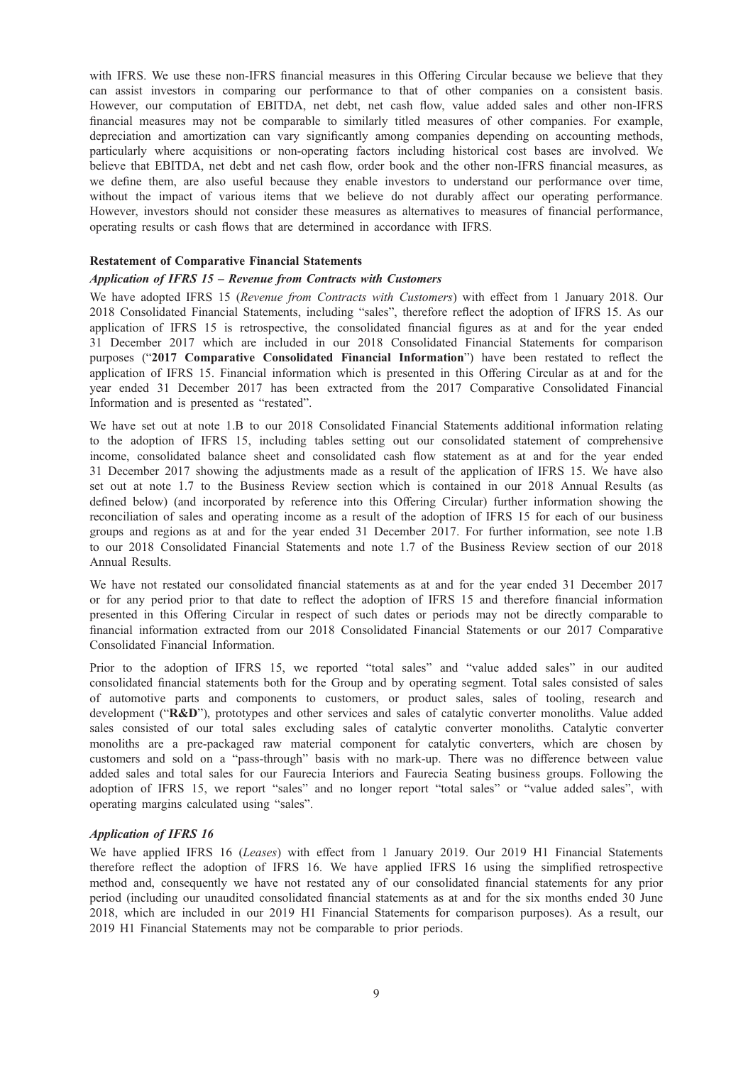with IFRS. We use these non-IFRS financial measures in this Offering Circular because we believe that they can assist investors in comparing our performance to that of other companies on a consistent basis. However, our computation of EBITDA, net debt, net cash flow, value added sales and other non-IFRS financial measures may not be comparable to similarly titled measures of other companies. For example, depreciation and amortization can vary significantly among companies depending on accounting methods, particularly where acquisitions or non-operating factors including historical cost bases are involved. We believe that EBITDA, net debt and net cash flow, order book and the other non-IFRS financial measures, as we define them, are also useful because they enable investors to understand our performance over time, without the impact of various items that we believe do not durably affect our operating performance. However, investors should not consider these measures as alternatives to measures of financial performance, operating results or cash flows that are determined in accordance with IFRS.

## Restatement of Comparative Financial Statements

#### Application of IFRS 15 – Revenue from Contracts with Customers

We have adopted IFRS 15 (Revenue from Contracts with Customers) with effect from 1 January 2018. Our 2018 Consolidated Financial Statements, including "sales", therefore reflect the adoption of IFRS 15. As our application of IFRS 15 is retrospective, the consolidated financial figures as at and for the year ended 31 December 2017 which are included in our 2018 Consolidated Financial Statements for comparison purposes ("2017 Comparative Consolidated Financial Information") have been restated to reflect the application of IFRS 15. Financial information which is presented in this Offering Circular as at and for the year ended 31 December 2017 has been extracted from the 2017 Comparative Consolidated Financial Information and is presented as "restated".

We have set out at note 1.B to our 2018 Consolidated Financial Statements additional information relating to the adoption of IFRS 15, including tables setting out our consolidated statement of comprehensive income, consolidated balance sheet and consolidated cash flow statement as at and for the year ended 31 December 2017 showing the adjustments made as a result of the application of IFRS 15. We have also set out at note 1.7 to the Business Review section which is contained in our 2018 Annual Results (as defined below) (and incorporated by reference into this Offering Circular) further information showing the reconciliation of sales and operating income as a result of the adoption of IFRS 15 for each of our business groups and regions as at and for the year ended 31 December 2017. For further information, see note 1.B to our 2018 Consolidated Financial Statements and note 1.7 of the Business Review section of our 2018 Annual Results.

We have not restated our consolidated financial statements as at and for the year ended 31 December 2017 or for any period prior to that date to reflect the adoption of IFRS 15 and therefore financial information presented in this Offering Circular in respect of such dates or periods may not be directly comparable to financial information extracted from our 2018 Consolidated Financial Statements or our 2017 Comparative Consolidated Financial Information.

Prior to the adoption of IFRS 15, we reported "total sales" and "value added sales" in our audited consolidated financial statements both for the Group and by operating segment. Total sales consisted of sales of automotive parts and components to customers, or product sales, sales of tooling, research and development ("R&D"), prototypes and other services and sales of catalytic converter monoliths. Value added sales consisted of our total sales excluding sales of catalytic converter monoliths. Catalytic converter monoliths are a pre-packaged raw material component for catalytic converters, which are chosen by customers and sold on a "pass-through" basis with no mark-up. There was no difference between value added sales and total sales for our Faurecia Interiors and Faurecia Seating business groups. Following the adoption of IFRS 15, we report "sales" and no longer report "total sales" or "value added sales", with operating margins calculated using "sales".

### Application of IFRS 16

We have applied IFRS 16 (Leases) with effect from 1 January 2019. Our 2019 H1 Financial Statements therefore reflect the adoption of IFRS 16. We have applied IFRS 16 using the simplified retrospective method and, consequently we have not restated any of our consolidated financial statements for any prior period (including our unaudited consolidated financial statements as at and for the six months ended 30 June 2018, which are included in our 2019 H1 Financial Statements for comparison purposes). As a result, our 2019 H1 Financial Statements may not be comparable to prior periods.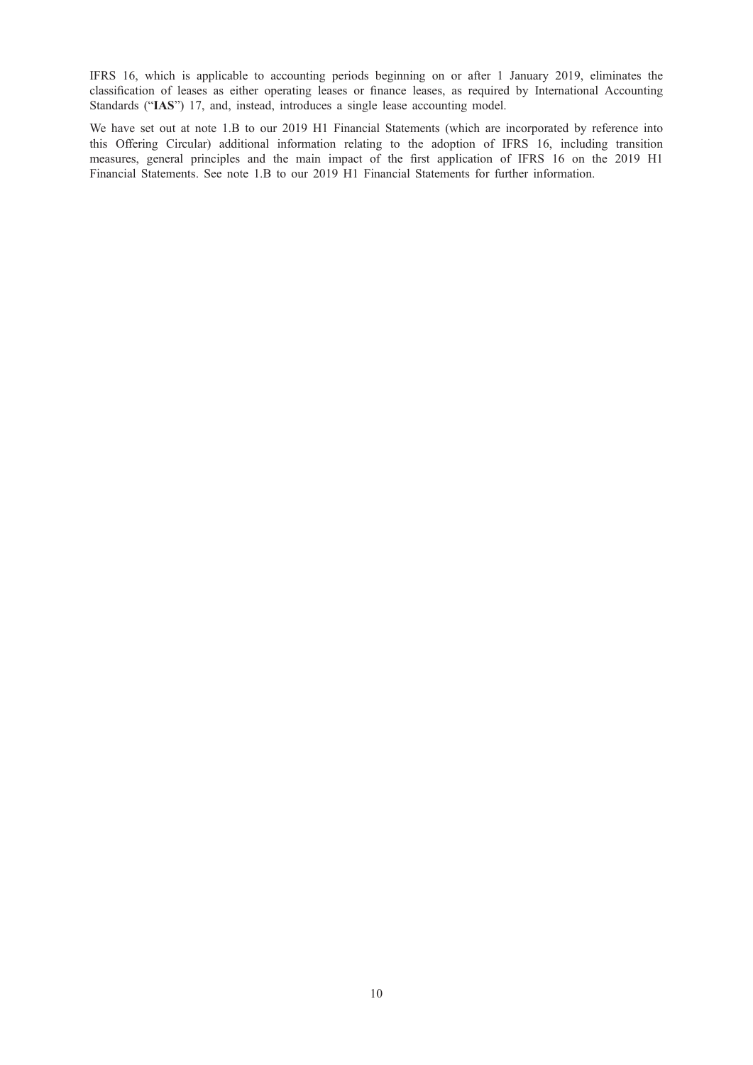IFRS 16, which is applicable to accounting periods beginning on or after 1 January 2019, eliminates the classification of leases as either operating leases or finance leases, as required by International Accounting Standards ("IAS") 17, and, instead, introduces a single lease accounting model.

We have set out at note 1.B to our 2019 H1 Financial Statements (which are incorporated by reference into this Offering Circular) additional information relating to the adoption of IFRS 16, including transition measures, general principles and the main impact of the first application of IFRS 16 on the 2019 H1 Financial Statements. See note 1.B to our 2019 H1 Financial Statements for further information.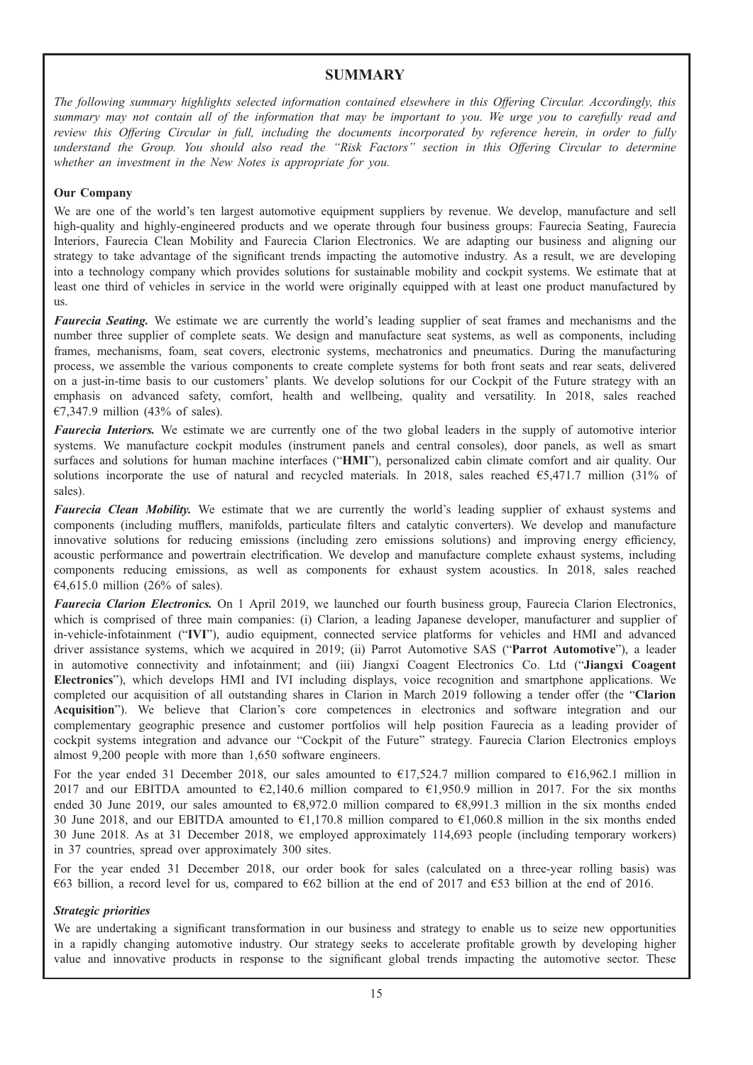# **SUMMARY**

The following summary highlights selected information contained elsewhere in this Offering Circular. Accordingly, this summary may not contain all of the information that may be important to you. We urge you to carefully read and review this Offering Circular in full, including the documents incorporated by reference herein, in order to fully understand the Group. You should also read the "Risk Factors" section in this Offering Circular to determine whether an investment in the New Notes is appropriate for you.

## Our Company

We are one of the world's ten largest automotive equipment suppliers by revenue. We develop, manufacture and sell high-quality and highly-engineered products and we operate through four business groups: Faurecia Seating, Faurecia Interiors, Faurecia Clean Mobility and Faurecia Clarion Electronics. We are adapting our business and aligning our strategy to take advantage of the significant trends impacting the automotive industry. As a result, we are developing into a technology company which provides solutions for sustainable mobility and cockpit systems. We estimate that at least one third of vehicles in service in the world were originally equipped with at least one product manufactured by us.

Faurecia Seating. We estimate we are currently the world's leading supplier of seat frames and mechanisms and the number three supplier of complete seats. We design and manufacture seat systems, as well as components, including frames, mechanisms, foam, seat covers, electronic systems, mechatronics and pneumatics. During the manufacturing process, we assemble the various components to create complete systems for both front seats and rear seats, delivered on a just-in-time basis to our customers' plants. We develop solutions for our Cockpit of the Future strategy with an emphasis on advanced safety, comfort, health and wellbeing, quality and versatility. In 2018, sales reached €7,347.9 million (43% of sales).

Faurecia Interiors. We estimate we are currently one of the two global leaders in the supply of automotive interior systems. We manufacture cockpit modules (instrument panels and central consoles), door panels, as well as smart surfaces and solutions for human machine interfaces ("HMI"), personalized cabin climate comfort and air quality. Our solutions incorporate the use of natural and recycled materials. In 2018, sales reached  $65,471.7$  million (31% of sales).

Faurecia Clean Mobility. We estimate that we are currently the world's leading supplier of exhaust systems and components (including mufflers, manifolds, particulate filters and catalytic converters). We develop and manufacture innovative solutions for reducing emissions (including zero emissions solutions) and improving energy efficiency, acoustic performance and powertrain electrification. We develop and manufacture complete exhaust systems, including components reducing emissions, as well as components for exhaust system acoustics. In 2018, sales reached  $\text{\textsterling}4,615.0$  million (26% of sales).

Faurecia Clarion Electronics. On 1 April 2019, we launched our fourth business group, Faurecia Clarion Electronics, which is comprised of three main companies: (i) Clarion, a leading Japanese developer, manufacturer and supplier of in-vehicle-infotainment ("IVI"), audio equipment, connected service platforms for vehicles and HMI and advanced driver assistance systems, which we acquired in 2019; (ii) Parrot Automotive SAS ("Parrot Automotive"), a leader in automotive connectivity and infotainment; and (iii) Jiangxi Coagent Electronics Co. Ltd ("Jiangxi Coagent Electronics"), which develops HMI and IVI including displays, voice recognition and smartphone applications. We completed our acquisition of all outstanding shares in Clarion in March 2019 following a tender offer (the "Clarion Acquisition"). We believe that Clarion's core competences in electronics and software integration and our complementary geographic presence and customer portfolios will help position Faurecia as a leading provider of cockpit systems integration and advance our "Cockpit of the Future" strategy. Faurecia Clarion Electronics employs almost 9,200 people with more than 1,650 software engineers.

For the year ended 31 December 2018, our sales amounted to  $\epsilon$ 17,524.7 million compared to  $\epsilon$ 16,962.1 million in 2017 and our EBITDA amounted to €2,140.6 million compared to €1,950.9 million in 2017. For the six months ended 30 June 2019, our sales amounted to €8,972.0 million compared to €8,991.3 million in the six months ended 30 June 2018, and our EBITDA amounted to €1,170.8 million compared to €1,060.8 million in the six months ended 30 June 2018. As at 31 December 2018, we employed approximately 114,693 people (including temporary workers) in 37 countries, spread over approximately 300 sites.

For the year ended 31 December 2018, our order book for sales (calculated on a three-year rolling basis) was €63 billion, a record level for us, compared to €62 billion at the end of 2017 and €53 billion at the end of 2016.

### Strategic priorities

We are undertaking a significant transformation in our business and strategy to enable us to seize new opportunities in a rapidly changing automotive industry. Our strategy seeks to accelerate profitable growth by developing higher value and innovative products in response to the significant global trends impacting the automotive sector. These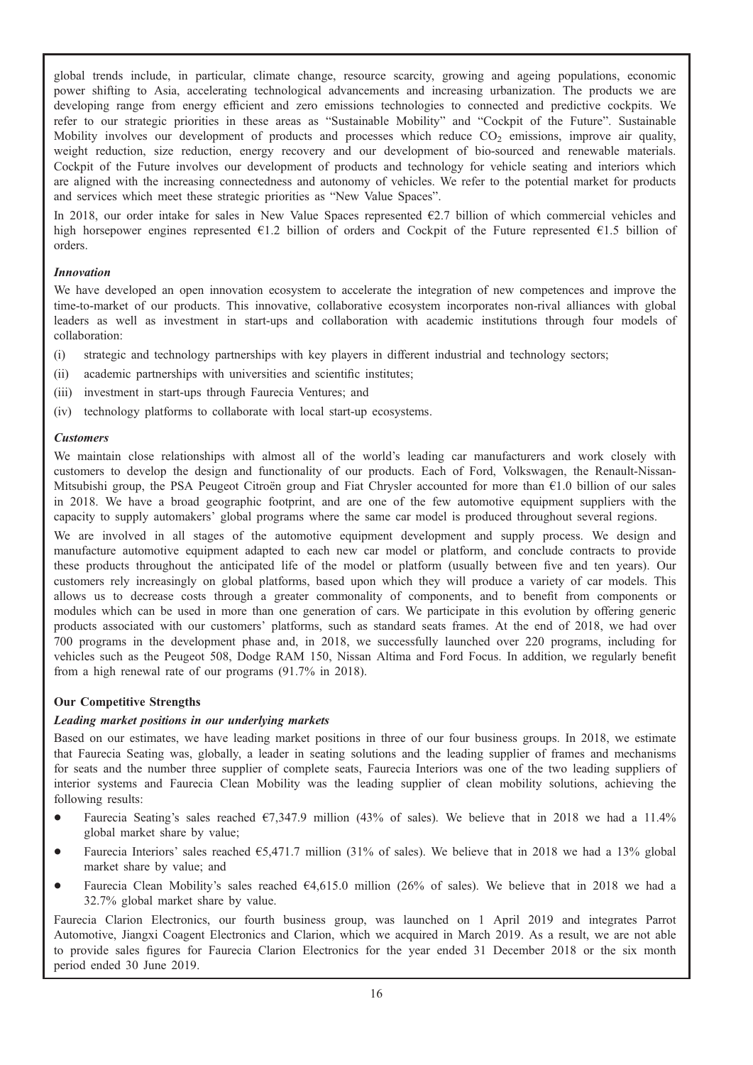global trends include, in particular, climate change, resource scarcity, growing and ageing populations, economic power shifting to Asia, accelerating technological advancements and increasing urbanization. The products we are developing range from energy efficient and zero emissions technologies to connected and predictive cockpits. We refer to our strategic priorities in these areas as "Sustainable Mobility" and "Cockpit of the Future". Sustainable Mobility involves our development of products and processes which reduce  $CO<sub>2</sub>$  emissions, improve air quality, weight reduction, size reduction, energy recovery and our development of bio-sourced and renewable materials. Cockpit of the Future involves our development of products and technology for vehicle seating and interiors which are aligned with the increasing connectedness and autonomy of vehicles. We refer to the potential market for products and services which meet these strategic priorities as "New Value Spaces".

In 2018, our order intake for sales in New Value Spaces represented  $\epsilon$ 2.7 billion of which commercial vehicles and high horsepower engines represented  $E1.2$  billion of orders and Cockpit of the Future represented  $E1.5$  billion of orders.

## Innovation

We have developed an open innovation ecosystem to accelerate the integration of new competences and improve the time-to-market of our products. This innovative, collaborative ecosystem incorporates non-rival alliances with global leaders as well as investment in start-ups and collaboration with academic institutions through four models of collaboration:

- (i) strategic and technology partnerships with key players in different industrial and technology sectors;
- (ii) academic partnerships with universities and scientific institutes;
- (iii) investment in start-ups through Faurecia Ventures; and
- (iv) technology platforms to collaborate with local start-up ecosystems.

## Customers

We maintain close relationships with almost all of the world's leading car manufacturers and work closely with customers to develop the design and functionality of our products. Each of Ford, Volkswagen, the Renault-Nissan-Mitsubishi group, the PSA Peugeot Citroën group and Fiat Chrysler accounted for more than €1.0 billion of our sales in 2018. We have a broad geographic footprint, and are one of the few automotive equipment suppliers with the capacity to supply automakers' global programs where the same car model is produced throughout several regions.

We are involved in all stages of the automotive equipment development and supply process. We design and manufacture automotive equipment adapted to each new car model or platform, and conclude contracts to provide these products throughout the anticipated life of the model or platform (usually between five and ten years). Our customers rely increasingly on global platforms, based upon which they will produce a variety of car models. This allows us to decrease costs through a greater commonality of components, and to benefit from components or modules which can be used in more than one generation of cars. We participate in this evolution by offering generic products associated with our customers' platforms, such as standard seats frames. At the end of 2018, we had over 700 programs in the development phase and, in 2018, we successfully launched over 220 programs, including for vehicles such as the Peugeot 508, Dodge RAM 150, Nissan Altima and Ford Focus. In addition, we regularly benefit from a high renewal rate of our programs (91.7% in 2018).

## Our Competitive Strengths

## Leading market positions in our underlying markets

Based on our estimates, we have leading market positions in three of our four business groups. In 2018, we estimate that Faurecia Seating was, globally, a leader in seating solutions and the leading supplier of frames and mechanisms for seats and the number three supplier of complete seats, Faurecia Interiors was one of the two leading suppliers of interior systems and Faurecia Clean Mobility was the leading supplier of clean mobility solutions, achieving the following results:

- Faurecia Seating's sales reached  $\epsilon$ 7,347.9 million (43% of sales). We believe that in 2018 we had a 11.4% global market share by value;
- Faurecia Interiors' sales reached  $65,471.7$  million (31% of sales). We believe that in 2018 we had a 13% global market share by value; and
- Faurecia Clean Mobility's sales reached  $64,615.0$  million (26% of sales). We believe that in 2018 we had a 32.7% global market share by value.

Faurecia Clarion Electronics, our fourth business group, was launched on 1 April 2019 and integrates Parrot Automotive, Jiangxi Coagent Electronics and Clarion, which we acquired in March 2019. As a result, we are not able to provide sales figures for Faurecia Clarion Electronics for the year ended 31 December 2018 or the six month period ended 30 June 2019.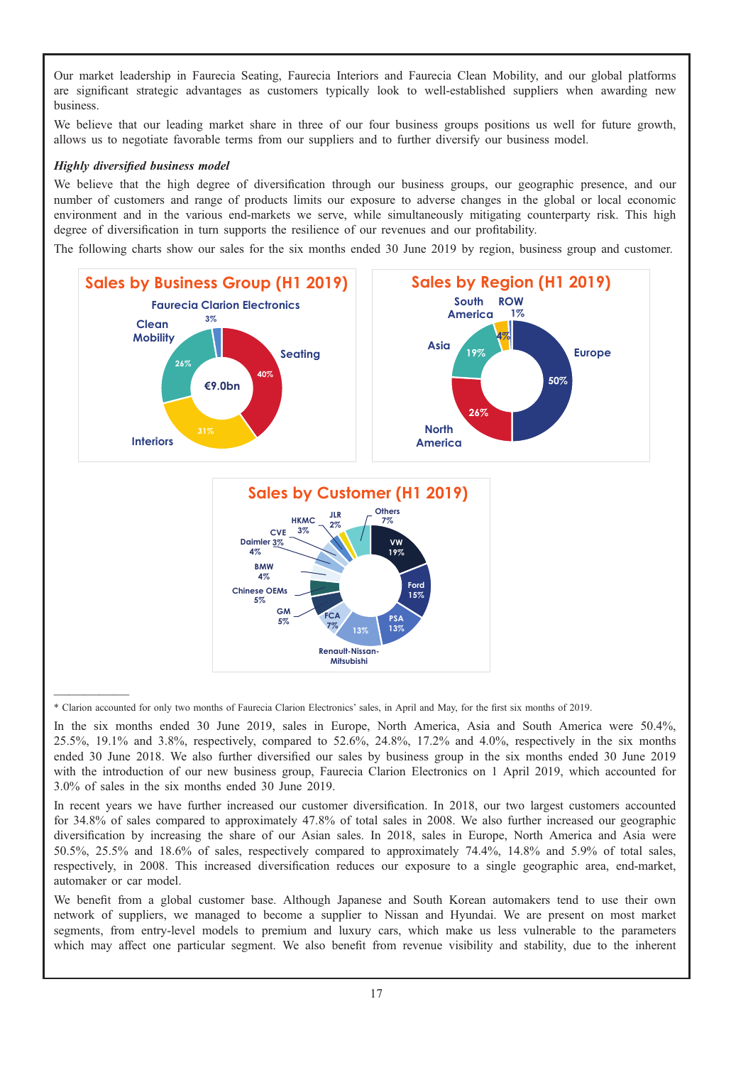Our market leadership in Faurecia Seating, Faurecia Interiors and Faurecia Clean Mobility, and our global platforms are significant strategic advantages as customers typically look to well-established suppliers when awarding new business.

We believe that our leading market share in three of our four business groups positions us well for future growth, allows us to negotiate favorable terms from our suppliers and to further diversify our business model.

# Highly diversified business model

We believe that the high degree of diversification through our business groups, our geographic presence, and our number of customers and range of products limits our exposure to adverse changes in the global or local economic environment and in the various end-markets we serve, while simultaneously mitigating counterparty risk. This high degree of diversification in turn supports the resilience of our revenues and our profitability.

The following charts show our sales for the six months ended 30 June 2019 by region, business group and customer.



\* Clarion accounted for only two months of Faurecia Clarion Electronics' sales, in April and May, for the first six months of 2019.

In the six months ended 30 June 2019, sales in Europe, North America, Asia and South America were 50.4%, 25.5%, 19.1% and 3.8%, respectively, compared to 52.6%, 24.8%, 17.2% and 4.0%, respectively in the six months ended 30 June 2018. We also further diversified our sales by business group in the six months ended 30 June 2019 with the introduction of our new business group, Faurecia Clarion Electronics on 1 April 2019, which accounted for 3.0% of sales in the six months ended 30 June 2019.

In recent years we have further increased our customer diversification. In 2018, our two largest customers accounted for 34.8% of sales compared to approximately 47.8% of total sales in 2008. We also further increased our geographic diversification by increasing the share of our Asian sales. In 2018, sales in Europe, North America and Asia were 50.5%, 25.5% and 18.6% of sales, respectively compared to approximately 74.4%, 14.8% and 5.9% of total sales, respectively, in 2008. This increased diversification reduces our exposure to a single geographic area, end-market, automaker or car model.

We benefit from a global customer base. Although Japanese and South Korean automakers tend to use their own network of suppliers, we managed to become a supplier to Nissan and Hyundai. We are present on most market segments, from entry-level models to premium and luxury cars, which make us less vulnerable to the parameters which may affect one particular segment. We also benefit from revenue visibility and stability, due to the inherent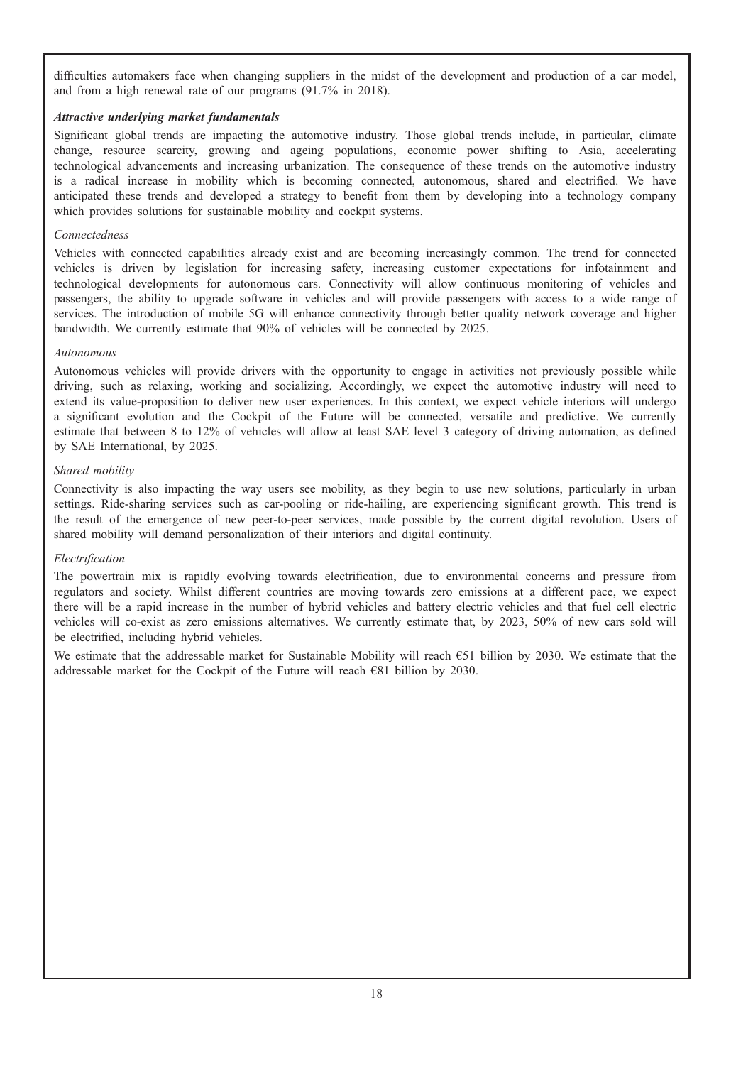difficulties automakers face when changing suppliers in the midst of the development and production of a car model, and from a high renewal rate of our programs (91.7% in 2018).

# Attractive underlying market fundamentals

Significant global trends are impacting the automotive industry. Those global trends include, in particular, climate change, resource scarcity, growing and ageing populations, economic power shifting to Asia, accelerating technological advancements and increasing urbanization. The consequence of these trends on the automotive industry is a radical increase in mobility which is becoming connected, autonomous, shared and electrified. We have anticipated these trends and developed a strategy to benefit from them by developing into a technology company which provides solutions for sustainable mobility and cockpit systems.

## Connectedness

Vehicles with connected capabilities already exist and are becoming increasingly common. The trend for connected vehicles is driven by legislation for increasing safety, increasing customer expectations for infotainment and technological developments for autonomous cars. Connectivity will allow continuous monitoring of vehicles and passengers, the ability to upgrade software in vehicles and will provide passengers with access to a wide range of services. The introduction of mobile 5G will enhance connectivity through better quality network coverage and higher bandwidth. We currently estimate that 90% of vehicles will be connected by 2025.

## Autonomous

Autonomous vehicles will provide drivers with the opportunity to engage in activities not previously possible while driving, such as relaxing, working and socializing. Accordingly, we expect the automotive industry will need to extend its value-proposition to deliver new user experiences. In this context, we expect vehicle interiors will undergo a significant evolution and the Cockpit of the Future will be connected, versatile and predictive. We currently estimate that between 8 to 12% of vehicles will allow at least SAE level 3 category of driving automation, as defined by SAE International, by 2025.

## Shared mobility

Connectivity is also impacting the way users see mobility, as they begin to use new solutions, particularly in urban settings. Ride-sharing services such as car-pooling or ride-hailing, are experiencing significant growth. This trend is the result of the emergence of new peer-to-peer services, made possible by the current digital revolution. Users of shared mobility will demand personalization of their interiors and digital continuity.

## Electrification

The powertrain mix is rapidly evolving towards electrification, due to environmental concerns and pressure from regulators and society. Whilst different countries are moving towards zero emissions at a different pace, we expect there will be a rapid increase in the number of hybrid vehicles and battery electric vehicles and that fuel cell electric vehicles will co-exist as zero emissions alternatives. We currently estimate that, by 2023, 50% of new cars sold will be electrified, including hybrid vehicles.

We estimate that the addressable market for Sustainable Mobility will reach €51 billion by 2030. We estimate that the addressable market for the Cockpit of the Future will reach €81 billion by 2030.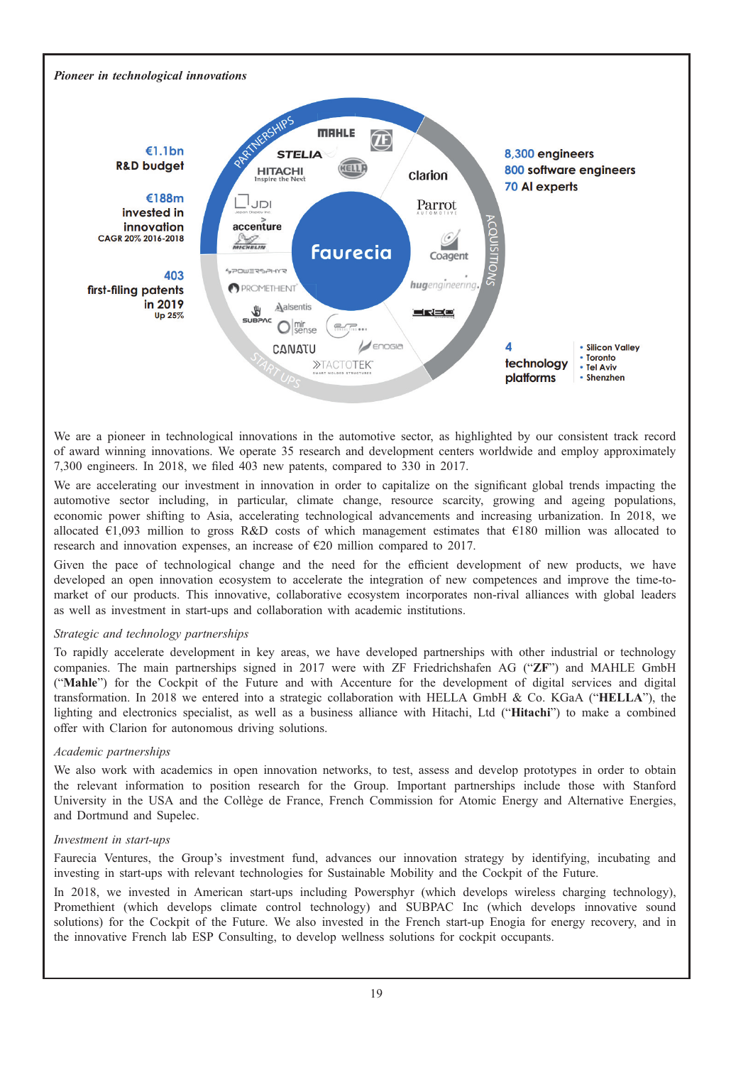

We are a pioneer in technological innovations in the automotive sector, as highlighted by our consistent track record of award winning innovations. We operate 35 research and development centers worldwide and employ approximately 7,300 engineers. In 2018, we filed 403 new patents, compared to 330 in 2017.

We are accelerating our investment in innovation in order to capitalize on the significant global trends impacting the automotive sector including, in particular, climate change, resource scarcity, growing and ageing populations, economic power shifting to Asia, accelerating technological advancements and increasing urbanization. In 2018, we allocated €1,093 million to gross R&D costs of which management estimates that €180 million was allocated to research and innovation expenses, an increase of €20 million compared to 2017.

Given the pace of technological change and the need for the efficient development of new products, we have developed an open innovation ecosystem to accelerate the integration of new competences and improve the time-tomarket of our products. This innovative, collaborative ecosystem incorporates non-rival alliances with global leaders as well as investment in start-ups and collaboration with academic institutions.

## Strategic and technology partnerships

To rapidly accelerate development in key areas, we have developed partnerships with other industrial or technology companies. The main partnerships signed in 2017 were with ZF Friedrichshafen AG ("ZF") and MAHLE GmbH ("Mahle") for the Cockpit of the Future and with Accenture for the development of digital services and digital transformation. In 2018 we entered into a strategic collaboration with HELLA GmbH & Co. KGaA ("HELLA"), the lighting and electronics specialist, as well as a business alliance with Hitachi, Ltd ("Hitachi") to make a combined offer with Clarion for autonomous driving solutions.

### Academic partnerships

We also work with academics in open innovation networks, to test, assess and develop prototypes in order to obtain the relevant information to position research for the Group. Important partnerships include those with Stanford University in the USA and the Collège de France, French Commission for Atomic Energy and Alternative Energies, and Dortmund and Supelec.

### Investment in start-ups

Faurecia Ventures, the Group's investment fund, advances our innovation strategy by identifying, incubating and investing in start-ups with relevant technologies for Sustainable Mobility and the Cockpit of the Future.

In 2018, we invested in American start-ups including Powersphyr (which develops wireless charging technology), Promethient (which develops climate control technology) and SUBPAC Inc (which develops innovative sound solutions) for the Cockpit of the Future. We also invested in the French start-up Enogia for energy recovery, and in the innovative French lab ESP Consulting, to develop wellness solutions for cockpit occupants.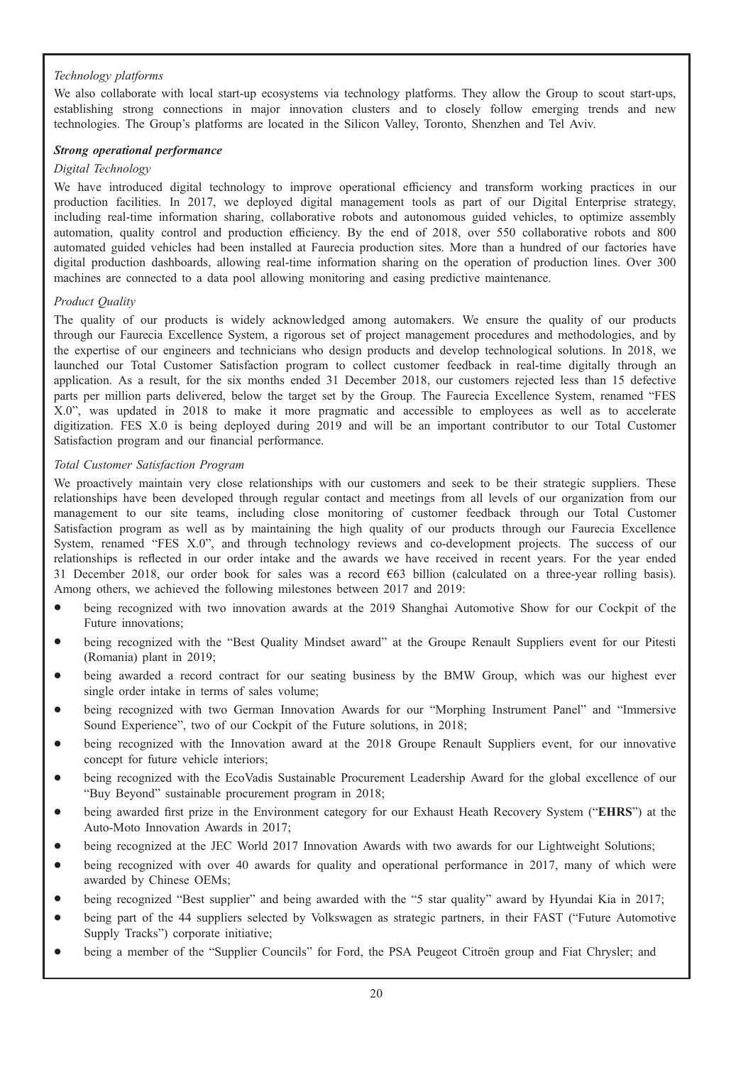# Technology platforms

We also collaborate with local start-up ecosystems via technology platforms. They allow the Group to scout start-ups, establishing strong connections in major innovation clusters and to closely follow emerging trends and new technologies. The Group's platforms are located in the Silicon Valley, Toronto, Shenzhen and Tel Aviv.

# Strong operational performance

## Digital Technology

We have introduced digital technology to improve operational efficiency and transform working practices in our production facilities. In 2017, we deployed digital management tools as part of our Digital Enterprise strategy, including real-time information sharing, collaborative robots and autonomous guided vehicles, to optimize assembly automation, quality control and production efficiency. By the end of 2018, over 550 collaborative robots and 800 automated guided vehicles had been installed at Faurecia production sites. More than a hundred of our factories have digital production dashboards, allowing real-time information sharing on the operation of production lines. Over 300 machines are connected to a data pool allowing monitoring and easing predictive maintenance.

# Product Quality

The quality of our products is widely acknowledged among automakers. We ensure the quality of our products through our Faurecia Excellence System, a rigorous set of project management procedures and methodologies, and by the expertise of our engineers and technicians who design products and develop technological solutions. In 2018, we launched our Total Customer Satisfaction program to collect customer feedback in real-time digitally through an application. As a result, for the six months ended 31 December 2018, our customers rejected less than 15 defective parts per million parts delivered, below the target set by the Group. The Faurecia Excellence System, renamed "FES X.0", was updated in 2018 to make it more pragmatic and accessible to employees as well as to accelerate digitization. FES X.0 is being deployed during 2019 and will be an important contributor to our Total Customer Satisfaction program and our financial performance.

# Total Customer Satisfaction Program

We proactively maintain very close relationships with our customers and seek to be their strategic suppliers. These relationships have been developed through regular contact and meetings from all levels of our organization from our management to our site teams, including close monitoring of customer feedback through our Total Customer Satisfaction program as well as by maintaining the high quality of our products through our Faurecia Excellence System, renamed "FES X.0", and through technology reviews and co-development projects. The success of our relationships is reflected in our order intake and the awards we have received in recent years. For the year ended 31 December 2018, our order book for sales was a record €63 billion (calculated on a three-year rolling basis). Among others, we achieved the following milestones between 2017 and 2019:

- being recognized with two innovation awards at the 2019 Shanghai Automotive Show for our Cockpit of the Future innovations;
- being recognized with the "Best Quality Mindset award" at the Groupe Renault Suppliers event for our Pitesti (Romania) plant in 2019;
- \* being awarded a record contract for our seating business by the BMW Group, which was our highest ever single order intake in terms of sales volume;
- \* being recognized with two German Innovation Awards for our "Morphing Instrument Panel" and "Immersive Sound Experience", two of our Cockpit of the Future solutions, in 2018;
- being recognized with the Innovation award at the 2018 Groupe Renault Suppliers event, for our innovative concept for future vehicle interiors;
- being recognized with the EcoVadis Sustainable Procurement Leadership Award for the global excellence of our "Buy Beyond" sustainable procurement program in 2018;
- being awarded first prize in the Environment category for our Exhaust Heath Recovery System ("EHRS") at the Auto-Moto Innovation Awards in 2017;
- being recognized at the JEC World 2017 Innovation Awards with two awards for our Lightweight Solutions;
- being recognized with over 40 awards for quality and operational performance in 2017, many of which were awarded by Chinese OEMs;
- being recognized "Best supplier" and being awarded with the "5 star quality" award by Hyundai Kia in 2017;
- being part of the 44 suppliers selected by Volkswagen as strategic partners, in their FAST ("Future Automotive Supply Tracks") corporate initiative;
- being a member of the "Supplier Councils" for Ford, the PSA Peugeot Citroën group and Fiat Chrysler; and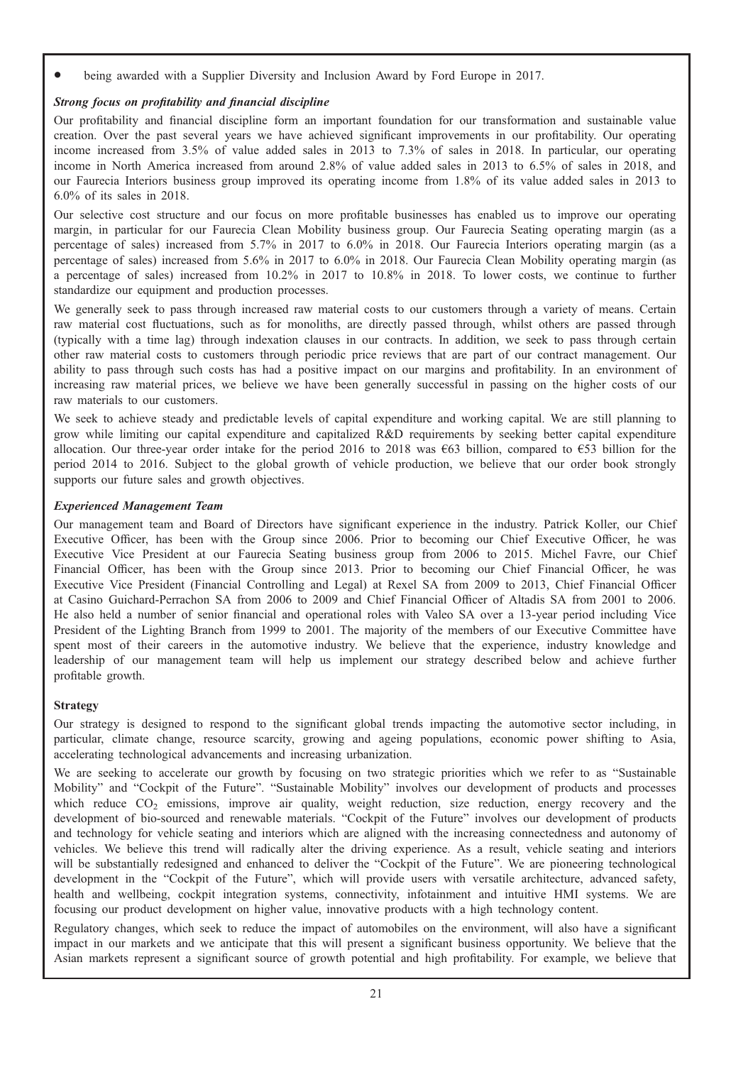being awarded with a Supplier Diversity and Inclusion Award by Ford Europe in 2017.

# Strong focus on profitability and financial discipline

Our profitability and financial discipline form an important foundation for our transformation and sustainable value creation. Over the past several years we have achieved significant improvements in our profitability. Our operating income increased from 3.5% of value added sales in 2013 to 7.3% of sales in 2018. In particular, our operating income in North America increased from around 2.8% of value added sales in 2013 to 6.5% of sales in 2018, and our Faurecia Interiors business group improved its operating income from 1.8% of its value added sales in 2013 to 6.0% of its sales in 2018.

Our selective cost structure and our focus on more profitable businesses has enabled us to improve our operating margin, in particular for our Faurecia Clean Mobility business group. Our Faurecia Seating operating margin (as a percentage of sales) increased from 5.7% in 2017 to 6.0% in 2018. Our Faurecia Interiors operating margin (as a percentage of sales) increased from 5.6% in 2017 to 6.0% in 2018. Our Faurecia Clean Mobility operating margin (as a percentage of sales) increased from 10.2% in 2017 to 10.8% in 2018. To lower costs, we continue to further standardize our equipment and production processes.

We generally seek to pass through increased raw material costs to our customers through a variety of means. Certain raw material cost fluctuations, such as for monoliths, are directly passed through, whilst others are passed through (typically with a time lag) through indexation clauses in our contracts. In addition, we seek to pass through certain other raw material costs to customers through periodic price reviews that are part of our contract management. Our ability to pass through such costs has had a positive impact on our margins and profitability. In an environment of increasing raw material prices, we believe we have been generally successful in passing on the higher costs of our raw materials to our customers.

We seek to achieve steady and predictable levels of capital expenditure and working capital. We are still planning to grow while limiting our capital expenditure and capitalized R&D requirements by seeking better capital expenditure allocation. Our three-year order intake for the period 2016 to 2018 was  $\epsilon$ 63 billion, compared to  $\epsilon$ 53 billion for the period 2014 to 2016. Subject to the global growth of vehicle production, we believe that our order book strongly supports our future sales and growth objectives.

## Experienced Management Team

Our management team and Board of Directors have significant experience in the industry. Patrick Koller, our Chief Executive Officer, has been with the Group since 2006. Prior to becoming our Chief Executive Officer, he was Executive Vice President at our Faurecia Seating business group from 2006 to 2015. Michel Favre, our Chief Financial Officer, has been with the Group since 2013. Prior to becoming our Chief Financial Officer, he was Executive Vice President (Financial Controlling and Legal) at Rexel SA from 2009 to 2013, Chief Financial Officer at Casino Guichard-Perrachon SA from 2006 to 2009 and Chief Financial Officer of Altadis SA from 2001 to 2006. He also held a number of senior financial and operational roles with Valeo SA over a 13-year period including Vice President of the Lighting Branch from 1999 to 2001. The majority of the members of our Executive Committee have spent most of their careers in the automotive industry. We believe that the experience, industry knowledge and leadership of our management team will help us implement our strategy described below and achieve further profitable growth.

## Strategy

Our strategy is designed to respond to the significant global trends impacting the automotive sector including, in particular, climate change, resource scarcity, growing and ageing populations, economic power shifting to Asia, accelerating technological advancements and increasing urbanization.

We are seeking to accelerate our growth by focusing on two strategic priorities which we refer to as "Sustainable Mobility" and "Cockpit of the Future". "Sustainable Mobility" involves our development of products and processes which reduce CO<sub>2</sub> emissions, improve air quality, weight reduction, size reduction, energy recovery and the development of bio-sourced and renewable materials. "Cockpit of the Future" involves our development of products and technology for vehicle seating and interiors which are aligned with the increasing connectedness and autonomy of vehicles. We believe this trend will radically alter the driving experience. As a result, vehicle seating and interiors will be substantially redesigned and enhanced to deliver the "Cockpit of the Future". We are pioneering technological development in the "Cockpit of the Future", which will provide users with versatile architecture, advanced safety, health and wellbeing, cockpit integration systems, connectivity, infotainment and intuitive HMI systems. We are focusing our product development on higher value, innovative products with a high technology content.

Regulatory changes, which seek to reduce the impact of automobiles on the environment, will also have a significant impact in our markets and we anticipate that this will present a significant business opportunity. We believe that the Asian markets represent a significant source of growth potential and high profitability. For example, we believe that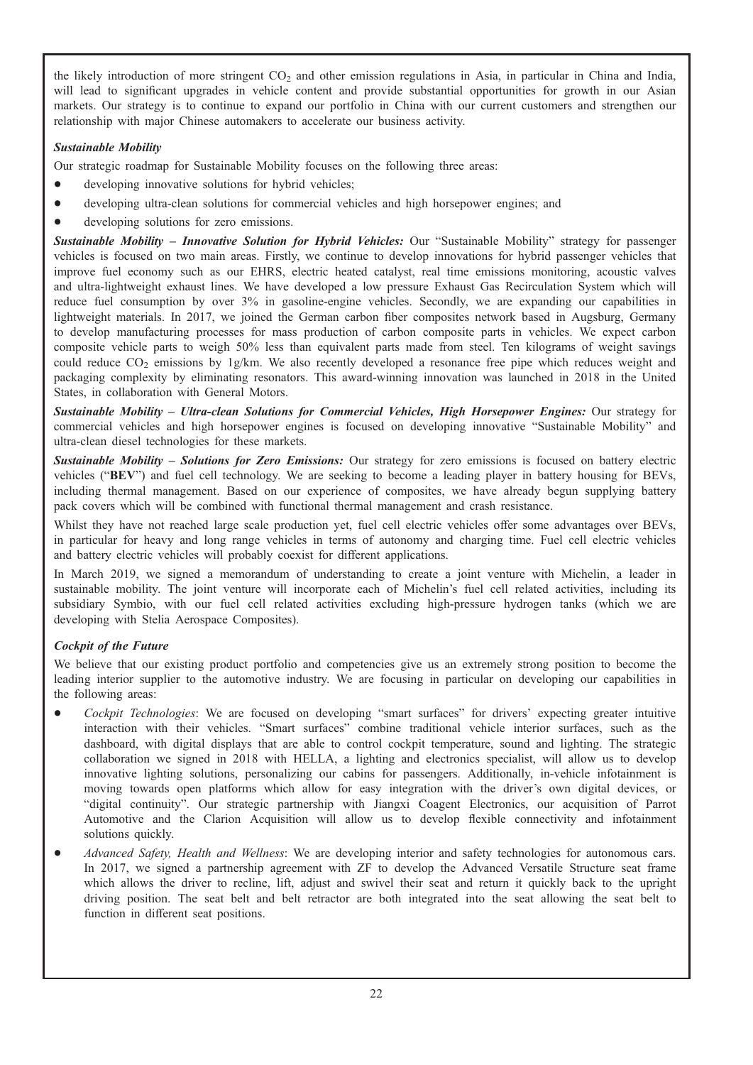the likely introduction of more stringent  $CO<sub>2</sub>$  and other emission regulations in Asia, in particular in China and India, will lead to significant upgrades in vehicle content and provide substantial opportunities for growth in our Asian markets. Our strategy is to continue to expand our portfolio in China with our current customers and strengthen our relationship with major Chinese automakers to accelerate our business activity.

# Sustainable Mobility

Our strategic roadmap for Sustainable Mobility focuses on the following three areas:

- developing innovative solutions for hybrid vehicles;
- developing ultra-clean solutions for commercial vehicles and high horsepower engines; and
- developing solutions for zero emissions.

Sustainable Mobility - Innovative Solution for Hybrid Vehicles: Our "Sustainable Mobility" strategy for passenger vehicles is focused on two main areas. Firstly, we continue to develop innovations for hybrid passenger vehicles that improve fuel economy such as our EHRS, electric heated catalyst, real time emissions monitoring, acoustic valves and ultra-lightweight exhaust lines. We have developed a low pressure Exhaust Gas Recirculation System which will reduce fuel consumption by over 3% in gasoline-engine vehicles. Secondly, we are expanding our capabilities in lightweight materials. In 2017, we joined the German carbon fiber composites network based in Augsburg, Germany to develop manufacturing processes for mass production of carbon composite parts in vehicles. We expect carbon composite vehicle parts to weigh 50% less than equivalent parts made from steel. Ten kilograms of weight savings could reduce  $CO_2$  emissions by 1g/km. We also recently developed a resonance free pipe which reduces weight and packaging complexity by eliminating resonators. This award-winning innovation was launched in 2018 in the United States, in collaboration with General Motors.

Sustainable Mobility – Ultra-clean Solutions for Commercial Vehicles, High Horsepower Engines: Our strategy for commercial vehicles and high horsepower engines is focused on developing innovative "Sustainable Mobility" and ultra-clean diesel technologies for these markets.

Sustainable Mobility – Solutions for Zero Emissions: Our strategy for zero emissions is focused on battery electric vehicles ("BEV") and fuel cell technology. We are seeking to become a leading player in battery housing for BEVs, including thermal management. Based on our experience of composites, we have already begun supplying battery pack covers which will be combined with functional thermal management and crash resistance.

Whilst they have not reached large scale production yet, fuel cell electric vehicles offer some advantages over BEVs, in particular for heavy and long range vehicles in terms of autonomy and charging time. Fuel cell electric vehicles and battery electric vehicles will probably coexist for different applications.

In March 2019, we signed a memorandum of understanding to create a joint venture with Michelin, a leader in sustainable mobility. The joint venture will incorporate each of Michelin's fuel cell related activities, including its subsidiary Symbio, with our fuel cell related activities excluding high-pressure hydrogen tanks (which we are developing with Stelia Aerospace Composites).

# Cockpit of the Future

We believe that our existing product portfolio and competencies give us an extremely strong position to become the leading interior supplier to the automotive industry. We are focusing in particular on developing our capabilities in the following areas:

- Cockpit Technologies: We are focused on developing "smart surfaces" for drivers' expecting greater intuitive interaction with their vehicles. "Smart surfaces" combine traditional vehicle interior surfaces, such as the dashboard, with digital displays that are able to control cockpit temperature, sound and lighting. The strategic collaboration we signed in 2018 with HELLA, a lighting and electronics specialist, will allow us to develop innovative lighting solutions, personalizing our cabins for passengers. Additionally, in-vehicle infotainment is moving towards open platforms which allow for easy integration with the driver's own digital devices, or "digital continuity". Our strategic partnership with Jiangxi Coagent Electronics, our acquisition of Parrot Automotive and the Clarion Acquisition will allow us to develop flexible connectivity and infotainment solutions quickly.
- Advanced Safety, Health and Wellness: We are developing interior and safety technologies for autonomous cars. In 2017, we signed a partnership agreement with ZF to develop the Advanced Versatile Structure seat frame which allows the driver to recline, lift, adjust and swivel their seat and return it quickly back to the upright driving position. The seat belt and belt retractor are both integrated into the seat allowing the seat belt to function in different seat positions.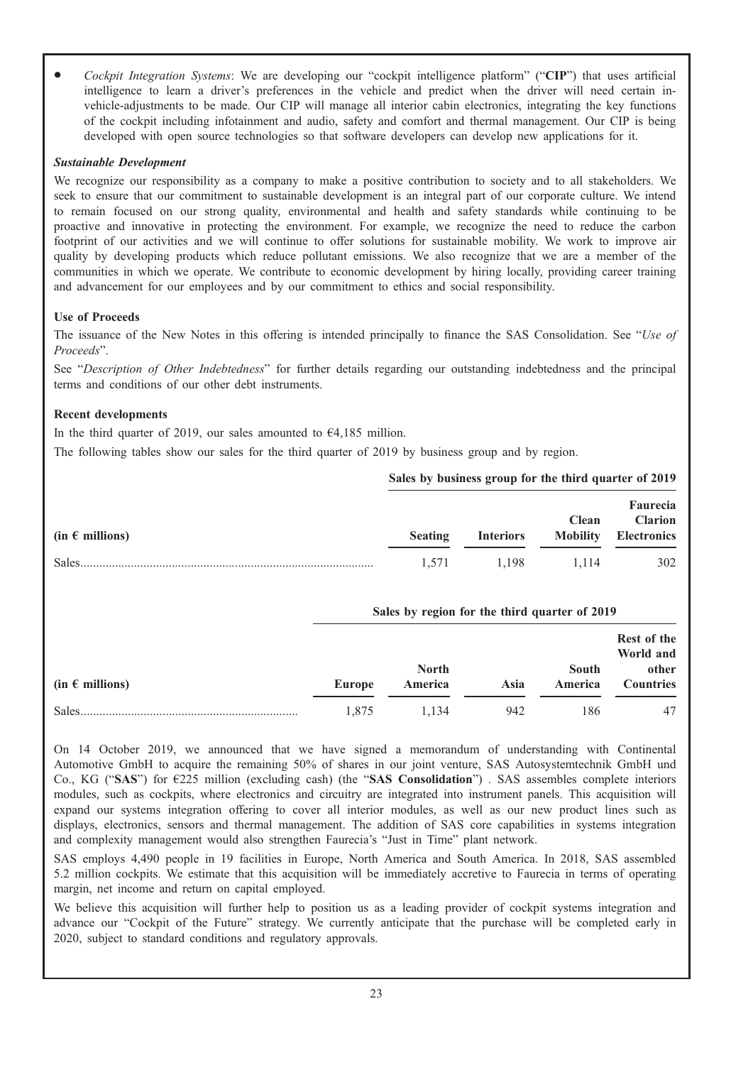Cockpit Integration Systems: We are developing our "cockpit intelligence platform" ("CIP") that uses artificial intelligence to learn a driver's preferences in the vehicle and predict when the driver will need certain invehicle-adjustments to be made. Our CIP will manage all interior cabin electronics, integrating the key functions of the cockpit including infotainment and audio, safety and comfort and thermal management. Our CIP is being developed with open source technologies so that software developers can develop new applications for it.

## Sustainable Development

We recognize our responsibility as a company to make a positive contribution to society and to all stakeholders. We seek to ensure that our commitment to sustainable development is an integral part of our corporate culture. We intend to remain focused on our strong quality, environmental and health and safety standards while continuing to be proactive and innovative in protecting the environment. For example, we recognize the need to reduce the carbon footprint of our activities and we will continue to offer solutions for sustainable mobility. We work to improve air quality by developing products which reduce pollutant emissions. We also recognize that we are a member of the communities in which we operate. We contribute to economic development by hiring locally, providing career training and advancement for our employees and by our commitment to ethics and social responsibility.

# Use of Proceeds

The issuance of the New Notes in this offering is intended principally to finance the SAS Consolidation. See "Use of Proceeds".

See "Description of Other Indebtedness" for further details regarding our outstanding indebtedness and the principal terms and conditions of our other debt instruments.

# Recent developments

In the third quarter of 2019, our sales amounted to  $64,185$  million.

The following tables show our sales for the third quarter of 2019 by business group and by region.

|                          |                |                  | $\sigma$ bares by business group for the third quarter of $\omega_{12}$ |                                                                  |
|--------------------------|----------------|------------------|-------------------------------------------------------------------------|------------------------------------------------------------------|
| (in $\epsilon$ millions) | <b>Seating</b> | <b>Interiors</b> | <b>Clean</b>                                                            | <b>Faurecia</b><br><b>Clarion</b><br><b>Mobility Electronics</b> |
|                          | 1.571          | 1.198            | 1.114                                                                   | 302                                                              |

## Sales by region for the third quarter of 2019

Sales by business group for the third quarter of 2010

| $(in \in millions)$ | Europe | <b>North</b><br>America | Asia | South<br>America | Rest of the<br>World and<br>other<br><b>Countries</b> |
|---------------------|--------|-------------------------|------|------------------|-------------------------------------------------------|
| <b>Sales</b>        | 1.875  | 1.134                   | 942  | 186              | 47                                                    |

On 14 October 2019, we announced that we have signed a memorandum of understanding with Continental Automotive GmbH to acquire the remaining 50% of shares in our joint venture, SAS Autosystemtechnik GmbH und Co., KG ("SAS") for €225 million (excluding cash) (the "SAS Consolidation") . SAS assembles complete interiors modules, such as cockpits, where electronics and circuitry are integrated into instrument panels. This acquisition will expand our systems integration offering to cover all interior modules, as well as our new product lines such as displays, electronics, sensors and thermal management. The addition of SAS core capabilities in systems integration and complexity management would also strengthen Faurecia's "Just in Time" plant network.

SAS employs 4,490 people in 19 facilities in Europe, North America and South America. In 2018, SAS assembled 5.2 million cockpits. We estimate that this acquisition will be immediately accretive to Faurecia in terms of operating margin, net income and return on capital employed.

We believe this acquisition will further help to position us as a leading provider of cockpit systems integration and advance our "Cockpit of the Future" strategy. We currently anticipate that the purchase will be completed early in 2020, subject to standard conditions and regulatory approvals.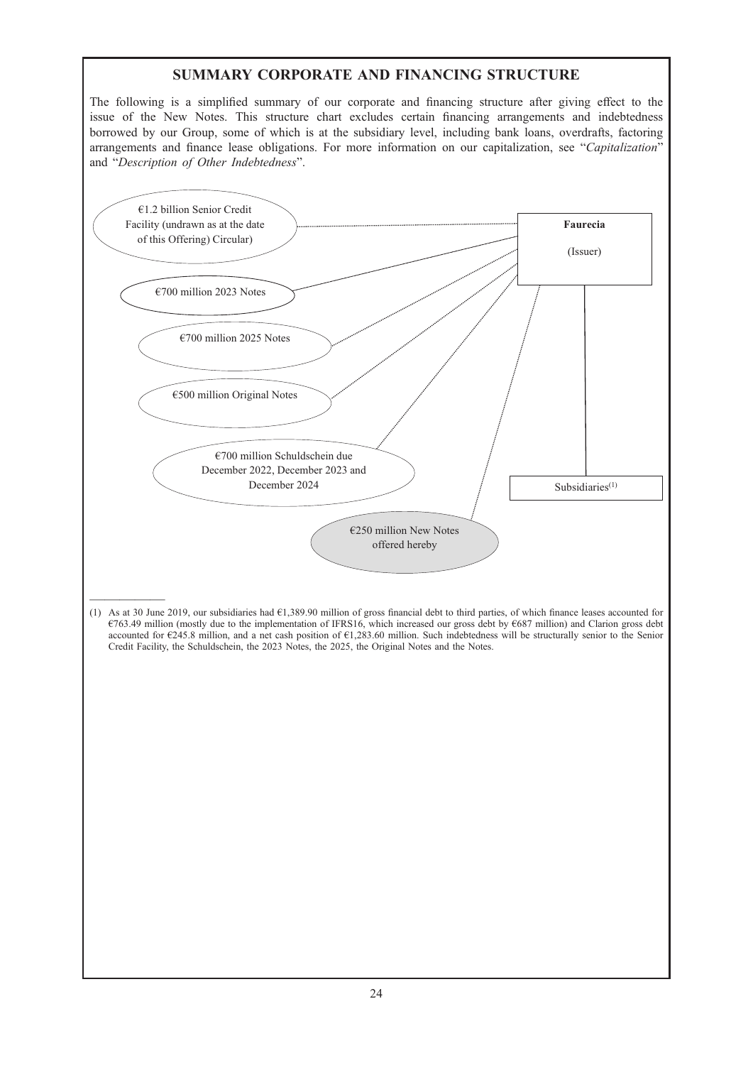# SUMMARY CORPORATE AND FINANCING STRUCTURE

The following is a simplified summary of our corporate and financing structure after giving effect to the issue of the New Notes. This structure chart excludes certain financing arrangements and indebtedness borrowed by our Group, some of which is at the subsidiary level, including bank loans, overdrafts, factoring arrangements and finance lease obligations. For more information on our capitalization, see "Capitalization" and "Description of Other Indebtedness".

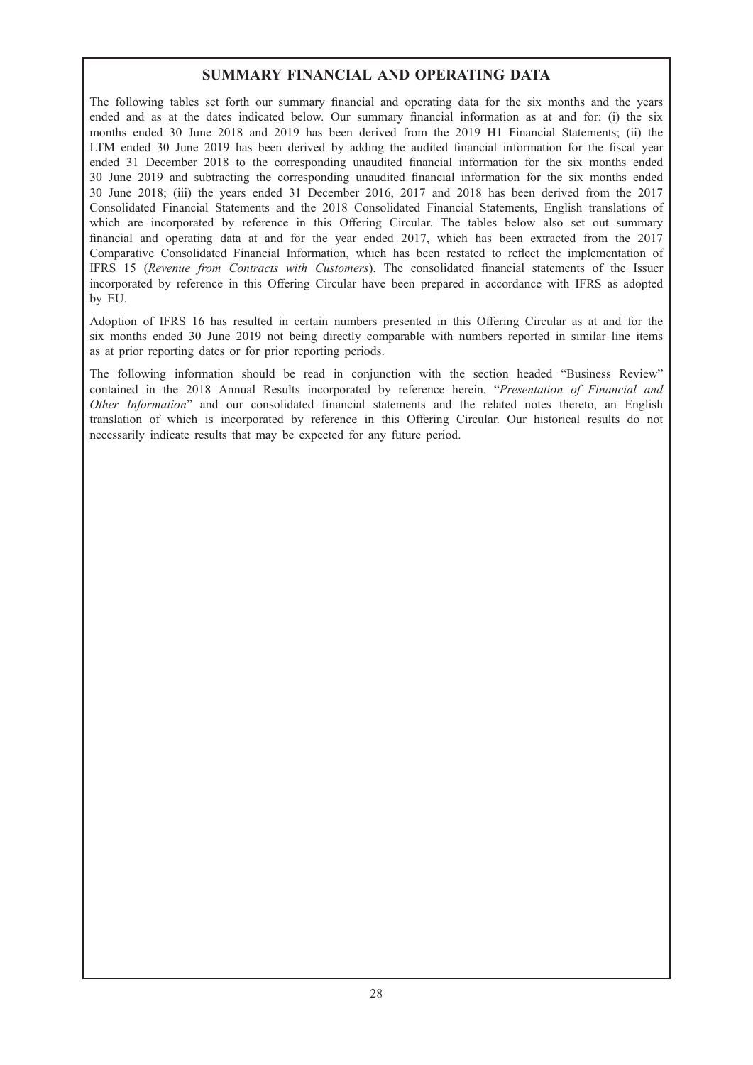# SUMMARY FINANCIAL AND OPERATING DATA

The following tables set forth our summary financial and operating data for the six months and the years ended and as at the dates indicated below. Our summary financial information as at and for: (i) the six months ended 30 June 2018 and 2019 has been derived from the 2019 H1 Financial Statements; (ii) the LTM ended 30 June 2019 has been derived by adding the audited financial information for the fiscal year ended 31 December 2018 to the corresponding unaudited financial information for the six months ended 30 June 2019 and subtracting the corresponding unaudited financial information for the six months ended 30 June 2018; (iii) the years ended 31 December 2016, 2017 and 2018 has been derived from the 2017 Consolidated Financial Statements and the 2018 Consolidated Financial Statements, English translations of which are incorporated by reference in this Offering Circular. The tables below also set out summary financial and operating data at and for the year ended 2017, which has been extracted from the 2017 Comparative Consolidated Financial Information, which has been restated to reflect the implementation of IFRS 15 (Revenue from Contracts with Customers). The consolidated financial statements of the Issuer incorporated by reference in this Offering Circular have been prepared in accordance with IFRS as adopted by EU.

Adoption of IFRS 16 has resulted in certain numbers presented in this Offering Circular as at and for the six months ended 30 June 2019 not being directly comparable with numbers reported in similar line items as at prior reporting dates or for prior reporting periods.

The following information should be read in conjunction with the section headed "Business Review" contained in the 2018 Annual Results incorporated by reference herein, "Presentation of Financial and Other Information" and our consolidated financial statements and the related notes thereto, an English translation of which is incorporated by reference in this Offering Circular. Our historical results do not necessarily indicate results that may be expected for any future period.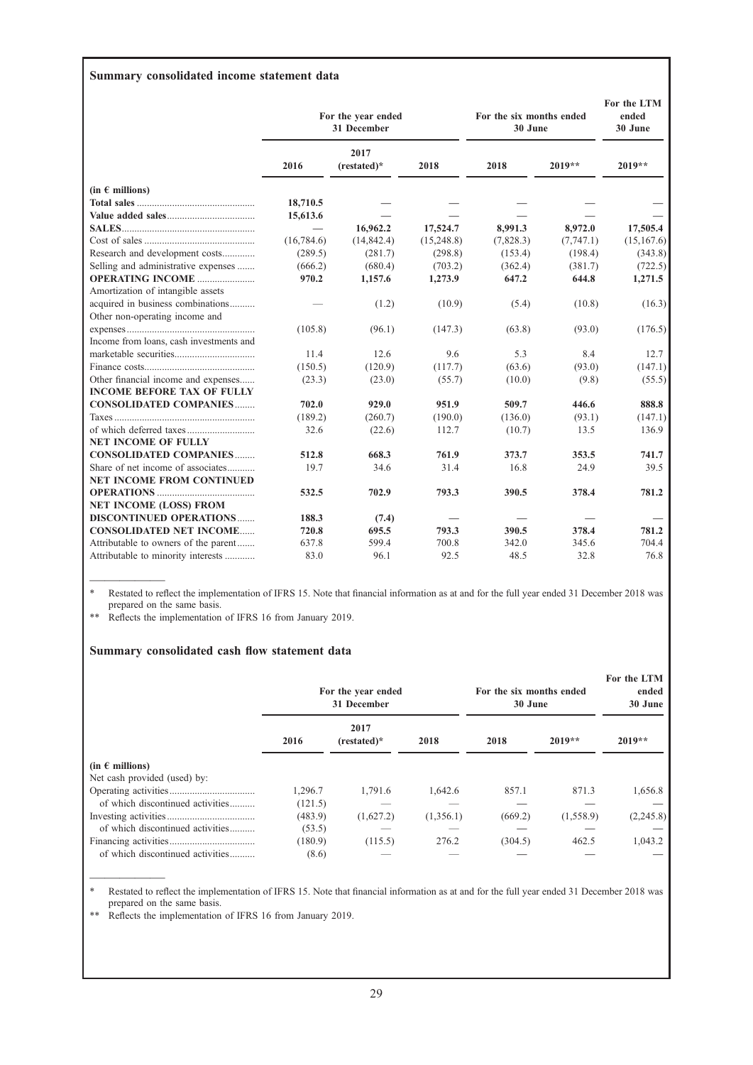# Summary consolidated income statement data

|                                         | For the year ended<br>31 December |                     |            | For the six months ended<br>30 June |           | For the LTM<br>ended<br>30 June |  |
|-----------------------------------------|-----------------------------------|---------------------|------------|-------------------------------------|-----------|---------------------------------|--|
|                                         | 2016                              | 2017<br>(restated)* | 2018       | 2018                                | $2019**$  | 2019**                          |  |
| (in $\epsilon$ millions)                |                                   |                     |            |                                     |           |                                 |  |
|                                         | 18,710.5                          |                     |            |                                     |           |                                 |  |
|                                         | 15,613.6                          |                     |            |                                     |           |                                 |  |
|                                         | $\overline{\phantom{0}}$          | 16,962.2            | 17,524.7   | 8,991.3                             | 8,972.0   | 17,505.4                        |  |
|                                         | (16,784.6)                        | (14, 842.4)         | (15,248.8) | (7,828.3)                           | (7,747.1) | (15,167.6)                      |  |
| Research and development costs          | (289.5)                           | (281.7)             | (298.8)    | (153.4)                             | (198.4)   | (343.8)                         |  |
| Selling and administrative expenses     | (666.2)                           | (680.4)             | (703.2)    | (362.4)                             | (381.7)   | (722.5)                         |  |
| <b>OPERATING INCOME </b>                | 970.2                             | 1,157.6             | 1,273.9    | 647.2                               | 644.8     | 1,271.5                         |  |
| Amortization of intangible assets       |                                   |                     |            |                                     |           |                                 |  |
| acquired in business combinations       |                                   | (1.2)               | (10.9)     | (5.4)                               | (10.8)    | (16.3)                          |  |
| Other non-operating income and          |                                   |                     |            |                                     |           |                                 |  |
|                                         | (105.8)                           | (96.1)              | (147.3)    | (63.8)                              | (93.0)    | (176.5)                         |  |
| Income from loans, cash investments and |                                   |                     |            |                                     |           |                                 |  |
|                                         | 11.4                              | 12.6                | 9.6        | 5.3                                 | 8.4       | 12.7                            |  |
|                                         | (150.5)                           | (120.9)             | (117.7)    | (63.6)                              | (93.0)    | (147.1)                         |  |
| Other financial income and expenses     | (23.3)                            | (23.0)              | (55.7)     | (10.0)                              | (9.8)     | (55.5)                          |  |
| <b>INCOME BEFORE TAX OF FULLY</b>       |                                   |                     |            |                                     |           |                                 |  |
| <b>CONSOLIDATED COMPANIES</b>           | 702.0                             | 929.0               | 951.9      | 509.7                               | 446.6     | 888.8                           |  |
|                                         | (189.2)                           | (260.7)             | (190.0)    | (136.0)                             | (93.1)    | (147.1)                         |  |
|                                         | 32.6                              | (22.6)              | 112.7      | (10.7)                              | 13.5      | 136.9                           |  |
| <b>NET INCOME OF FULLY</b>              |                                   |                     |            |                                     |           |                                 |  |
| <b>CONSOLIDATED COMPANIES</b>           | 512.8                             | 668.3               | 761.9      | 373.7                               | 353.5     | 741.7                           |  |
| Share of net income of associates       | 19.7                              | 34.6                | 31.4       | 16.8                                | 24.9      | 39.5                            |  |
| <b>NET INCOME FROM CONTINUED</b>        |                                   |                     |            |                                     |           |                                 |  |
|                                         | 532.5                             | 702.9               | 793.3      | 390.5                               | 378.4     | 781.2                           |  |
| <b>NET INCOME (LOSS) FROM</b>           |                                   |                     |            |                                     |           |                                 |  |
| <b>DISCONTINUED OPERATIONS</b>          | 188.3                             | (7.4)               |            |                                     |           |                                 |  |
| <b>CONSOLIDATED NET INCOME</b>          | 720.8                             | 695.5               | 793.3      | 390.5                               | 378.4     | 781.2                           |  |
| Attributable to owners of the parent    | 637.8                             | 599.4               | 700.8      | 342.0                               | 345.6     | 704.4                           |  |
| Attributable to minority interests      | 83.0                              | 96.1                | 92.5       | 48.5                                | 32.8      | 76.8                            |  |

————— \* Restated to reflect the implementation of IFRS 15. Note that financial information as at and for the full year ended 31 December 2018 was prepared on the same basis.

\*\* Reflects the implementation of IFRS 16 from January 2019.

## Summary consolidated cash flow statement data

|                                  | For the year ended<br>31 December |                     |           | For the six months ended<br>30 June |           | For the LTM<br>ended<br>30 June |  |
|----------------------------------|-----------------------------------|---------------------|-----------|-------------------------------------|-----------|---------------------------------|--|
|                                  | 2016                              | 2017<br>$(rested)*$ | 2018      | 2018                                | $2019**$  | $2019**$                        |  |
| (in $\epsilon$ millions)         |                                   |                     |           |                                     |           |                                 |  |
| Net cash provided (used) by:     |                                   |                     |           |                                     |           |                                 |  |
|                                  | 1.296.7                           | 1,791.6             | 1,642.6   | 857.1                               | 871.3     | 1,656.8                         |  |
| of which discontinued activities | (121.5)                           |                     |           |                                     |           |                                 |  |
|                                  | (483.9)                           | (1,627.2)           | (1,356.1) | (669.2)                             | (1,558.9) | (2,245.8)                       |  |
| of which discontinued activities | (53.5)                            | --                  |           |                                     |           |                                 |  |
|                                  | (180.9)                           | (115.5)             | 276.2     | (304.5)                             | 462.5     | 1,043.2                         |  |
| of which discontinued activities | (8.6)                             |                     |           |                                     |           |                                 |  |

\* Restated to reflect the implementation of IFRS 15. Note that financial information as at and for the full year ended 31 December 2018 was prepared on the same basis.

\*\* Reflects the implementation of IFRS 16 from January 2019.

—————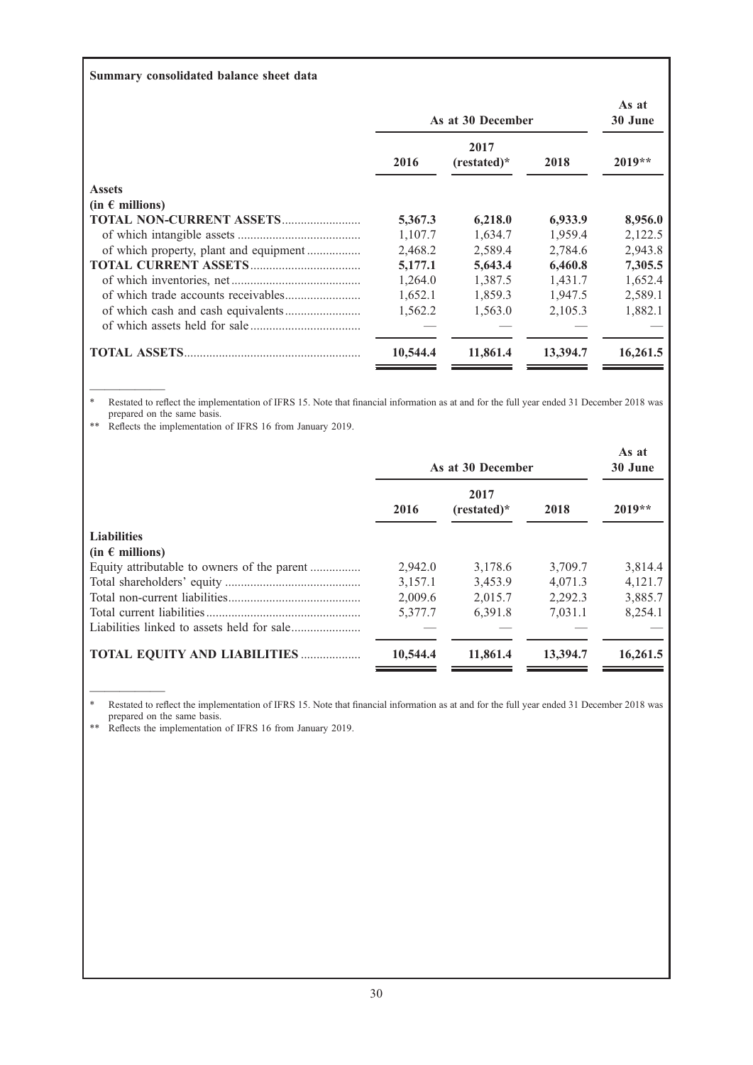# Summary consolidated balance sheet data

|                                        | As at 30 December | As at<br>30 June    |          |          |
|----------------------------------------|-------------------|---------------------|----------|----------|
|                                        | 2016              | 2017<br>$(rested)*$ | 2018     | $2019**$ |
| <b>Assets</b>                          |                   |                     |          |          |
| $(in \in millions)$                    |                   |                     |          |          |
| <b>TOTAL NON-CURRENT ASSETS</b>        | 5,367.3           | 6,218.0             | 6,933.9  | 8,956.0  |
|                                        | 1,107.7           | 1,634.7             | 1,959.4  | 2,122.5  |
| of which property, plant and equipment | 2,468.2           | 2,589.4             | 2,784.6  | 2,943.8  |
|                                        | 5,177.1           | 5,643.4             | 6,460.8  | 7,305.5  |
|                                        | 1,264.0           | 1,387.5             | 1,431.7  | 1,652.4  |
|                                        | 1,652.1           | 1,859.3             | 1,947.5  | 2,589.1  |
|                                        | 1,562.2           | 1,563.0             | 2.105.3  | 1,882.1  |
|                                        |                   |                     |          |          |
| <b>TOTAL ASSETS.</b>                   | 10,544.4          | 11,861.4            | 13,394.7 | 16,261.5 |

————— \* Restated to reflect the implementation of IFRS 15. Note that financial information as at and for the full year ended 31 December 2018 was prepared on the same basis.

\*\* Reflects the implementation of IFRS 16 from January 2019.

|                                             | As at 30 December | As at<br>30 June    |          |          |
|---------------------------------------------|-------------------|---------------------|----------|----------|
|                                             | 2016              | 2017<br>$(rested)*$ | 2018     | $2019**$ |
| <b>Liabilities</b>                          |                   |                     |          |          |
| $(in \in millions)$                         |                   |                     |          |          |
| Equity attributable to owners of the parent | 2,942.0           | 3,178.6             | 3,709.7  | 3,814.4  |
|                                             | 3,157.1           | 3,453.9             | 4.071.3  | 4,121.7  |
|                                             | 2,009.6           | 2,015.7             | 2.292.3  | 3,885.7  |
|                                             | 5,377.7           | 6,391.8             | 7,031.1  | 8,254.1  |
|                                             |                   |                     |          |          |
| <b>TOTAL EQUITY AND LIABILITIES </b>        | 10,544.4          | 11,861.4            | 13,394.7 | 16,261.5 |

————— \* Restated to reflect the implementation of IFRS 15. Note that financial information as at and for the full year ended 31 December 2018 was prepared on the same basis.

\*\* Reflects the implementation of IFRS 16 from January 2019.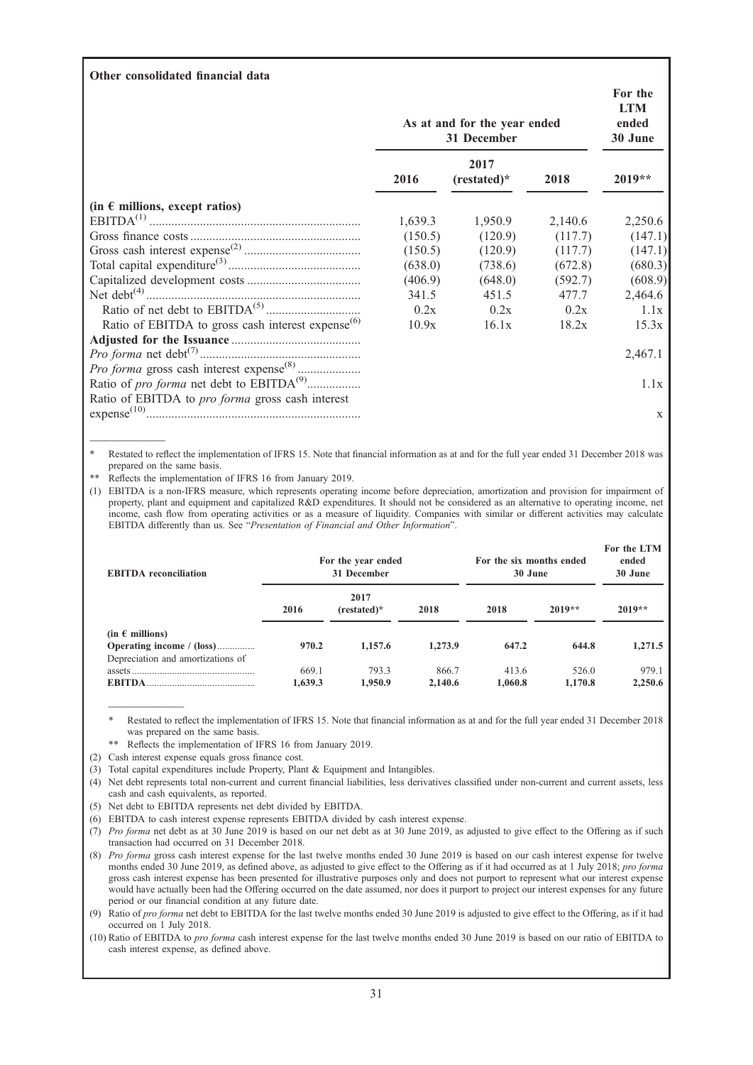## Other consolidated financial data

|                                                                            | As at and for the year ended<br>31 December | For the<br><b>LTM</b><br>ended<br>30 June |         |          |
|----------------------------------------------------------------------------|---------------------------------------------|-------------------------------------------|---------|----------|
|                                                                            | 2016                                        | 2017<br>$(rested)*$                       | 2018    | $2019**$ |
| (in $\epsilon$ millions, except ratios)                                    |                                             |                                           |         |          |
|                                                                            | 1,639.3                                     | 1,950.9                                   | 2,140.6 | 2,250.6  |
|                                                                            | (150.5)                                     | (120.9)                                   | (117.7) | (147.1)  |
|                                                                            | (150.5)                                     | (120.9)                                   | (117.7) | (147.1)  |
|                                                                            | (638.0)                                     | (738.6)                                   | (672.8) | (680.3)  |
|                                                                            | (406.9)                                     | (648.0)                                   | (592.7) | (608.9)  |
|                                                                            | 341.5                                       | 451.5                                     | 477.7   | 2,464.6  |
|                                                                            | 0.2x                                        | 0.2x                                      | 0.2x    | 1.1x     |
| Ratio of EBITDA to gross cash interest expense <sup><math>(6)</math></sup> | 10.9x                                       | 16.1x                                     | 18.2x   | 15.3x    |
|                                                                            |                                             |                                           |         |          |
|                                                                            |                                             |                                           |         | 2,467.1  |
|                                                                            |                                             |                                           |         |          |
| Ratio of pro forma net debt to EBITDA <sup>(9)</sup>                       |                                             |                                           |         | 1.1x     |
| Ratio of EBITDA to pro forma gross cash interest                           |                                             |                                           |         |          |
|                                                                            |                                             |                                           |         | X        |
|                                                                            |                                             |                                           |         |          |

Restated to reflect the implementation of IFRS 15. Note that financial information as at and for the full year ended 31 December 2018 was prepared on the same basis.

\*\* Reflects the implementation of IFRS 16 from January 2019.

—————

(1) EBITDA is a non-IFRS measure, which represents operating income before depreciation, amortization and provision for impairment of property, plant and equipment and capitalized R&D expenditures. It should not be considered as an alternative to operating income, net income, cash flow from operating activities or as a measure of liquidity. Companies with similar or different activities may calculate EBITDA differently than us. See "Presentation of Financial and Other Information".

| <b>EBITDA</b> reconciliation      | For the year ended<br>31 December |                     |         | For the six months ended<br>30 June |          | For the LTM<br>ended<br>30 June |  |
|-----------------------------------|-----------------------------------|---------------------|---------|-------------------------------------|----------|---------------------------------|--|
|                                   | 2016                              | 2017<br>$(rested)*$ | 2018    | 2018                                | $2019**$ | $2019**$                        |  |
| (in $\epsilon$ millions)          |                                   |                     |         |                                     |          |                                 |  |
| Operating income / (loss)         | 970.2                             | 1,157.6             | 1,273.9 | 647.2                               | 644.8    | 1,271.5                         |  |
| Depreciation and amortizations of |                                   |                     |         |                                     |          |                                 |  |
|                                   | 669.1                             | 793.3               | 866.7   | 413.6                               | 526.0    | 979.1                           |  |
| <b>EBITDA</b>                     | 1.639.3                           | 1.950.9             | 2.140.6 | 1.060.8                             | 1,170.8  | 2,250.6                         |  |

————— Restated to reflect the implementation of IFRS 15. Note that financial information as at and for the full year ended 31 December 2018 was prepared on the same basis.

\*\* Reflects the implementation of IFRS 16 from January 2019.

(2) Cash interest expense equals gross finance cost.

- (3) Total capital expenditures include Property, Plant & Equipment and Intangibles.
- (4) Net debt represents total non-current and current financial liabilities, less derivatives classified under non-current and current assets, less cash and cash equivalents, as reported.
- (5) Net debt to EBITDA represents net debt divided by EBITDA.
- (6) EBITDA to cash interest expense represents EBITDA divided by cash interest expense.

(7) Pro forma net debt as at 30 June 2019 is based on our net debt as at 30 June 2019, as adjusted to give effect to the Offering as if such transaction had occurred on 31 December 2018.

(8) Pro forma gross cash interest expense for the last twelve months ended 30 June 2019 is based on our cash interest expense for twelve months ended 30 June 2019, as defined above, as adjusted to give effect to the Offering as if it had occurred as at 1 July 2018; pro forma gross cash interest expense has been presented for illustrative purposes only and does not purport to represent what our interest expense would have actually been had the Offering occurred on the date assumed, nor does it purport to project our interest expenses for any future period or our financial condition at any future date.

(9) Ratio of pro forma net debt to EBITDA for the last twelve months ended 30 June 2019 is adjusted to give effect to the Offering, as if it had occurred on 1 July 2018.

(10) Ratio of EBITDA to pro forma cash interest expense for the last twelve months ended 30 June 2019 is based on our ratio of EBITDA to cash interest expense, as defined above.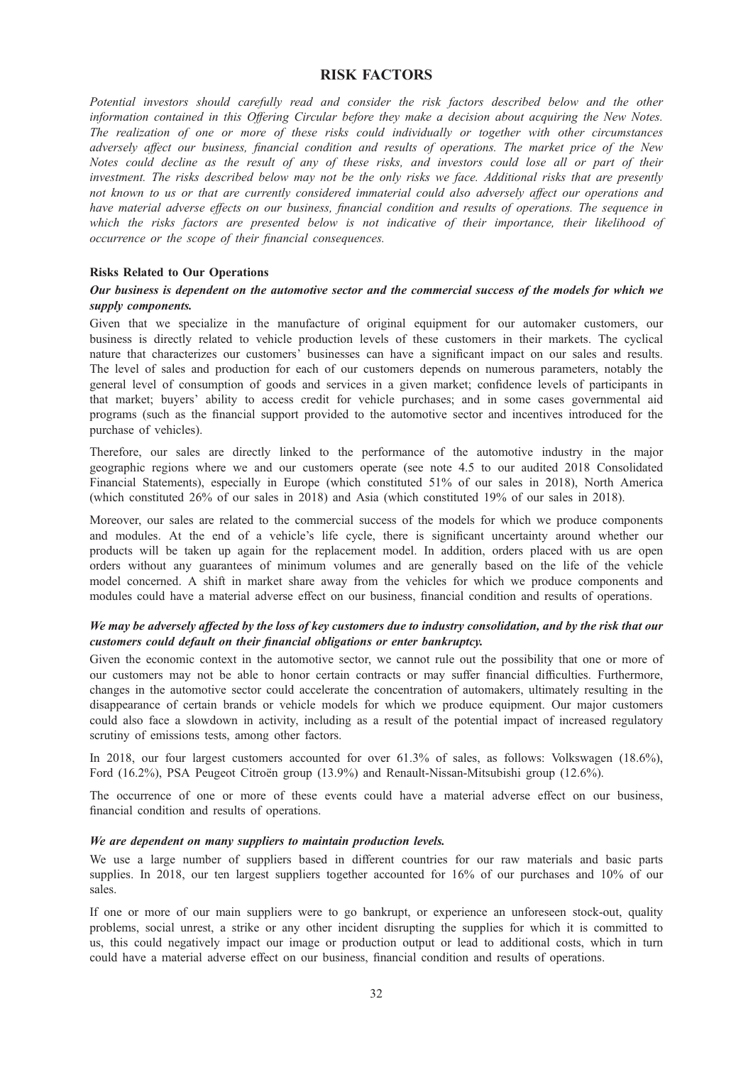# RISK FACTORS

Potential investors should carefully read and consider the risk factors described below and the other information contained in this Offering Circular before they make a decision about acquiring the New Notes. The realization of one or more of these risks could individually or together with other circumstances adversely affect our business, financial condition and results of operations. The market price of the New Notes could decline as the result of any of these risks, and investors could lose all or part of their investment. The risks described below may not be the only risks we face. Additional risks that are presently not known to us or that are currently considered immaterial could also adversely affect our operations and have material adverse effects on our business, financial condition and results of operations. The sequence in which the risks factors are presented below is not indicative of their importance, their likelihood of occurrence or the scope of their financial consequences.

## Risks Related to Our Operations

## Our business is dependent on the automotive sector and the commercial success of the models for which we supply components.

Given that we specialize in the manufacture of original equipment for our automaker customers, our business is directly related to vehicle production levels of these customers in their markets. The cyclical nature that characterizes our customers' businesses can have a significant impact on our sales and results. The level of sales and production for each of our customers depends on numerous parameters, notably the general level of consumption of goods and services in a given market; confidence levels of participants in that market; buyers' ability to access credit for vehicle purchases; and in some cases governmental aid programs (such as the financial support provided to the automotive sector and incentives introduced for the purchase of vehicles).

Therefore, our sales are directly linked to the performance of the automotive industry in the major geographic regions where we and our customers operate (see note 4.5 to our audited 2018 Consolidated Financial Statements), especially in Europe (which constituted 51% of our sales in 2018), North America (which constituted 26% of our sales in 2018) and Asia (which constituted 19% of our sales in 2018).

Moreover, our sales are related to the commercial success of the models for which we produce components and modules. At the end of a vehicle's life cycle, there is significant uncertainty around whether our products will be taken up again for the replacement model. In addition, orders placed with us are open orders without any guarantees of minimum volumes and are generally based on the life of the vehicle model concerned. A shift in market share away from the vehicles for which we produce components and modules could have a material adverse effect on our business, financial condition and results of operations.

## We may be adversely affected by the loss of key customers due to industry consolidation, and by the risk that our customers could default on their financial obligations or enter bankruptcy.

Given the economic context in the automotive sector, we cannot rule out the possibility that one or more of our customers may not be able to honor certain contracts or may suffer financial difficulties. Furthermore, changes in the automotive sector could accelerate the concentration of automakers, ultimately resulting in the disappearance of certain brands or vehicle models for which we produce equipment. Our major customers could also face a slowdown in activity, including as a result of the potential impact of increased regulatory scrutiny of emissions tests, among other factors.

In 2018, our four largest customers accounted for over 61.3% of sales, as follows: Volkswagen (18.6%), Ford (16.2%), PSA Peugeot Citroën group (13.9%) and Renault-Nissan-Mitsubishi group (12.6%).

The occurrence of one or more of these events could have a material adverse effect on our business, financial condition and results of operations.

### We are dependent on many suppliers to maintain production levels.

We use a large number of suppliers based in different countries for our raw materials and basic parts supplies. In 2018, our ten largest suppliers together accounted for 16% of our purchases and 10% of our sales.

If one or more of our main suppliers were to go bankrupt, or experience an unforeseen stock-out, quality problems, social unrest, a strike or any other incident disrupting the supplies for which it is committed to us, this could negatively impact our image or production output or lead to additional costs, which in turn could have a material adverse effect on our business, financial condition and results of operations.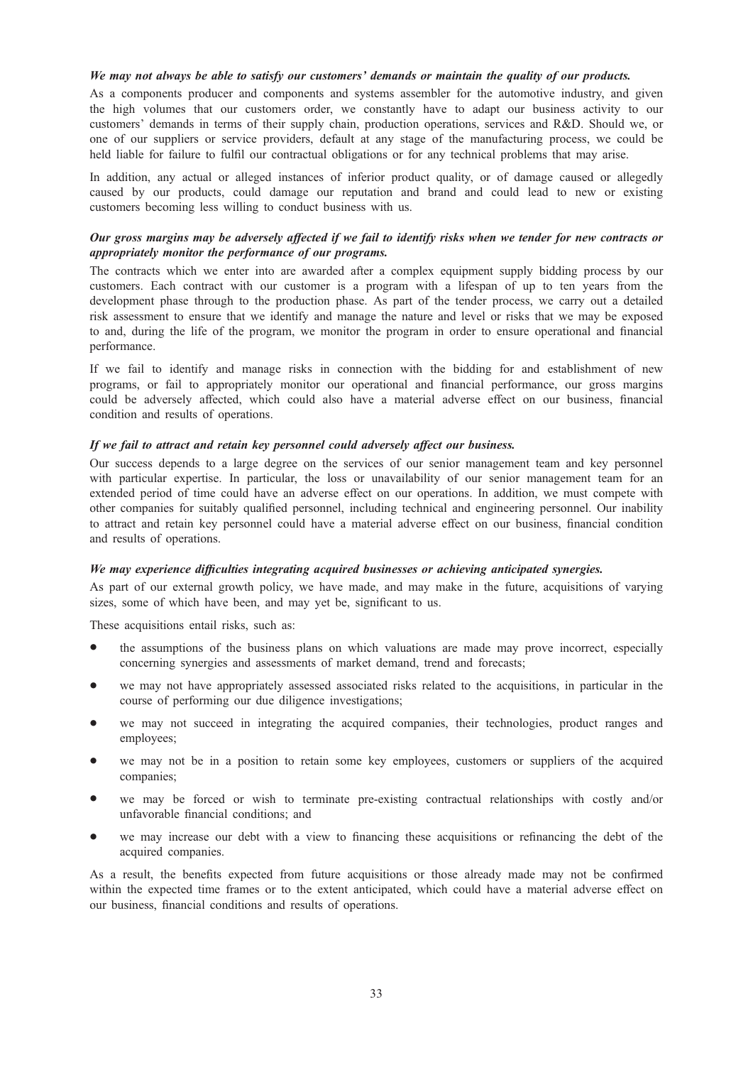## We may not always be able to satisfy our customers' demands or maintain the quality of our products.

As a components producer and components and systems assembler for the automotive industry, and given the high volumes that our customers order, we constantly have to adapt our business activity to our customers' demands in terms of their supply chain, production operations, services and R&D. Should we, or one of our suppliers or service providers, default at any stage of the manufacturing process, we could be held liable for failure to fulfil our contractual obligations or for any technical problems that may arise.

In addition, any actual or alleged instances of inferior product quality, or of damage caused or allegedly caused by our products, could damage our reputation and brand and could lead to new or existing customers becoming less willing to conduct business with us.

## Our gross margins may be adversely affected if we fail to identify risks when we tender for new contracts or appropriately monitor the performance of our programs.

The contracts which we enter into are awarded after a complex equipment supply bidding process by our customers. Each contract with our customer is a program with a lifespan of up to ten years from the development phase through to the production phase. As part of the tender process, we carry out a detailed risk assessment to ensure that we identify and manage the nature and level or risks that we may be exposed to and, during the life of the program, we monitor the program in order to ensure operational and financial performance.

If we fail to identify and manage risks in connection with the bidding for and establishment of new programs, or fail to appropriately monitor our operational and financial performance, our gross margins could be adversely affected, which could also have a material adverse effect on our business, financial condition and results of operations.

### If we fail to attract and retain key personnel could adversely affect our business.

Our success depends to a large degree on the services of our senior management team and key personnel with particular expertise. In particular, the loss or unavailability of our senior management team for an extended period of time could have an adverse effect on our operations. In addition, we must compete with other companies for suitably qualified personnel, including technical and engineering personnel. Our inability to attract and retain key personnel could have a material adverse effect on our business, financial condition and results of operations.

#### We may experience difficulties integrating acquired businesses or achieving anticipated synergies.

As part of our external growth policy, we have made, and may make in the future, acquisitions of varying sizes, some of which have been, and may yet be, significant to us.

These acquisitions entail risks, such as:

- the assumptions of the business plans on which valuations are made may prove incorrect, especially concerning synergies and assessments of market demand, trend and forecasts;
- we may not have appropriately assessed associated risks related to the acquisitions, in particular in the course of performing our due diligence investigations;
- we may not succeed in integrating the acquired companies, their technologies, product ranges and employees;
- we may not be in a position to retain some key employees, customers or suppliers of the acquired companies;
- we may be forced or wish to terminate pre-existing contractual relationships with costly and/or unfavorable financial conditions; and
- we may increase our debt with a view to financing these acquisitions or refinancing the debt of the acquired companies.

As a result, the benefits expected from future acquisitions or those already made may not be confirmed within the expected time frames or to the extent anticipated, which could have a material adverse effect on our business, financial conditions and results of operations.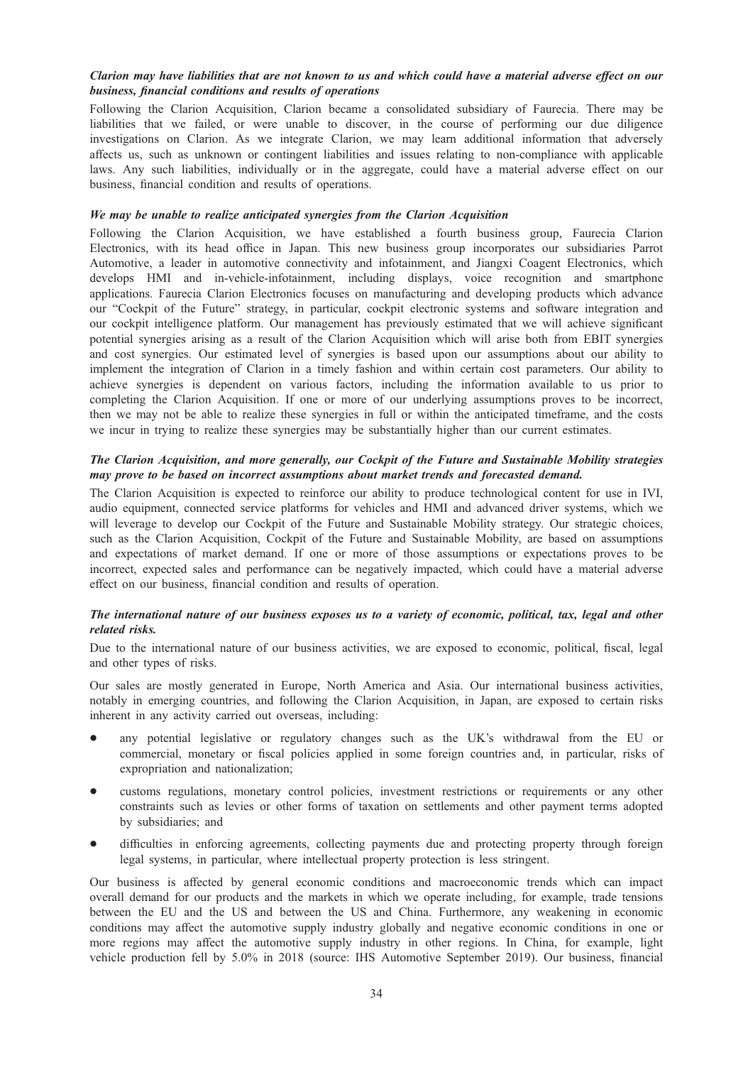# Clarion may have liabilities that are not known to us and which could have a material adverse effect on our business, financial conditions and results of operations

Following the Clarion Acquisition, Clarion became a consolidated subsidiary of Faurecia. There may be liabilities that we failed, or were unable to discover, in the course of performing our due diligence investigations on Clarion. As we integrate Clarion, we may learn additional information that adversely affects us, such as unknown or contingent liabilities and issues relating to non-compliance with applicable laws. Any such liabilities, individually or in the aggregate, could have a material adverse effect on our business, financial condition and results of operations.

## We may be unable to realize anticipated synergies from the Clarion Acquisition

Following the Clarion Acquisition, we have established a fourth business group, Faurecia Clarion Electronics, with its head office in Japan. This new business group incorporates our subsidiaries Parrot Automotive, a leader in automotive connectivity and infotainment, and Jiangxi Coagent Electronics, which develops HMI and in-vehicle-infotainment, including displays, voice recognition and smartphone applications. Faurecia Clarion Electronics focuses on manufacturing and developing products which advance our "Cockpit of the Future" strategy, in particular, cockpit electronic systems and software integration and our cockpit intelligence platform. Our management has previously estimated that we will achieve significant potential synergies arising as a result of the Clarion Acquisition which will arise both from EBIT synergies and cost synergies. Our estimated level of synergies is based upon our assumptions about our ability to implement the integration of Clarion in a timely fashion and within certain cost parameters. Our ability to achieve synergies is dependent on various factors, including the information available to us prior to completing the Clarion Acquisition. If one or more of our underlying assumptions proves to be incorrect, then we may not be able to realize these synergies in full or within the anticipated timeframe, and the costs we incur in trying to realize these synergies may be substantially higher than our current estimates.

## The Clarion Acquisition, and more generally, our Cockpit of the Future and Sustainable Mobility strategies may prove to be based on incorrect assumptions about market trends and forecasted demand.

The Clarion Acquisition is expected to reinforce our ability to produce technological content for use in IVI, audio equipment, connected service platforms for vehicles and HMI and advanced driver systems, which we will leverage to develop our Cockpit of the Future and Sustainable Mobility strategy. Our strategic choices, such as the Clarion Acquisition, Cockpit of the Future and Sustainable Mobility, are based on assumptions and expectations of market demand. If one or more of those assumptions or expectations proves to be incorrect, expected sales and performance can be negatively impacted, which could have a material adverse effect on our business, financial condition and results of operation.

## The international nature of our business exposes us to a variety of economic, political, tax, legal and other related risks.

Due to the international nature of our business activities, we are exposed to economic, political, fiscal, legal and other types of risks.

Our sales are mostly generated in Europe, North America and Asia. Our international business activities, notably in emerging countries, and following the Clarion Acquisition, in Japan, are exposed to certain risks inherent in any activity carried out overseas, including:

- any potential legislative or regulatory changes such as the UK's withdrawal from the EU or commercial, monetary or fiscal policies applied in some foreign countries and, in particular, risks of expropriation and nationalization;
- customs regulations, monetary control policies, investment restrictions or requirements or any other constraints such as levies or other forms of taxation on settlements and other payment terms adopted by subsidiaries; and
- difficulties in enforcing agreements, collecting payments due and protecting property through foreign legal systems, in particular, where intellectual property protection is less stringent.

Our business is affected by general economic conditions and macroeconomic trends which can impact overall demand for our products and the markets in which we operate including, for example, trade tensions between the EU and the US and between the US and China. Furthermore, any weakening in economic conditions may affect the automotive supply industry globally and negative economic conditions in one or more regions may affect the automotive supply industry in other regions. In China, for example, light vehicle production fell by 5.0% in 2018 (source: IHS Automotive September 2019). Our business, financial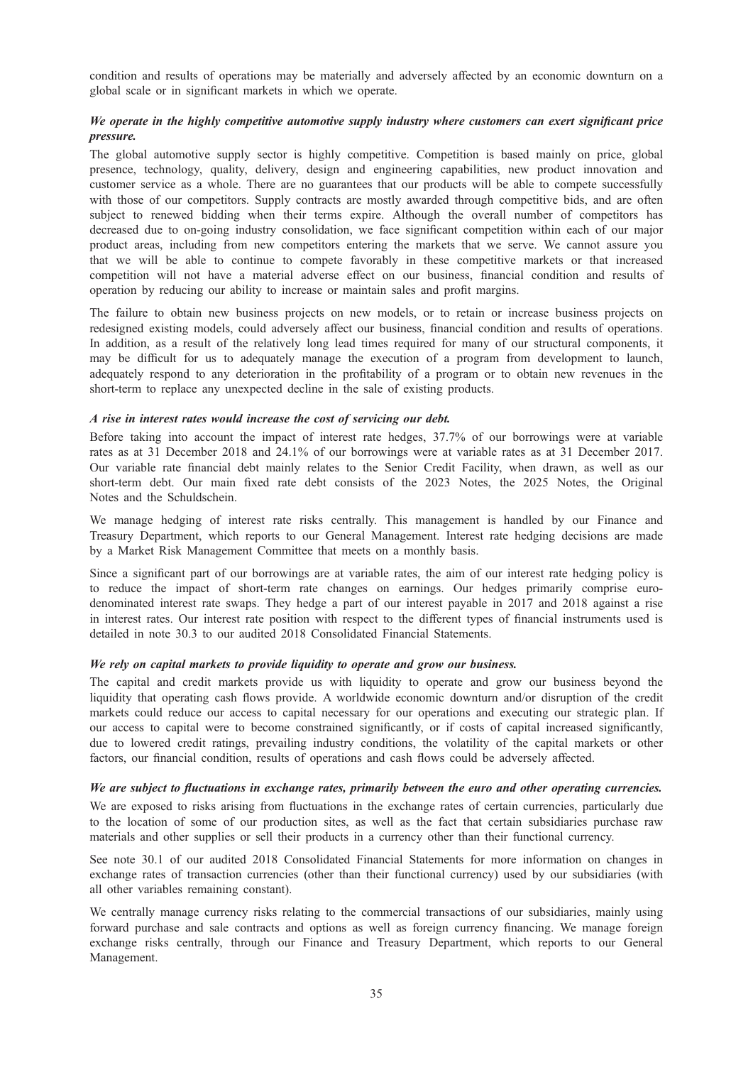condition and results of operations may be materially and adversely affected by an economic downturn on a global scale or in significant markets in which we operate.

## We operate in the highly competitive automotive supply industry where customers can exert significant price pressure.

The global automotive supply sector is highly competitive. Competition is based mainly on price, global presence, technology, quality, delivery, design and engineering capabilities, new product innovation and customer service as a whole. There are no guarantees that our products will be able to compete successfully with those of our competitors. Supply contracts are mostly awarded through competitive bids, and are often subject to renewed bidding when their terms expire. Although the overall number of competitors has decreased due to on-going industry consolidation, we face significant competition within each of our major product areas, including from new competitors entering the markets that we serve. We cannot assure you that we will be able to continue to compete favorably in these competitive markets or that increased competition will not have a material adverse effect on our business, financial condition and results of operation by reducing our ability to increase or maintain sales and profit margins.

The failure to obtain new business projects on new models, or to retain or increase business projects on redesigned existing models, could adversely affect our business, financial condition and results of operations. In addition, as a result of the relatively long lead times required for many of our structural components, it may be difficult for us to adequately manage the execution of a program from development to launch, adequately respond to any deterioration in the profitability of a program or to obtain new revenues in the short-term to replace any unexpected decline in the sale of existing products.

### A rise in interest rates would increase the cost of servicing our debt.

Before taking into account the impact of interest rate hedges, 37.7% of our borrowings were at variable rates as at 31 December 2018 and 24.1% of our borrowings were at variable rates as at 31 December 2017. Our variable rate financial debt mainly relates to the Senior Credit Facility, when drawn, as well as our short-term debt. Our main fixed rate debt consists of the 2023 Notes, the 2025 Notes, the Original Notes and the Schuldschein.

We manage hedging of interest rate risks centrally. This management is handled by our Finance and Treasury Department, which reports to our General Management. Interest rate hedging decisions are made by a Market Risk Management Committee that meets on a monthly basis.

Since a significant part of our borrowings are at variable rates, the aim of our interest rate hedging policy is to reduce the impact of short-term rate changes on earnings. Our hedges primarily comprise eurodenominated interest rate swaps. They hedge a part of our interest payable in 2017 and 2018 against a rise in interest rates. Our interest rate position with respect to the different types of financial instruments used is detailed in note 30.3 to our audited 2018 Consolidated Financial Statements.

#### We rely on capital markets to provide liquidity to operate and grow our business.

The capital and credit markets provide us with liquidity to operate and grow our business beyond the liquidity that operating cash flows provide. A worldwide economic downturn and/or disruption of the credit markets could reduce our access to capital necessary for our operations and executing our strategic plan. If our access to capital were to become constrained significantly, or if costs of capital increased significantly, due to lowered credit ratings, prevailing industry conditions, the volatility of the capital markets or other factors, our financial condition, results of operations and cash flows could be adversely affected.

#### We are subject to fluctuations in exchange rates, primarily between the euro and other operating currencies.

We are exposed to risks arising from fluctuations in the exchange rates of certain currencies, particularly due to the location of some of our production sites, as well as the fact that certain subsidiaries purchase raw materials and other supplies or sell their products in a currency other than their functional currency.

See note 30.1 of our audited 2018 Consolidated Financial Statements for more information on changes in exchange rates of transaction currencies (other than their functional currency) used by our subsidiaries (with all other variables remaining constant).

We centrally manage currency risks relating to the commercial transactions of our subsidiaries, mainly using forward purchase and sale contracts and options as well as foreign currency financing. We manage foreign exchange risks centrally, through our Finance and Treasury Department, which reports to our General Management.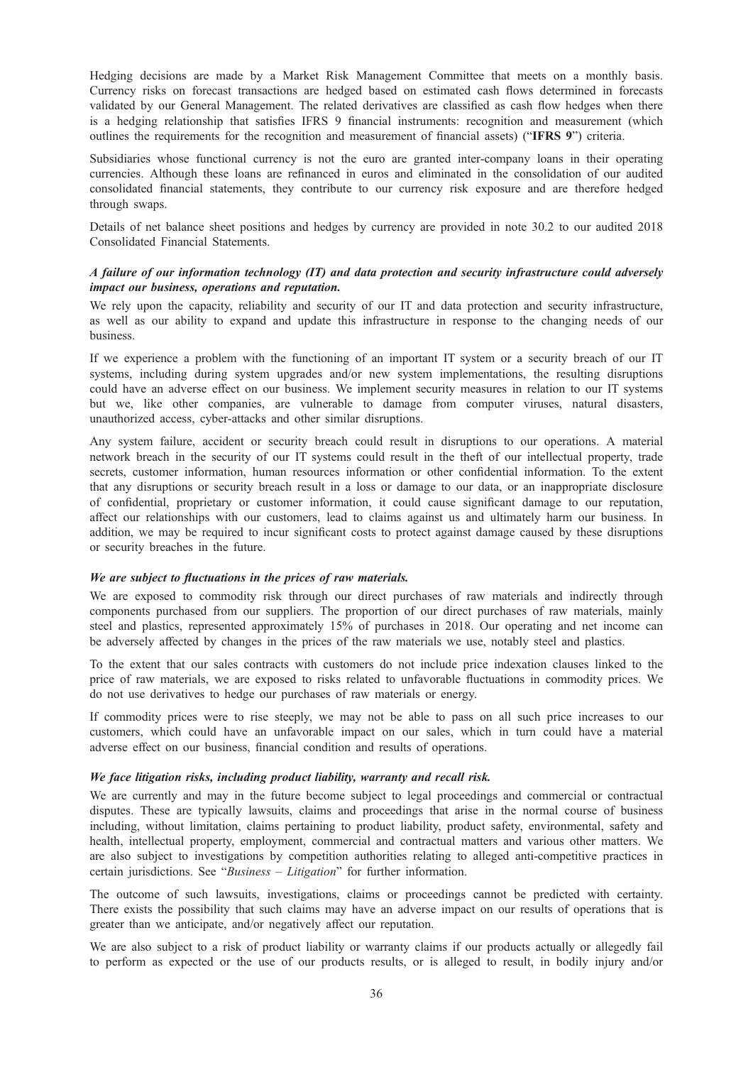Hedging decisions are made by a Market Risk Management Committee that meets on a monthly basis. Currency risks on forecast transactions are hedged based on estimated cash flows determined in forecasts validated by our General Management. The related derivatives are classified as cash flow hedges when there is a hedging relationship that satisfies IFRS 9 financial instruments: recognition and measurement (which outlines the requirements for the recognition and measurement of financial assets) ("IFRS 9") criteria.

Subsidiaries whose functional currency is not the euro are granted inter-company loans in their operating currencies. Although these loans are refinanced in euros and eliminated in the consolidation of our audited consolidated financial statements, they contribute to our currency risk exposure and are therefore hedged through swaps.

Details of net balance sheet positions and hedges by currency are provided in note 30.2 to our audited 2018 Consolidated Financial Statements.

## A failure of our information technology (IT) and data protection and security infrastructure could adversely impact our business, operations and reputation.

We rely upon the capacity, reliability and security of our IT and data protection and security infrastructure, as well as our ability to expand and update this infrastructure in response to the changing needs of our business.

If we experience a problem with the functioning of an important IT system or a security breach of our IT systems, including during system upgrades and/or new system implementations, the resulting disruptions could have an adverse effect on our business. We implement security measures in relation to our IT systems but we, like other companies, are vulnerable to damage from computer viruses, natural disasters, unauthorized access, cyber-attacks and other similar disruptions.

Any system failure, accident or security breach could result in disruptions to our operations. A material network breach in the security of our IT systems could result in the theft of our intellectual property, trade secrets, customer information, human resources information or other confidential information. To the extent that any disruptions or security breach result in a loss or damage to our data, or an inappropriate disclosure of confidential, proprietary or customer information, it could cause significant damage to our reputation, affect our relationships with our customers, lead to claims against us and ultimately harm our business. In addition, we may be required to incur significant costs to protect against damage caused by these disruptions or security breaches in the future.

### We are subject to fluctuations in the prices of raw materials.

We are exposed to commodity risk through our direct purchases of raw materials and indirectly through components purchased from our suppliers. The proportion of our direct purchases of raw materials, mainly steel and plastics, represented approximately 15% of purchases in 2018. Our operating and net income can be adversely affected by changes in the prices of the raw materials we use, notably steel and plastics.

To the extent that our sales contracts with customers do not include price indexation clauses linked to the price of raw materials, we are exposed to risks related to unfavorable fluctuations in commodity prices. We do not use derivatives to hedge our purchases of raw materials or energy.

If commodity prices were to rise steeply, we may not be able to pass on all such price increases to our customers, which could have an unfavorable impact on our sales, which in turn could have a material adverse effect on our business, financial condition and results of operations.

### We face litigation risks, including product liability, warranty and recall risk.

We are currently and may in the future become subject to legal proceedings and commercial or contractual disputes. These are typically lawsuits, claims and proceedings that arise in the normal course of business including, without limitation, claims pertaining to product liability, product safety, environmental, safety and health, intellectual property, employment, commercial and contractual matters and various other matters. We are also subject to investigations by competition authorities relating to alleged anti-competitive practices in certain jurisdictions. See "Business – Litigation" for further information.

The outcome of such lawsuits, investigations, claims or proceedings cannot be predicted with certainty. There exists the possibility that such claims may have an adverse impact on our results of operations that is greater than we anticipate, and/or negatively affect our reputation.

We are also subject to a risk of product liability or warranty claims if our products actually or allegedly fail to perform as expected or the use of our products results, or is alleged to result, in bodily injury and/or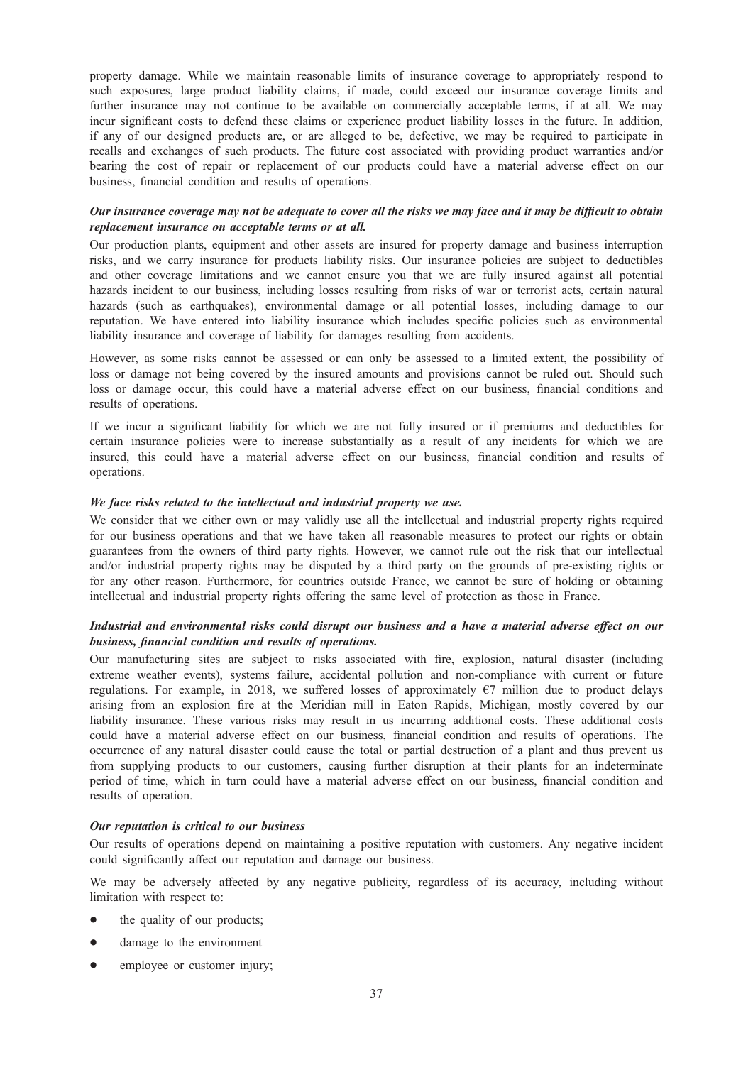property damage. While we maintain reasonable limits of insurance coverage to appropriately respond to such exposures, large product liability claims, if made, could exceed our insurance coverage limits and further insurance may not continue to be available on commercially acceptable terms, if at all. We may incur significant costs to defend these claims or experience product liability losses in the future. In addition, if any of our designed products are, or are alleged to be, defective, we may be required to participate in recalls and exchanges of such products. The future cost associated with providing product warranties and/or bearing the cost of repair or replacement of our products could have a material adverse effect on our business, financial condition and results of operations.

## Our insurance coverage may not be adequate to cover all the risks we may face and it may be difficult to obtain replacement insurance on acceptable terms or at all.

Our production plants, equipment and other assets are insured for property damage and business interruption risks, and we carry insurance for products liability risks. Our insurance policies are subject to deductibles and other coverage limitations and we cannot ensure you that we are fully insured against all potential hazards incident to our business, including losses resulting from risks of war or terrorist acts, certain natural hazards (such as earthquakes), environmental damage or all potential losses, including damage to our reputation. We have entered into liability insurance which includes specific policies such as environmental liability insurance and coverage of liability for damages resulting from accidents.

However, as some risks cannot be assessed or can only be assessed to a limited extent, the possibility of loss or damage not being covered by the insured amounts and provisions cannot be ruled out. Should such loss or damage occur, this could have a material adverse effect on our business, financial conditions and results of operations.

If we incur a significant liability for which we are not fully insured or if premiums and deductibles for certain insurance policies were to increase substantially as a result of any incidents for which we are insured, this could have a material adverse effect on our business, financial condition and results of operations.

### We face risks related to the intellectual and industrial property we use.

We consider that we either own or may validly use all the intellectual and industrial property rights required for our business operations and that we have taken all reasonable measures to protect our rights or obtain guarantees from the owners of third party rights. However, we cannot rule out the risk that our intellectual and/or industrial property rights may be disputed by a third party on the grounds of pre-existing rights or for any other reason. Furthermore, for countries outside France, we cannot be sure of holding or obtaining intellectual and industrial property rights offering the same level of protection as those in France.

## Industrial and environmental risks could disrupt our business and a have a material adverse effect on our business, financial condition and results of operations.

Our manufacturing sites are subject to risks associated with fire, explosion, natural disaster (including extreme weather events), systems failure, accidental pollution and non-compliance with current or future regulations. For example, in 2018, we suffered losses of approximately €7 million due to product delays arising from an explosion fire at the Meridian mill in Eaton Rapids, Michigan, mostly covered by our liability insurance. These various risks may result in us incurring additional costs. These additional costs could have a material adverse effect on our business, financial condition and results of operations. The occurrence of any natural disaster could cause the total or partial destruction of a plant and thus prevent us from supplying products to our customers, causing further disruption at their plants for an indeterminate period of time, which in turn could have a material adverse effect on our business, financial condition and results of operation.

### Our reputation is critical to our business

Our results of operations depend on maintaining a positive reputation with customers. Any negative incident could significantly affect our reputation and damage our business.

We may be adversely affected by any negative publicity, regardless of its accuracy, including without limitation with respect to:

- the quality of our products;
- damage to the environment
- employee or customer injury;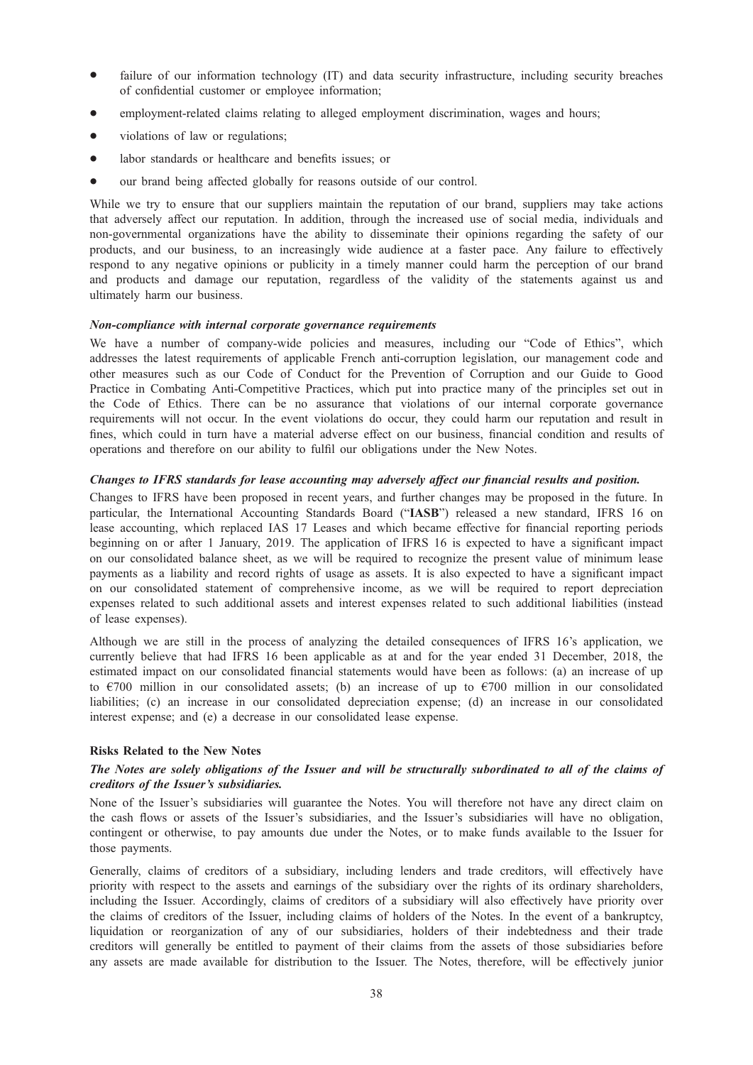- failure of our information technology (IT) and data security infrastructure, including security breaches of confidential customer or employee information;
- employment-related claims relating to alleged employment discrimination, wages and hours;
- violations of law or regulations;
- \* labor standards or healthcare and benefits issues; or
- our brand being affected globally for reasons outside of our control.

While we try to ensure that our suppliers maintain the reputation of our brand, suppliers may take actions that adversely affect our reputation. In addition, through the increased use of social media, individuals and non-governmental organizations have the ability to disseminate their opinions regarding the safety of our products, and our business, to an increasingly wide audience at a faster pace. Any failure to effectively respond to any negative opinions or publicity in a timely manner could harm the perception of our brand and products and damage our reputation, regardless of the validity of the statements against us and ultimately harm our business.

### Non-compliance with internal corporate governance requirements

We have a number of company-wide policies and measures, including our "Code of Ethics", which addresses the latest requirements of applicable French anti-corruption legislation, our management code and other measures such as our Code of Conduct for the Prevention of Corruption and our Guide to Good Practice in Combating Anti-Competitive Practices, which put into practice many of the principles set out in the Code of Ethics. There can be no assurance that violations of our internal corporate governance requirements will not occur. In the event violations do occur, they could harm our reputation and result in fines, which could in turn have a material adverse effect on our business, financial condition and results of operations and therefore on our ability to fulfil our obligations under the New Notes.

## Changes to IFRS standards for lease accounting may adversely affect our financial results and position.

Changes to IFRS have been proposed in recent years, and further changes may be proposed in the future. In particular, the International Accounting Standards Board ("IASB") released a new standard, IFRS 16 on lease accounting, which replaced IAS 17 Leases and which became effective for financial reporting periods beginning on or after 1 January, 2019. The application of IFRS 16 is expected to have a significant impact on our consolidated balance sheet, as we will be required to recognize the present value of minimum lease payments as a liability and record rights of usage as assets. It is also expected to have a significant impact on our consolidated statement of comprehensive income, as we will be required to report depreciation expenses related to such additional assets and interest expenses related to such additional liabilities (instead of lease expenses).

Although we are still in the process of analyzing the detailed consequences of IFRS 16's application, we currently believe that had IFRS 16 been applicable as at and for the year ended 31 December, 2018, the estimated impact on our consolidated financial statements would have been as follows: (a) an increase of up to  $\epsilon$ 700 million in our consolidated assets; (b) an increase of up to  $\epsilon$ 700 million in our consolidated liabilities; (c) an increase in our consolidated depreciation expense; (d) an increase in our consolidated interest expense; and (e) a decrease in our consolidated lease expense.

### Risks Related to the New Notes

## The Notes are solely obligations of the Issuer and will be structurally subordinated to all of the claims of creditors of the Issuer's subsidiaries.

None of the Issuer's subsidiaries will guarantee the Notes. You will therefore not have any direct claim on the cash flows or assets of the Issuer's subsidiaries, and the Issuer's subsidiaries will have no obligation, contingent or otherwise, to pay amounts due under the Notes, or to make funds available to the Issuer for those payments.

Generally, claims of creditors of a subsidiary, including lenders and trade creditors, will effectively have priority with respect to the assets and earnings of the subsidiary over the rights of its ordinary shareholders, including the Issuer. Accordingly, claims of creditors of a subsidiary will also effectively have priority over the claims of creditors of the Issuer, including claims of holders of the Notes. In the event of a bankruptcy, liquidation or reorganization of any of our subsidiaries, holders of their indebtedness and their trade creditors will generally be entitled to payment of their claims from the assets of those subsidiaries before any assets are made available for distribution to the Issuer. The Notes, therefore, will be effectively junior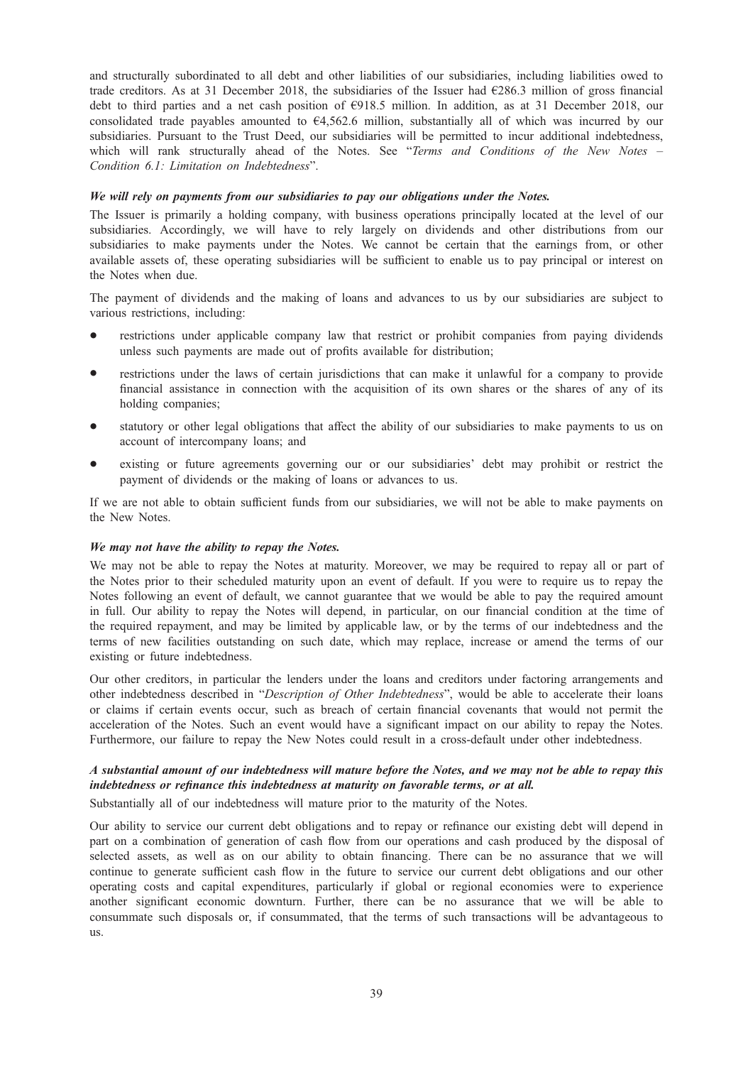and structurally subordinated to all debt and other liabilities of our subsidiaries, including liabilities owed to trade creditors. As at 31 December 2018, the subsidiaries of the Issuer had €286.3 million of gross financial debt to third parties and a net cash position of €918.5 million. In addition, as at 31 December 2018, our consolidated trade payables amounted to  $64,562.6$  million, substantially all of which was incurred by our subsidiaries. Pursuant to the Trust Deed, our subsidiaries will be permitted to incur additional indebtedness, which will rank structurally ahead of the Notes. See "Terms and Conditions of the New Notes – Condition 6.1: Limitation on Indebtedness".

### We will rely on payments from our subsidiaries to pay our obligations under the Notes.

The Issuer is primarily a holding company, with business operations principally located at the level of our subsidiaries. Accordingly, we will have to rely largely on dividends and other distributions from our subsidiaries to make payments under the Notes. We cannot be certain that the earnings from, or other available assets of, these operating subsidiaries will be sufficient to enable us to pay principal or interest on the Notes when due.

The payment of dividends and the making of loans and advances to us by our subsidiaries are subject to various restrictions, including:

- restrictions under applicable company law that restrict or prohibit companies from paying dividends unless such payments are made out of profits available for distribution;
- restrictions under the laws of certain jurisdictions that can make it unlawful for a company to provide financial assistance in connection with the acquisition of its own shares or the shares of any of its holding companies;
- statutory or other legal obligations that affect the ability of our subsidiaries to make payments to us on account of intercompany loans; and
- existing or future agreements governing our or our subsidiaries' debt may prohibit or restrict the payment of dividends or the making of loans or advances to us.

If we are not able to obtain sufficient funds from our subsidiaries, we will not be able to make payments on the New Notes.

### We may not have the ability to repay the Notes.

We may not be able to repay the Notes at maturity. Moreover, we may be required to repay all or part of the Notes prior to their scheduled maturity upon an event of default. If you were to require us to repay the Notes following an event of default, we cannot guarantee that we would be able to pay the required amount in full. Our ability to repay the Notes will depend, in particular, on our financial condition at the time of the required repayment, and may be limited by applicable law, or by the terms of our indebtedness and the terms of new facilities outstanding on such date, which may replace, increase or amend the terms of our existing or future indebtedness.

Our other creditors, in particular the lenders under the loans and creditors under factoring arrangements and other indebtedness described in "Description of Other Indebtedness", would be able to accelerate their loans or claims if certain events occur, such as breach of certain financial covenants that would not permit the acceleration of the Notes. Such an event would have a significant impact on our ability to repay the Notes. Furthermore, our failure to repay the New Notes could result in a cross-default under other indebtedness.

# A substantial amount of our indebtedness will mature before the Notes, and we may not be able to repay this indebtedness or refinance this indebtedness at maturity on favorable terms, or at all.

Substantially all of our indebtedness will mature prior to the maturity of the Notes.

Our ability to service our current debt obligations and to repay or refinance our existing debt will depend in part on a combination of generation of cash flow from our operations and cash produced by the disposal of selected assets, as well as on our ability to obtain financing. There can be no assurance that we will continue to generate sufficient cash flow in the future to service our current debt obligations and our other operating costs and capital expenditures, particularly if global or regional economies were to experience another significant economic downturn. Further, there can be no assurance that we will be able to consummate such disposals or, if consummated, that the terms of such transactions will be advantageous to us.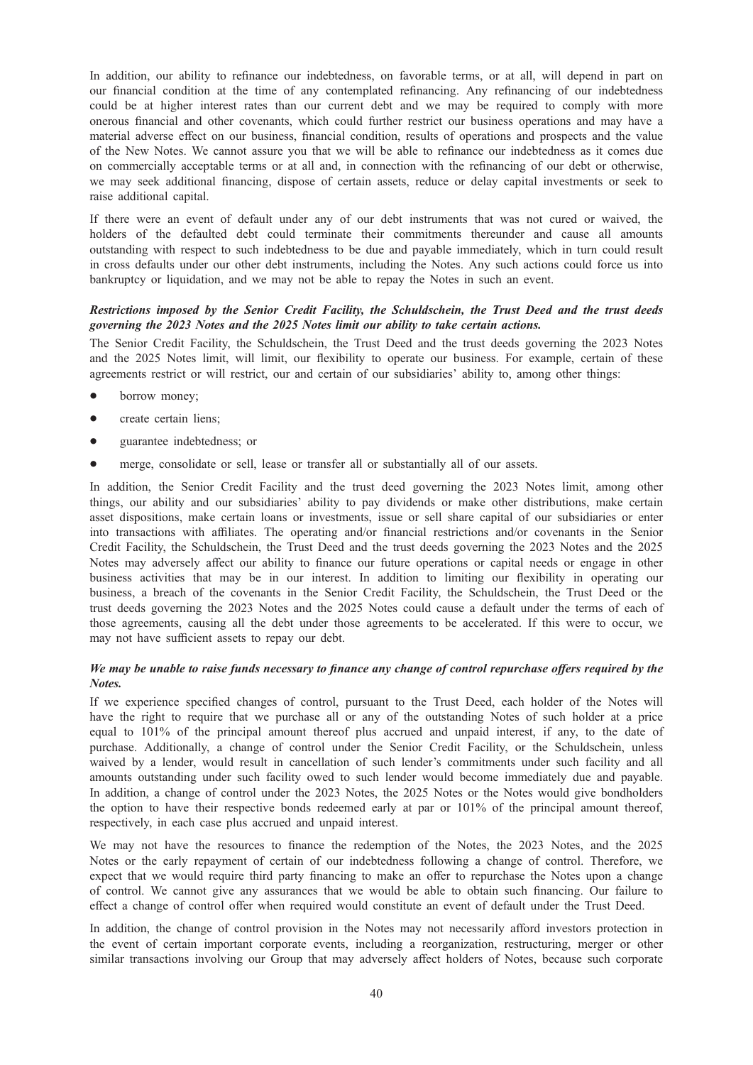In addition, our ability to refinance our indebtedness, on favorable terms, or at all, will depend in part on our financial condition at the time of any contemplated refinancing. Any refinancing of our indebtedness could be at higher interest rates than our current debt and we may be required to comply with more onerous financial and other covenants, which could further restrict our business operations and may have a material adverse effect on our business, financial condition, results of operations and prospects and the value of the New Notes. We cannot assure you that we will be able to refinance our indebtedness as it comes due on commercially acceptable terms or at all and, in connection with the refinancing of our debt or otherwise, we may seek additional financing, dispose of certain assets, reduce or delay capital investments or seek to raise additional capital.

If there were an event of default under any of our debt instruments that was not cured or waived, the holders of the defaulted debt could terminate their commitments thereunder and cause all amounts outstanding with respect to such indebtedness to be due and payable immediately, which in turn could result in cross defaults under our other debt instruments, including the Notes. Any such actions could force us into bankruptcy or liquidation, and we may not be able to repay the Notes in such an event.

## Restrictions imposed by the Senior Credit Facility, the Schuldschein, the Trust Deed and the trust deeds governing the 2023 Notes and the 2025 Notes limit our ability to take certain actions.

The Senior Credit Facility, the Schuldschein, the Trust Deed and the trust deeds governing the 2023 Notes and the 2025 Notes limit, will limit, our flexibility to operate our business. For example, certain of these agreements restrict or will restrict, our and certain of our subsidiaries' ability to, among other things:

- borrow money;
- create certain liens;
- guarantee indebtedness; or
- merge, consolidate or sell, lease or transfer all or substantially all of our assets.

In addition, the Senior Credit Facility and the trust deed governing the 2023 Notes limit, among other things, our ability and our subsidiaries' ability to pay dividends or make other distributions, make certain asset dispositions, make certain loans or investments, issue or sell share capital of our subsidiaries or enter into transactions with affiliates. The operating and/or financial restrictions and/or covenants in the Senior Credit Facility, the Schuldschein, the Trust Deed and the trust deeds governing the 2023 Notes and the 2025 Notes may adversely affect our ability to finance our future operations or capital needs or engage in other business activities that may be in our interest. In addition to limiting our flexibility in operating our business, a breach of the covenants in the Senior Credit Facility, the Schuldschein, the Trust Deed or the trust deeds governing the 2023 Notes and the 2025 Notes could cause a default under the terms of each of those agreements, causing all the debt under those agreements to be accelerated. If this were to occur, we may not have sufficient assets to repay our debt.

## We may be unable to raise funds necessary to finance any change of control repurchase offers required by the Notes.

If we experience specified changes of control, pursuant to the Trust Deed, each holder of the Notes will have the right to require that we purchase all or any of the outstanding Notes of such holder at a price equal to 101% of the principal amount thereof plus accrued and unpaid interest, if any, to the date of purchase. Additionally, a change of control under the Senior Credit Facility, or the Schuldschein, unless waived by a lender, would result in cancellation of such lender's commitments under such facility and all amounts outstanding under such facility owed to such lender would become immediately due and payable. In addition, a change of control under the 2023 Notes, the 2025 Notes or the Notes would give bondholders the option to have their respective bonds redeemed early at par or 101% of the principal amount thereof, respectively, in each case plus accrued and unpaid interest.

We may not have the resources to finance the redemption of the Notes, the 2023 Notes, and the 2025 Notes or the early repayment of certain of our indebtedness following a change of control. Therefore, we expect that we would require third party financing to make an offer to repurchase the Notes upon a change of control. We cannot give any assurances that we would be able to obtain such financing. Our failure to effect a change of control offer when required would constitute an event of default under the Trust Deed.

In addition, the change of control provision in the Notes may not necessarily afford investors protection in the event of certain important corporate events, including a reorganization, restructuring, merger or other similar transactions involving our Group that may adversely affect holders of Notes, because such corporate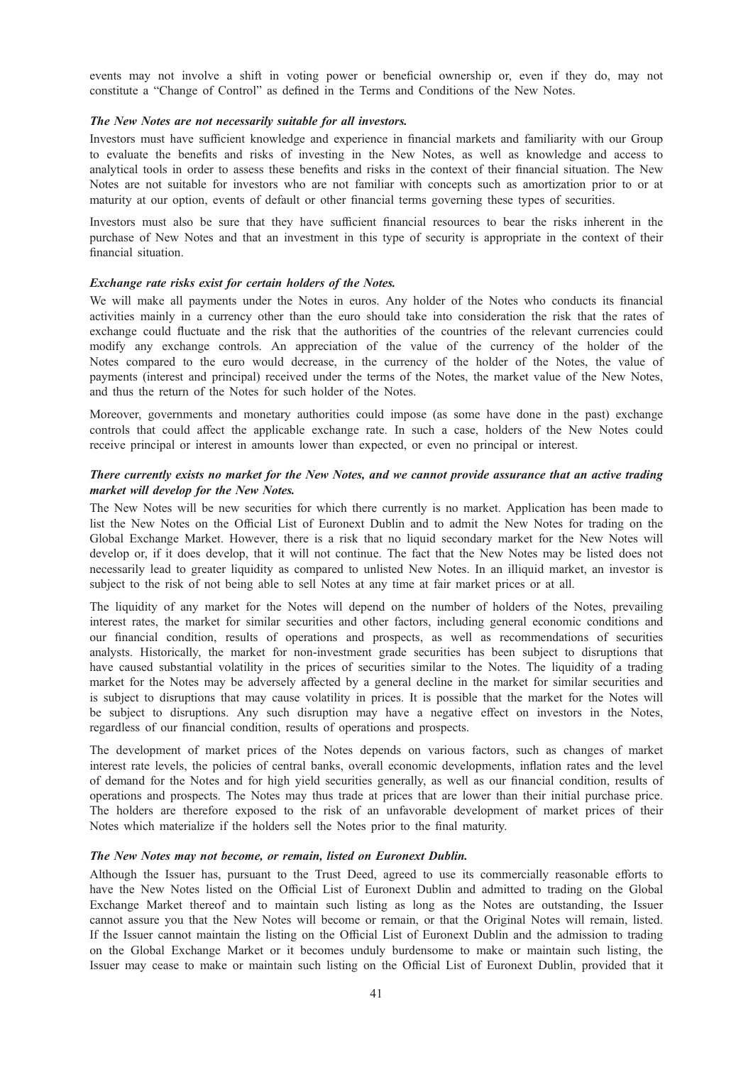events may not involve a shift in voting power or beneficial ownership or, even if they do, may not constitute a "Change of Control" as defined in the Terms and Conditions of the New Notes.

## The New Notes are not necessarily suitable for all investors.

Investors must have sufficient knowledge and experience in financial markets and familiarity with our Group to evaluate the benefits and risks of investing in the New Notes, as well as knowledge and access to analytical tools in order to assess these benefits and risks in the context of their financial situation. The New Notes are not suitable for investors who are not familiar with concepts such as amortization prior to or at maturity at our option, events of default or other financial terms governing these types of securities.

Investors must also be sure that they have sufficient financial resources to bear the risks inherent in the purchase of New Notes and that an investment in this type of security is appropriate in the context of their financial situation.

## Exchange rate risks exist for certain holders of the Notes.

We will make all payments under the Notes in euros. Any holder of the Notes who conducts its financial activities mainly in a currency other than the euro should take into consideration the risk that the rates of exchange could fluctuate and the risk that the authorities of the countries of the relevant currencies could modify any exchange controls. An appreciation of the value of the currency of the holder of the Notes compared to the euro would decrease, in the currency of the holder of the Notes, the value of payments (interest and principal) received under the terms of the Notes, the market value of the New Notes, and thus the return of the Notes for such holder of the Notes.

Moreover, governments and monetary authorities could impose (as some have done in the past) exchange controls that could affect the applicable exchange rate. In such a case, holders of the New Notes could receive principal or interest in amounts lower than expected, or even no principal or interest.

## There currently exists no market for the New Notes, and we cannot provide assurance that an active trading market will develop for the New Notes.

The New Notes will be new securities for which there currently is no market. Application has been made to list the New Notes on the Official List of Euronext Dublin and to admit the New Notes for trading on the Global Exchange Market. However, there is a risk that no liquid secondary market for the New Notes will develop or, if it does develop, that it will not continue. The fact that the New Notes may be listed does not necessarily lead to greater liquidity as compared to unlisted New Notes. In an illiquid market, an investor is subject to the risk of not being able to sell Notes at any time at fair market prices or at all.

The liquidity of any market for the Notes will depend on the number of holders of the Notes, prevailing interest rates, the market for similar securities and other factors, including general economic conditions and our financial condition, results of operations and prospects, as well as recommendations of securities analysts. Historically, the market for non-investment grade securities has been subject to disruptions that have caused substantial volatility in the prices of securities similar to the Notes. The liquidity of a trading market for the Notes may be adversely affected by a general decline in the market for similar securities and is subject to disruptions that may cause volatility in prices. It is possible that the market for the Notes will be subject to disruptions. Any such disruption may have a negative effect on investors in the Notes, regardless of our financial condition, results of operations and prospects.

The development of market prices of the Notes depends on various factors, such as changes of market interest rate levels, the policies of central banks, overall economic developments, inflation rates and the level of demand for the Notes and for high yield securities generally, as well as our financial condition, results of operations and prospects. The Notes may thus trade at prices that are lower than their initial purchase price. The holders are therefore exposed to the risk of an unfavorable development of market prices of their Notes which materialize if the holders sell the Notes prior to the final maturity.

#### The New Notes may not become, or remain, listed on Euronext Dublin.

Although the Issuer has, pursuant to the Trust Deed, agreed to use its commercially reasonable efforts to have the New Notes listed on the Official List of Euronext Dublin and admitted to trading on the Global Exchange Market thereof and to maintain such listing as long as the Notes are outstanding, the Issuer cannot assure you that the New Notes will become or remain, or that the Original Notes will remain, listed. If the Issuer cannot maintain the listing on the Official List of Euronext Dublin and the admission to trading on the Global Exchange Market or it becomes unduly burdensome to make or maintain such listing, the Issuer may cease to make or maintain such listing on the Official List of Euronext Dublin, provided that it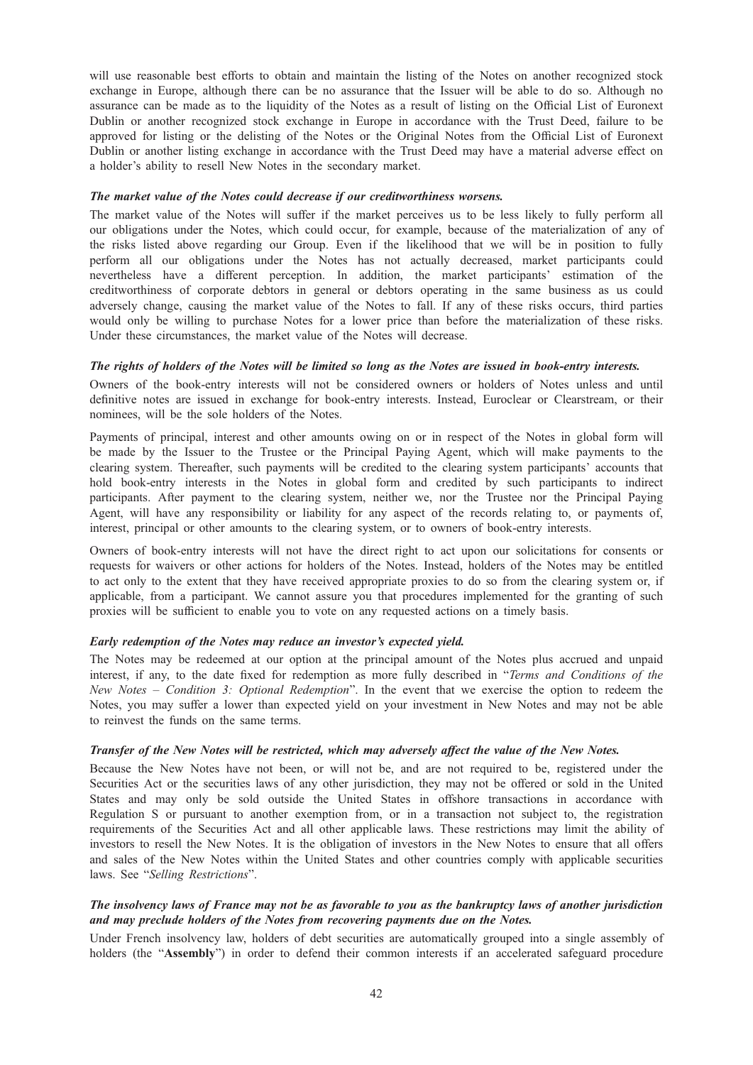will use reasonable best efforts to obtain and maintain the listing of the Notes on another recognized stock exchange in Europe, although there can be no assurance that the Issuer will be able to do so. Although no assurance can be made as to the liquidity of the Notes as a result of listing on the Official List of Euronext Dublin or another recognized stock exchange in Europe in accordance with the Trust Deed, failure to be approved for listing or the delisting of the Notes or the Original Notes from the Official List of Euronext Dublin or another listing exchange in accordance with the Trust Deed may have a material adverse effect on a holder's ability to resell New Notes in the secondary market.

### The market value of the Notes could decrease if our creditworthiness worsens.

The market value of the Notes will suffer if the market perceives us to be less likely to fully perform all our obligations under the Notes, which could occur, for example, because of the materialization of any of the risks listed above regarding our Group. Even if the likelihood that we will be in position to fully perform all our obligations under the Notes has not actually decreased, market participants could nevertheless have a different perception. In addition, the market participants' estimation of the creditworthiness of corporate debtors in general or debtors operating in the same business as us could adversely change, causing the market value of the Notes to fall. If any of these risks occurs, third parties would only be willing to purchase Notes for a lower price than before the materialization of these risks. Under these circumstances, the market value of the Notes will decrease.

## The rights of holders of the Notes will be limited so long as the Notes are issued in book-entry interests.

Owners of the book-entry interests will not be considered owners or holders of Notes unless and until definitive notes are issued in exchange for book-entry interests. Instead, Euroclear or Clearstream, or their nominees, will be the sole holders of the Notes.

Payments of principal, interest and other amounts owing on or in respect of the Notes in global form will be made by the Issuer to the Trustee or the Principal Paying Agent, which will make payments to the clearing system. Thereafter, such payments will be credited to the clearing system participants' accounts that hold book-entry interests in the Notes in global form and credited by such participants to indirect participants. After payment to the clearing system, neither we, nor the Trustee nor the Principal Paying Agent, will have any responsibility or liability for any aspect of the records relating to, or payments of, interest, principal or other amounts to the clearing system, or to owners of book-entry interests.

Owners of book-entry interests will not have the direct right to act upon our solicitations for consents or requests for waivers or other actions for holders of the Notes. Instead, holders of the Notes may be entitled to act only to the extent that they have received appropriate proxies to do so from the clearing system or, if applicable, from a participant. We cannot assure you that procedures implemented for the granting of such proxies will be sufficient to enable you to vote on any requested actions on a timely basis.

### Early redemption of the Notes may reduce an investor's expected yield.

The Notes may be redeemed at our option at the principal amount of the Notes plus accrued and unpaid interest, if any, to the date fixed for redemption as more fully described in "Terms and Conditions of the New Notes – Condition 3: Optional Redemption". In the event that we exercise the option to redeem the Notes, you may suffer a lower than expected yield on your investment in New Notes and may not be able to reinvest the funds on the same terms.

#### Transfer of the New Notes will be restricted, which may adversely affect the value of the New Notes.

Because the New Notes have not been, or will not be, and are not required to be, registered under the Securities Act or the securities laws of any other jurisdiction, they may not be offered or sold in the United States and may only be sold outside the United States in offshore transactions in accordance with Regulation S or pursuant to another exemption from, or in a transaction not subject to, the registration requirements of the Securities Act and all other applicable laws. These restrictions may limit the ability of investors to resell the New Notes. It is the obligation of investors in the New Notes to ensure that all offers and sales of the New Notes within the United States and other countries comply with applicable securities laws. See "Selling Restrictions".

## The insolvency laws of France may not be as favorable to you as the bankruptcy laws of another jurisdiction and may preclude holders of the Notes from recovering payments due on the Notes.

Under French insolvency law, holders of debt securities are automatically grouped into a single assembly of holders (the "Assembly") in order to defend their common interests if an accelerated safeguard procedure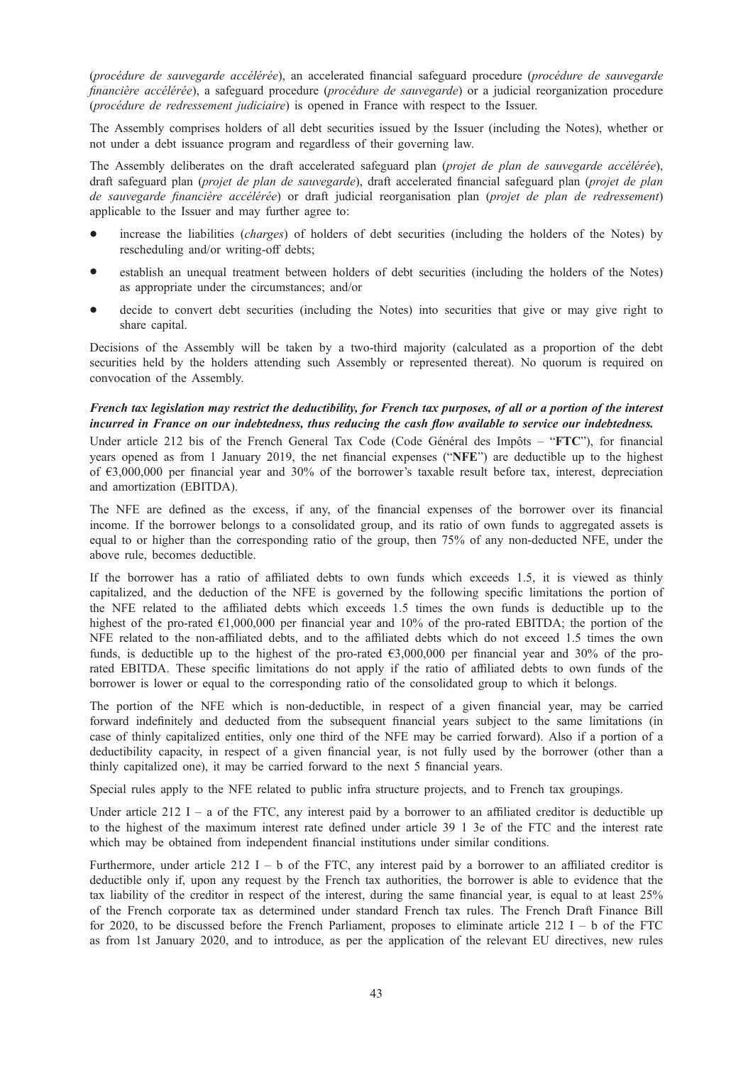(procédure de sauvegarde accélérée), an accelerated financial safeguard procedure (procédure de sauvegarde financière accélérée), a safeguard procedure (procédure de sauvegarde) or a judicial reorganization procedure (procédure de redressement judiciaire) is opened in France with respect to the Issuer.

The Assembly comprises holders of all debt securities issued by the Issuer (including the Notes), whether or not under a debt issuance program and regardless of their governing law.

The Assembly deliberates on the draft accelerated safeguard plan (projet de plan de sauvegarde accélérée), draft safeguard plan (projet de plan de sauvegarde), draft accelerated financial safeguard plan (projet de plan de sauvegarde financière accélérée) or draft judicial reorganisation plan (projet de plan de redressement) applicable to the Issuer and may further agree to:

- increase the liabilities (*charges*) of holders of debt securities (including the holders of the Notes) by rescheduling and/or writing-off debts;
- establish an unequal treatment between holders of debt securities (including the holders of the Notes) as appropriate under the circumstances; and/or
- decide to convert debt securities (including the Notes) into securities that give or may give right to share capital.

Decisions of the Assembly will be taken by a two-third majority (calculated as a proportion of the debt securities held by the holders attending such Assembly or represented thereat). No quorum is required on convocation of the Assembly.

# French tax legislation may restrict the deductibility, for French tax purposes, of all or a portion of the interest incurred in France on our indebtedness, thus reducing the cash flow available to service our indebtedness.

Under article 212 bis of the French General Tax Code (Code Général des Impôts – "FTC"), for financial years opened as from 1 January 2019, the net financial expenses ("NFE") are deductible up to the highest of €3,000,000 per financial year and 30% of the borrower's taxable result before tax, interest, depreciation and amortization (EBITDA).

The NFE are defined as the excess, if any, of the financial expenses of the borrower over its financial income. If the borrower belongs to a consolidated group, and its ratio of own funds to aggregated assets is equal to or higher than the corresponding ratio of the group, then 75% of any non-deducted NFE, under the above rule, becomes deductible.

If the borrower has a ratio of affiliated debts to own funds which exceeds 1.5, it is viewed as thinly capitalized, and the deduction of the NFE is governed by the following specific limitations the portion of the NFE related to the affiliated debts which exceeds 1.5 times the own funds is deductible up to the highest of the pro-rated  $\epsilon$ 1,000,000 per financial year and 10% of the pro-rated EBITDA; the portion of the NFE related to the non-affiliated debts, and to the affiliated debts which do not exceed 1.5 times the own funds, is deductible up to the highest of the pro-rated  $\epsilon$ 3,000,000 per financial year and 30% of the prorated EBITDA. These specific limitations do not apply if the ratio of affiliated debts to own funds of the borrower is lower or equal to the corresponding ratio of the consolidated group to which it belongs.

The portion of the NFE which is non-deductible, in respect of a given financial year, may be carried forward indefinitely and deducted from the subsequent financial years subject to the same limitations (in case of thinly capitalized entities, only one third of the NFE may be carried forward). Also if a portion of a deductibility capacity, in respect of a given financial year, is not fully used by the borrower (other than a thinly capitalized one), it may be carried forward to the next 5 financial years.

Special rules apply to the NFE related to public infra structure projects, and to French tax groupings.

Under article  $212$  I – a of the FTC, any interest paid by a borrower to an affiliated creditor is deductible up to the highest of the maximum interest rate defined under article 39 1 3e of the FTC and the interest rate which may be obtained from independent financial institutions under similar conditions.

Furthermore, under article 212 I – b of the FTC, any interest paid by a borrower to an affiliated creditor is deductible only if, upon any request by the French tax authorities, the borrower is able to evidence that the tax liability of the creditor in respect of the interest, during the same financial year, is equal to at least 25% of the French corporate tax as determined under standard French tax rules. The French Draft Finance Bill for 2020, to be discussed before the French Parliament, proposes to eliminate article 212 I – b of the FTC as from 1st January 2020, and to introduce, as per the application of the relevant EU directives, new rules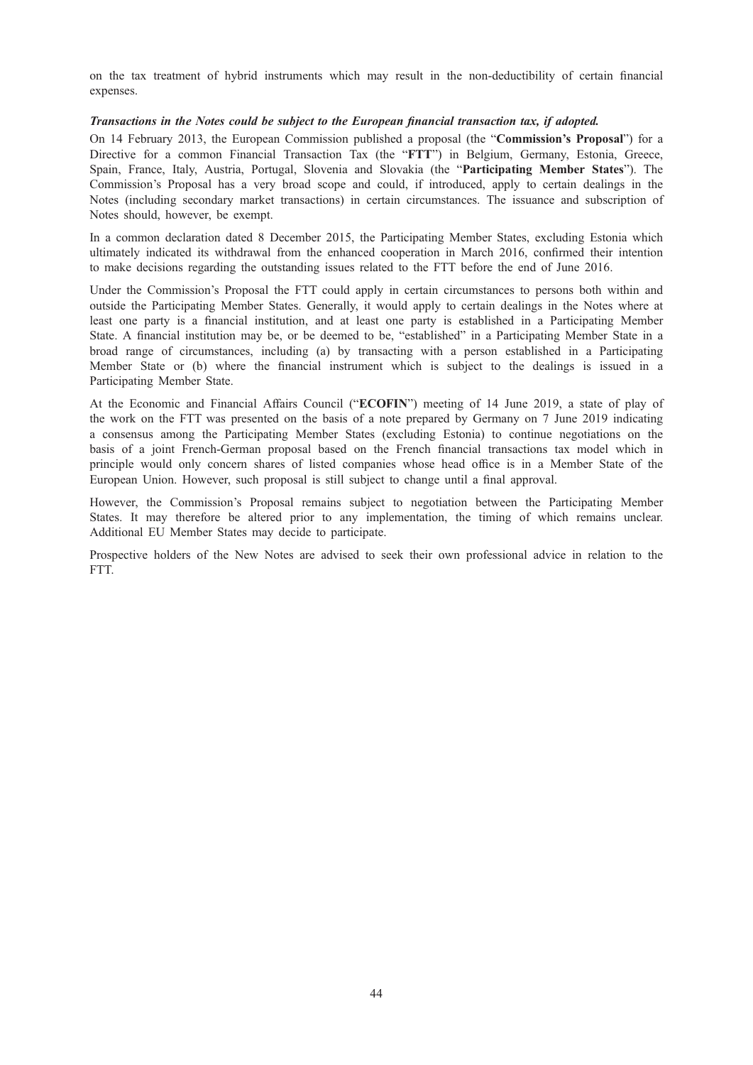on the tax treatment of hybrid instruments which may result in the non-deductibility of certain financial expenses.

## Transactions in the Notes could be subject to the European financial transaction tax, if adopted.

On 14 February 2013, the European Commission published a proposal (the "Commission's Proposal") for a Directive for a common Financial Transaction Tax (the "FTT") in Belgium, Germany, Estonia, Greece, Spain, France, Italy, Austria, Portugal, Slovenia and Slovakia (the "Participating Member States"). The Commission's Proposal has a very broad scope and could, if introduced, apply to certain dealings in the Notes (including secondary market transactions) in certain circumstances. The issuance and subscription of Notes should, however, be exempt.

In a common declaration dated 8 December 2015, the Participating Member States, excluding Estonia which ultimately indicated its withdrawal from the enhanced cooperation in March 2016, confirmed their intention to make decisions regarding the outstanding issues related to the FTT before the end of June 2016.

Under the Commission's Proposal the FTT could apply in certain circumstances to persons both within and outside the Participating Member States. Generally, it would apply to certain dealings in the Notes where at least one party is a financial institution, and at least one party is established in a Participating Member State. A financial institution may be, or be deemed to be, "established" in a Participating Member State in a broad range of circumstances, including (a) by transacting with a person established in a Participating Member State or (b) where the financial instrument which is subject to the dealings is issued in a Participating Member State.

At the Economic and Financial Affairs Council ("ECOFIN") meeting of 14 June 2019, a state of play of the work on the FTT was presented on the basis of a note prepared by Germany on 7 June 2019 indicating a consensus among the Participating Member States (excluding Estonia) to continue negotiations on the basis of a joint French-German proposal based on the French financial transactions tax model which in principle would only concern shares of listed companies whose head office is in a Member State of the European Union. However, such proposal is still subject to change until a final approval.

However, the Commission's Proposal remains subject to negotiation between the Participating Member States. It may therefore be altered prior to any implementation, the timing of which remains unclear. Additional EU Member States may decide to participate.

Prospective holders of the New Notes are advised to seek their own professional advice in relation to the FTT.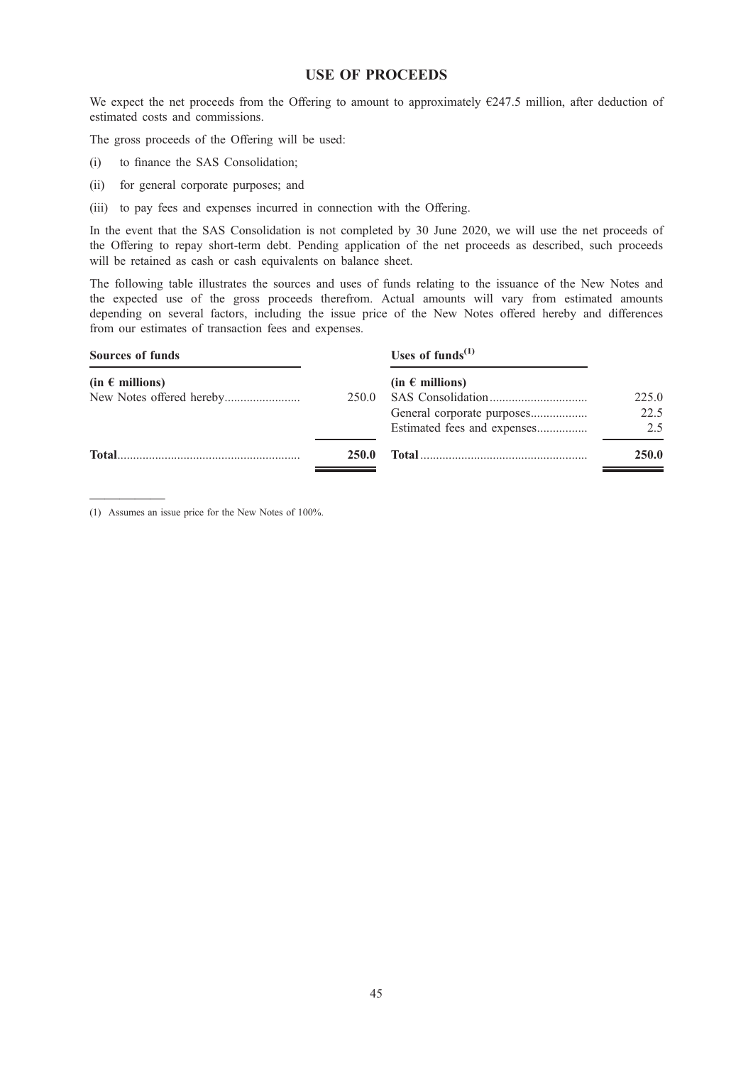## USE OF PROCEEDS

We expect the net proceeds from the Offering to amount to approximately  $E247.5$  million, after deduction of estimated costs and commissions.

The gross proceeds of the Offering will be used:

- (i) to finance the SAS Consolidation;
- (ii) for general corporate purposes; and
- (iii) to pay fees and expenses incurred in connection with the Offering.

In the event that the SAS Consolidation is not completed by 30 June 2020, we will use the net proceeds of the Offering to repay short-term debt. Pending application of the net proceeds as described, such proceeds will be retained as cash or cash equivalents on balance sheet.

The following table illustrates the sources and uses of funds relating to the issuance of the New Notes and the expected use of the gross proceeds therefrom. Actual amounts will vary from estimated amounts depending on several factors, including the issue price of the New Notes offered hereby and differences from our estimates of transaction fees and expenses.

| <b>Sources of funds</b> |              | Uses of funds $^{(1)}$      |              |
|-------------------------|--------------|-----------------------------|--------------|
| $(in \in millions)$     |              | $(in \in millions)$         |              |
|                         | 250.0        |                             | 225.0        |
|                         |              | General corporate purposes  | 22.5         |
|                         |              | Estimated fees and expenses | 2.5          |
| <b>Total</b>            | <b>250.0</b> |                             | <b>250.0</b> |
|                         |              |                             |              |

————— (1) Assumes an issue price for the New Notes of 100%.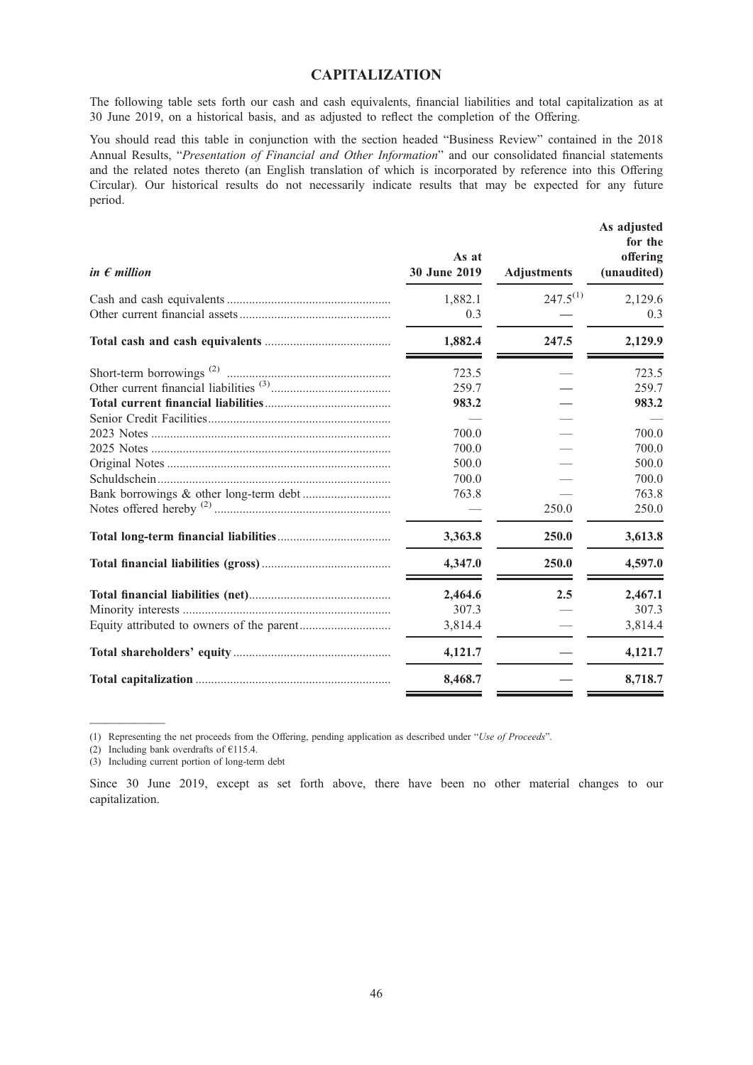# CAPITALIZATION

The following table sets forth our cash and cash equivalents, financial liabilities and total capitalization as at 30 June 2019, on a historical basis, and as adjusted to reflect the completion of the Offering.

You should read this table in conjunction with the section headed "Business Review" contained in the 2018 Annual Results, "Presentation of Financial and Other Information" and our consolidated financial statements and the related notes thereto (an English translation of which is incorporated by reference into this Offering Circular). Our historical results do not necessarily indicate results that may be expected for any future period.

| in $\epsilon$ million | As at<br>30 June 2019                                                | <b>Adjustments</b> | As adjusted<br>for the<br>offering<br>(unaudited)                             |
|-----------------------|----------------------------------------------------------------------|--------------------|-------------------------------------------------------------------------------|
|                       | 1,882.1<br>0.3                                                       | $247.5^{(1)}$      | 2,129.6<br>0.3                                                                |
|                       | 1,882.4                                                              | 247.5              | 2,129.9                                                                       |
|                       | 723.5<br>259.7<br>983.2<br>700.0<br>700.0<br>500.0<br>700.0<br>763.8 | 250.0              | 723.5<br>259.7<br>983.2<br>700.0<br>700.0<br>500.0<br>700.0<br>763.8<br>250.0 |
|                       | 3,363.8                                                              | 250.0              | 3,613.8                                                                       |
|                       | 4,347.0                                                              | 250.0              | 4,597.0                                                                       |
|                       | 2,464.6<br>307.3<br>3,814.4                                          | 2.5                | 2,467.1<br>307.3<br>3,814.4                                                   |
|                       | 4,121.7                                                              |                    | 4,121.7                                                                       |
|                       | 8,468.7                                                              |                    | 8,718.7                                                                       |

(1) Representing the net proceeds from the Offering, pending application as described under "Use of Proceeds".

(2) Including bank overdrafts of  $£115.4$ .

—————

(3) Including current portion of long-term debt

Since 30 June 2019, except as set forth above, there have been no other material changes to our capitalization.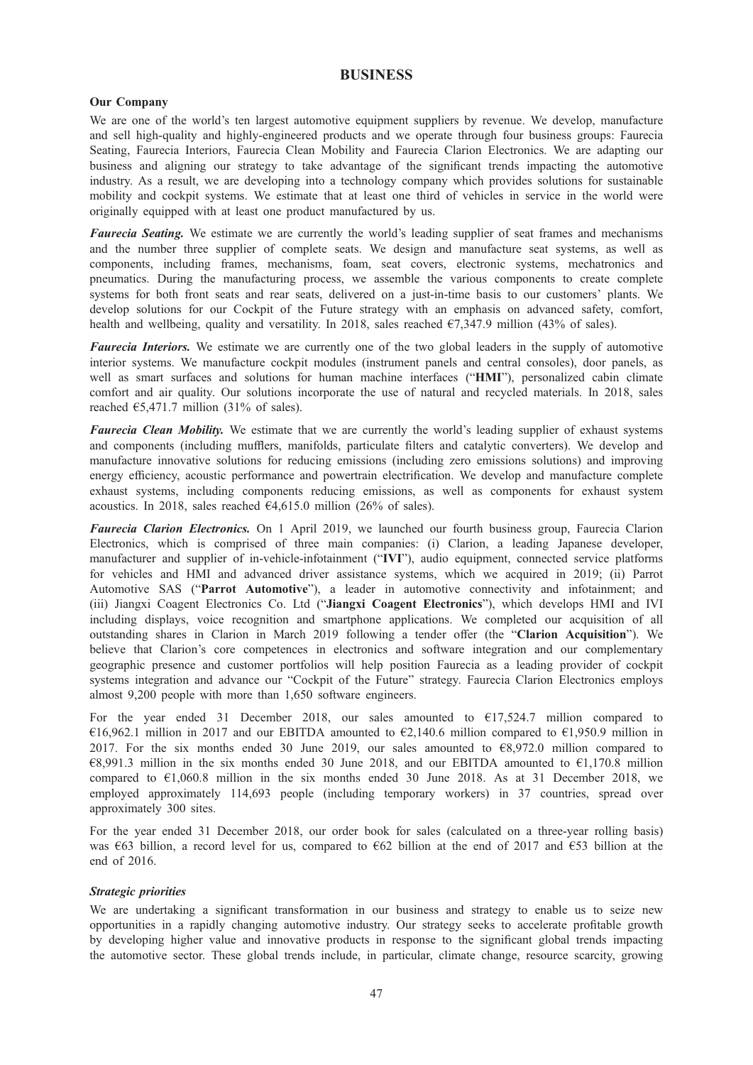## **BUSINESS**

## Our Company

We are one of the world's ten largest automotive equipment suppliers by revenue. We develop, manufacture and sell high-quality and highly-engineered products and we operate through four business groups: Faurecia Seating, Faurecia Interiors, Faurecia Clean Mobility and Faurecia Clarion Electronics. We are adapting our business and aligning our strategy to take advantage of the significant trends impacting the automotive industry. As a result, we are developing into a technology company which provides solutions for sustainable mobility and cockpit systems. We estimate that at least one third of vehicles in service in the world were originally equipped with at least one product manufactured by us.

Faurecia Seating. We estimate we are currently the world's leading supplier of seat frames and mechanisms and the number three supplier of complete seats. We design and manufacture seat systems, as well as components, including frames, mechanisms, foam, seat covers, electronic systems, mechatronics and pneumatics. During the manufacturing process, we assemble the various components to create complete systems for both front seats and rear seats, delivered on a just-in-time basis to our customers' plants. We develop solutions for our Cockpit of the Future strategy with an emphasis on advanced safety, comfort, health and wellbeing, quality and versatility. In 2018, sales reached  $\epsilon$ 7,347.9 million (43% of sales).

Faurecia Interiors. We estimate we are currently one of the two global leaders in the supply of automotive interior systems. We manufacture cockpit modules (instrument panels and central consoles), door panels, as well as smart surfaces and solutions for human machine interfaces ("HMI"), personalized cabin climate comfort and air quality. Our solutions incorporate the use of natural and recycled materials. In 2018, sales reached  $65,471.7$  million  $(31\% \text{ of sales})$ .

Faurecia Clean Mobility. We estimate that we are currently the world's leading supplier of exhaust systems and components (including mufflers, manifolds, particulate filters and catalytic converters). We develop and manufacture innovative solutions for reducing emissions (including zero emissions solutions) and improving energy efficiency, acoustic performance and powertrain electrification. We develop and manufacture complete exhaust systems, including components reducing emissions, as well as components for exhaust system acoustics. In 2018, sales reached  $64,615.0$  million (26% of sales).

Faurecia Clarion Electronics. On 1 April 2019, we launched our fourth business group, Faurecia Clarion Electronics, which is comprised of three main companies: (i) Clarion, a leading Japanese developer, manufacturer and supplier of in-vehicle-infotainment ("IVI"), audio equipment, connected service platforms for vehicles and HMI and advanced driver assistance systems, which we acquired in 2019; (ii) Parrot Automotive SAS ("Parrot Automotive"), a leader in automotive connectivity and infotainment; and (iii) Jiangxi Coagent Electronics Co. Ltd ("Jiangxi Coagent Electronics"), which develops HMI and IVI including displays, voice recognition and smartphone applications. We completed our acquisition of all outstanding shares in Clarion in March 2019 following a tender offer (the "Clarion Acquisition"). We believe that Clarion's core competences in electronics and software integration and our complementary geographic presence and customer portfolios will help position Faurecia as a leading provider of cockpit systems integration and advance our "Cockpit of the Future" strategy. Faurecia Clarion Electronics employs almost 9,200 people with more than 1,650 software engineers.

For the year ended 31 December 2018, our sales amounted to  $\epsilon$ 17,524.7 million compared to €16,962.1 million in 2017 and our EBITDA amounted to  $€2,140.6$  million compared to  $€1,950.9$  million in 2017. For the six months ended 30 June 2019, our sales amounted to  $\epsilon$ 8,972.0 million compared to  $€8,991.3$  million in the six months ended 30 June 2018, and our EBITDA amounted to  $€1,170.8$  million compared to €1,060.8 million in the six months ended 30 June 2018. As at 31 December 2018, we employed approximately 114,693 people (including temporary workers) in 37 countries, spread over approximately 300 sites.

For the year ended 31 December 2018, our order book for sales (calculated on a three-year rolling basis) was €63 billion, a record level for us, compared to €62 billion at the end of 2017 and €53 billion at the end of 2016.

## Strategic priorities

We are undertaking a significant transformation in our business and strategy to enable us to seize new opportunities in a rapidly changing automotive industry. Our strategy seeks to accelerate profitable growth by developing higher value and innovative products in response to the significant global trends impacting the automotive sector. These global trends include, in particular, climate change, resource scarcity, growing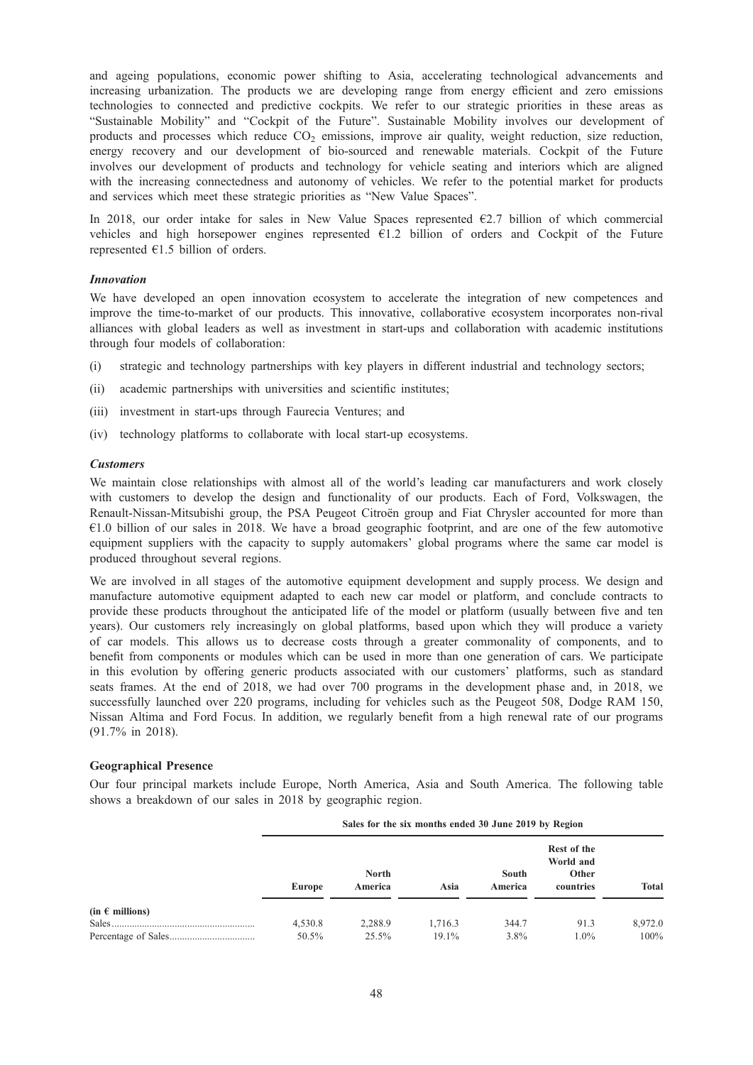and ageing populations, economic power shifting to Asia, accelerating technological advancements and increasing urbanization. The products we are developing range from energy efficient and zero emissions technologies to connected and predictive cockpits. We refer to our strategic priorities in these areas as "Sustainable Mobility" and "Cockpit of the Future". Sustainable Mobility involves our development of products and processes which reduce  $CO<sub>2</sub>$  emissions, improve air quality, weight reduction, size reduction, energy recovery and our development of bio-sourced and renewable materials. Cockpit of the Future involves our development of products and technology for vehicle seating and interiors which are aligned with the increasing connectedness and autonomy of vehicles. We refer to the potential market for products and services which meet these strategic priorities as "New Value Spaces".

In 2018, our order intake for sales in New Value Spaces represented  $\epsilon$ 2.7 billion of which commercial vehicles and high horsepower engines represented  $E1.2$  billion of orders and Cockpit of the Future represented  $E1.5$  billion of orders.

## Innovation

We have developed an open innovation ecosystem to accelerate the integration of new competences and improve the time-to-market of our products. This innovative, collaborative ecosystem incorporates non-rival alliances with global leaders as well as investment in start-ups and collaboration with academic institutions through four models of collaboration:

- (i) strategic and technology partnerships with key players in different industrial and technology sectors;
- (ii) academic partnerships with universities and scientific institutes;
- (iii) investment in start-ups through Faurecia Ventures; and
- (iv) technology platforms to collaborate with local start-up ecosystems.

## **Customers**

We maintain close relationships with almost all of the world's leading car manufacturers and work closely with customers to develop the design and functionality of our products. Each of Ford, Volkswagen, the Renault-Nissan-Mitsubishi group, the PSA Peugeot Citroën group and Fiat Chrysler accounted for more than  $€1.0$  billion of our sales in 2018. We have a broad geographic footprint, and are one of the few automotive equipment suppliers with the capacity to supply automakers' global programs where the same car model is produced throughout several regions.

We are involved in all stages of the automotive equipment development and supply process. We design and manufacture automotive equipment adapted to each new car model or platform, and conclude contracts to provide these products throughout the anticipated life of the model or platform (usually between five and ten years). Our customers rely increasingly on global platforms, based upon which they will produce a variety of car models. This allows us to decrease costs through a greater commonality of components, and to benefit from components or modules which can be used in more than one generation of cars. We participate in this evolution by offering generic products associated with our customers' platforms, such as standard seats frames. At the end of 2018, we had over 700 programs in the development phase and, in 2018, we successfully launched over 220 programs, including for vehicles such as the Peugeot 508, Dodge RAM 150, Nissan Altima and Ford Focus. In addition, we regularly benefit from a high renewal rate of our programs (91.7% in 2018).

### Geographical Presence

Our four principal markets include Europe, North America, Asia and South America. The following table shows a breakdown of our sales in 2018 by geographic region.

#### Sales for the six months ended 30 June 2019 by Region

|                          | Europe  | <b>North</b><br>America | Asia     | South<br>America | Rest of the<br>World and<br>Other<br>countries | <b>Total</b> |
|--------------------------|---------|-------------------------|----------|------------------|------------------------------------------------|--------------|
| (in $\epsilon$ millions) |         |                         |          |                  |                                                |              |
|                          | 4,530.8 | 2,288.9                 | 1,716.3  | 344.7            | 91.3                                           | 8,972.0      |
|                          | 50.5%   | 25.5%                   | $19.1\%$ | $3.8\%$          | $1.0\%$                                        | $100\%$      |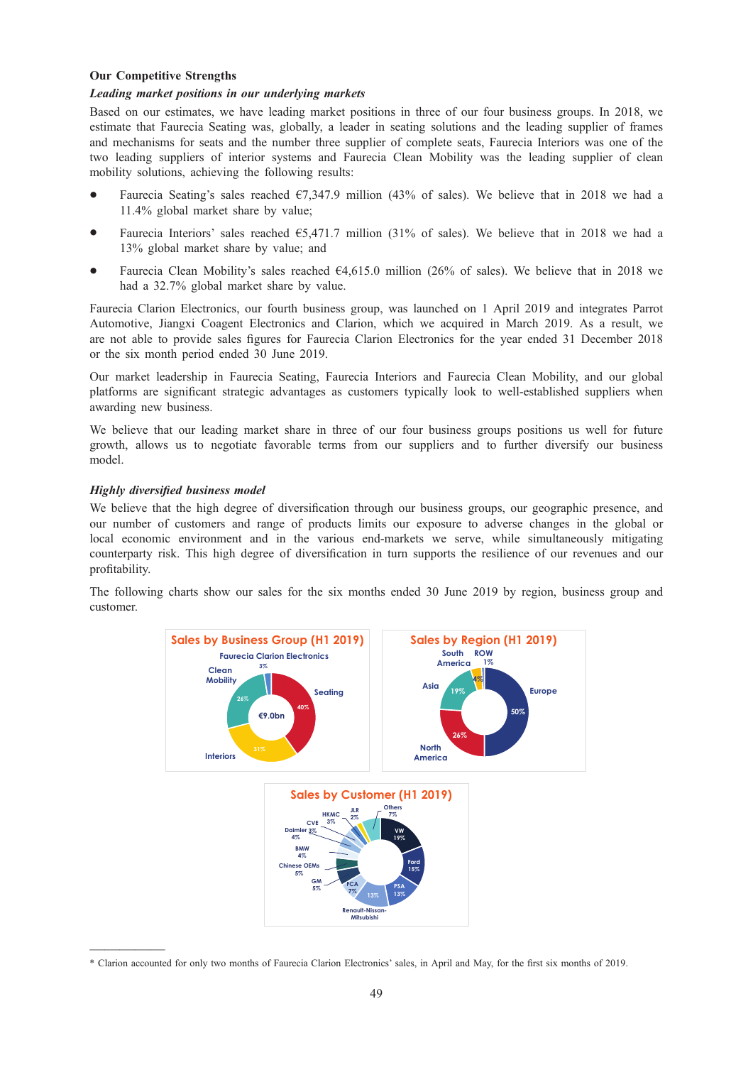## Our Competitive Strengths

## Leading market positions in our underlying markets

Based on our estimates, we have leading market positions in three of our four business groups. In 2018, we estimate that Faurecia Seating was, globally, a leader in seating solutions and the leading supplier of frames and mechanisms for seats and the number three supplier of complete seats, Faurecia Interiors was one of the two leading suppliers of interior systems and Faurecia Clean Mobility was the leading supplier of clean mobility solutions, achieving the following results:

- Faurecia Seating's sales reached  $\epsilon$ 7,347.9 million (43% of sales). We believe that in 2018 we had a 11.4% global market share by value;
- Faurecia Interiors' sales reached  $65,471.7$  million (31% of sales). We believe that in 2018 we had a 13% global market share by value; and
- \* Faurecia Clean Mobility's sales reached €4,615.0 million (26% of sales). We believe that in 2018 we had a 32.7% global market share by value.

Faurecia Clarion Electronics, our fourth business group, was launched on 1 April 2019 and integrates Parrot Automotive, Jiangxi Coagent Electronics and Clarion, which we acquired in March 2019. As a result, we are not able to provide sales figures for Faurecia Clarion Electronics for the year ended 31 December 2018 or the six month period ended 30 June 2019.

Our market leadership in Faurecia Seating, Faurecia Interiors and Faurecia Clean Mobility, and our global platforms are significant strategic advantages as customers typically look to well-established suppliers when awarding new business.

We believe that our leading market share in three of our four business groups positions us well for future growth, allows us to negotiate favorable terms from our suppliers and to further diversify our business model.

## Highly diversified business model

We believe that the high degree of diversification through our business groups, our geographic presence, and our number of customers and range of products limits our exposure to adverse changes in the global or local economic environment and in the various end-markets we serve, while simultaneously mitigating counterparty risk. This high degree of diversification in turn supports the resilience of our revenues and our profitability.

The following charts show our sales for the six months ended 30 June 2019 by region, business group and customer.



<sup>\*</sup> Clarion accounted for only two months of Faurecia Clarion Electronics' sales, in April and May, for the first six months of 2019.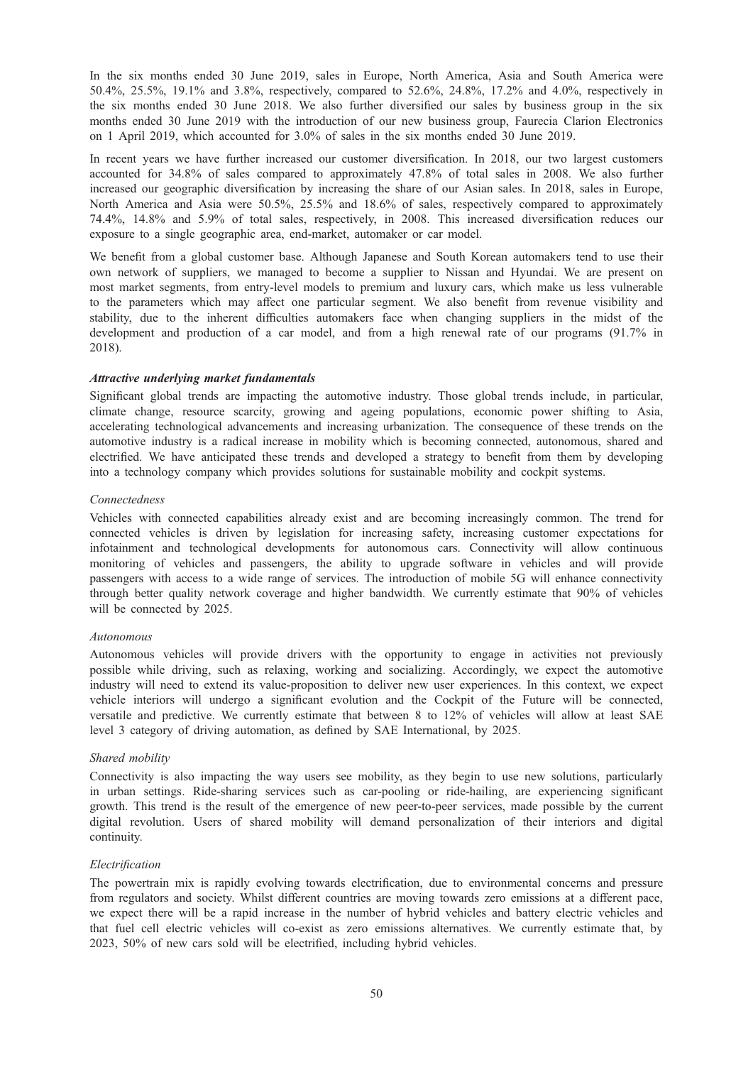In the six months ended 30 June 2019, sales in Europe, North America, Asia and South America were 50.4%, 25.5%, 19.1% and 3.8%, respectively, compared to 52.6%, 24.8%, 17.2% and 4.0%, respectively in the six months ended 30 June 2018. We also further diversified our sales by business group in the six months ended 30 June 2019 with the introduction of our new business group, Faurecia Clarion Electronics on 1 April 2019, which accounted for 3.0% of sales in the six months ended 30 June 2019.

In recent years we have further increased our customer diversification. In 2018, our two largest customers accounted for 34.8% of sales compared to approximately 47.8% of total sales in 2008. We also further increased our geographic diversification by increasing the share of our Asian sales. In 2018, sales in Europe, North America and Asia were 50.5%, 25.5% and 18.6% of sales, respectively compared to approximately 74.4%, 14.8% and 5.9% of total sales, respectively, in 2008. This increased diversification reduces our exposure to a single geographic area, end-market, automaker or car model.

We benefit from a global customer base. Although Japanese and South Korean automakers tend to use their own network of suppliers, we managed to become a supplier to Nissan and Hyundai. We are present on most market segments, from entry-level models to premium and luxury cars, which make us less vulnerable to the parameters which may affect one particular segment. We also benefit from revenue visibility and stability, due to the inherent difficulties automakers face when changing suppliers in the midst of the development and production of a car model, and from a high renewal rate of our programs (91.7% in 2018).

## Attractive underlying market fundamentals

Significant global trends are impacting the automotive industry. Those global trends include, in particular, climate change, resource scarcity, growing and ageing populations, economic power shifting to Asia, accelerating technological advancements and increasing urbanization. The consequence of these trends on the automotive industry is a radical increase in mobility which is becoming connected, autonomous, shared and electrified. We have anticipated these trends and developed a strategy to benefit from them by developing into a technology company which provides solutions for sustainable mobility and cockpit systems.

## Connectedness

Vehicles with connected capabilities already exist and are becoming increasingly common. The trend for connected vehicles is driven by legislation for increasing safety, increasing customer expectations for infotainment and technological developments for autonomous cars. Connectivity will allow continuous monitoring of vehicles and passengers, the ability to upgrade software in vehicles and will provide passengers with access to a wide range of services. The introduction of mobile 5G will enhance connectivity through better quality network coverage and higher bandwidth. We currently estimate that 90% of vehicles will be connected by 2025.

### Autonomous

Autonomous vehicles will provide drivers with the opportunity to engage in activities not previously possible while driving, such as relaxing, working and socializing. Accordingly, we expect the automotive industry will need to extend its value-proposition to deliver new user experiences. In this context, we expect vehicle interiors will undergo a significant evolution and the Cockpit of the Future will be connected, versatile and predictive. We currently estimate that between 8 to 12% of vehicles will allow at least SAE level 3 category of driving automation, as defined by SAE International, by 2025.

## Shared mobility

Connectivity is also impacting the way users see mobility, as they begin to use new solutions, particularly in urban settings. Ride-sharing services such as car-pooling or ride-hailing, are experiencing significant growth. This trend is the result of the emergence of new peer-to-peer services, made possible by the current digital revolution. Users of shared mobility will demand personalization of their interiors and digital continuity.

## Electrification

The powertrain mix is rapidly evolving towards electrification, due to environmental concerns and pressure from regulators and society. Whilst different countries are moving towards zero emissions at a different pace, we expect there will be a rapid increase in the number of hybrid vehicles and battery electric vehicles and that fuel cell electric vehicles will co-exist as zero emissions alternatives. We currently estimate that, by 2023, 50% of new cars sold will be electrified, including hybrid vehicles.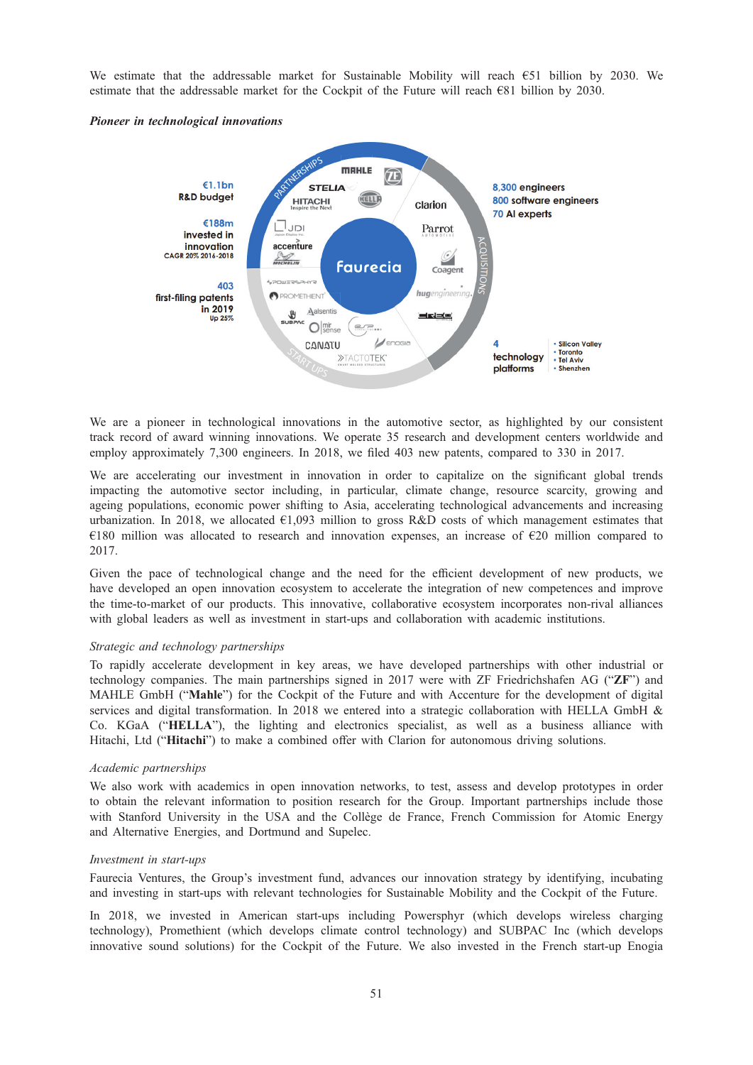We estimate that the addressable market for Sustainable Mobility will reach €51 billion by 2030. We estimate that the addressable market for the Cockpit of the Future will reach  $\epsilon$ 81 billion by 2030.

#### Pioneer in technological innovations



We are a pioneer in technological innovations in the automotive sector, as highlighted by our consistent track record of award winning innovations. We operate 35 research and development centers worldwide and employ approximately 7,300 engineers. In 2018, we filed 403 new patents, compared to 330 in 2017.

We are accelerating our investment in innovation in order to capitalize on the significant global trends impacting the automotive sector including, in particular, climate change, resource scarcity, growing and ageing populations, economic power shifting to Asia, accelerating technological advancements and increasing urbanization. In 2018, we allocated  $\epsilon$ 1,093 million to gross R&D costs of which management estimates that €180 million was allocated to research and innovation expenses, an increase of €20 million compared to 2017.

Given the pace of technological change and the need for the efficient development of new products, we have developed an open innovation ecosystem to accelerate the integration of new competences and improve the time-to-market of our products. This innovative, collaborative ecosystem incorporates non-rival alliances with global leaders as well as investment in start-ups and collaboration with academic institutions.

### Strategic and technology partnerships

To rapidly accelerate development in key areas, we have developed partnerships with other industrial or technology companies. The main partnerships signed in 2017 were with ZF Friedrichshafen AG ("ZF") and MAHLE GmbH ("Mahle") for the Cockpit of the Future and with Accenture for the development of digital services and digital transformation. In 2018 we entered into a strategic collaboration with HELLA GmbH & Co. KGaA ("HELLA"), the lighting and electronics specialist, as well as a business alliance with Hitachi, Ltd ("Hitachi") to make a combined offer with Clarion for autonomous driving solutions.

### Academic partnerships

We also work with academics in open innovation networks, to test, assess and develop prototypes in order to obtain the relevant information to position research for the Group. Important partnerships include those with Stanford University in the USA and the Collège de France, French Commission for Atomic Energy and Alternative Energies, and Dortmund and Supelec.

#### Investment in start-ups

Faurecia Ventures, the Group's investment fund, advances our innovation strategy by identifying, incubating and investing in start-ups with relevant technologies for Sustainable Mobility and the Cockpit of the Future.

In 2018, we invested in American start-ups including Powersphyr (which develops wireless charging technology), Promethient (which develops climate control technology) and SUBPAC Inc (which develops innovative sound solutions) for the Cockpit of the Future. We also invested in the French start-up Enogia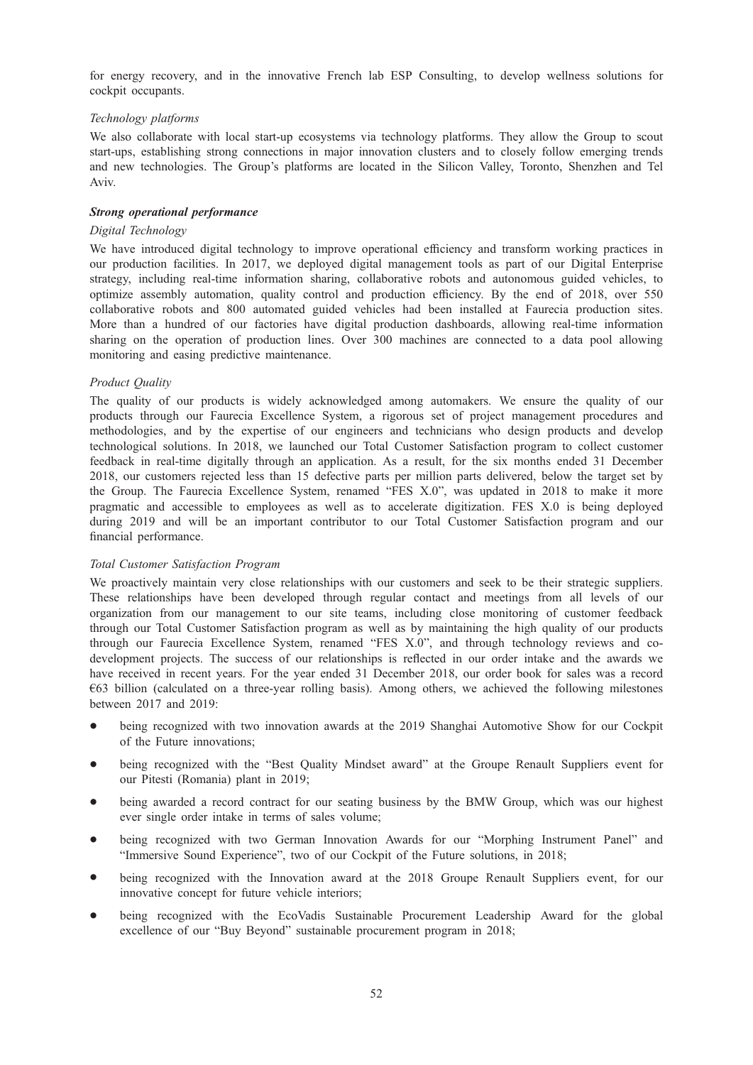for energy recovery, and in the innovative French lab ESP Consulting, to develop wellness solutions for cockpit occupants.

## Technology platforms

We also collaborate with local start-up ecosystems via technology platforms. They allow the Group to scout start-ups, establishing strong connections in major innovation clusters and to closely follow emerging trends and new technologies. The Group's platforms are located in the Silicon Valley, Toronto, Shenzhen and Tel Aviv.

## Strong operational performance

## Digital Technology

We have introduced digital technology to improve operational efficiency and transform working practices in our production facilities. In 2017, we deployed digital management tools as part of our Digital Enterprise strategy, including real-time information sharing, collaborative robots and autonomous guided vehicles, to optimize assembly automation, quality control and production efficiency. By the end of 2018, over 550 collaborative robots and 800 automated guided vehicles had been installed at Faurecia production sites. More than a hundred of our factories have digital production dashboards, allowing real-time information sharing on the operation of production lines. Over 300 machines are connected to a data pool allowing monitoring and easing predictive maintenance.

## Product Quality

The quality of our products is widely acknowledged among automakers. We ensure the quality of our products through our Faurecia Excellence System, a rigorous set of project management procedures and methodologies, and by the expertise of our engineers and technicians who design products and develop technological solutions. In 2018, we launched our Total Customer Satisfaction program to collect customer feedback in real-time digitally through an application. As a result, for the six months ended 31 December 2018, our customers rejected less than 15 defective parts per million parts delivered, below the target set by the Group. The Faurecia Excellence System, renamed "FES X.0", was updated in 2018 to make it more pragmatic and accessible to employees as well as to accelerate digitization. FES X.0 is being deployed during 2019 and will be an important contributor to our Total Customer Satisfaction program and our financial performance.

### Total Customer Satisfaction Program

We proactively maintain very close relationships with our customers and seek to be their strategic suppliers. These relationships have been developed through regular contact and meetings from all levels of our organization from our management to our site teams, including close monitoring of customer feedback through our Total Customer Satisfaction program as well as by maintaining the high quality of our products through our Faurecia Excellence System, renamed "FES X.0", and through technology reviews and codevelopment projects. The success of our relationships is reflected in our order intake and the awards we have received in recent years. For the year ended 31 December 2018, our order book for sales was a record €63 billion (calculated on a three-year rolling basis). Among others, we achieved the following milestones between 2017 and 2019:

- being recognized with two innovation awards at the 2019 Shanghai Automotive Show for our Cockpit of the Future innovations;
- being recognized with the "Best Quality Mindset award" at the Groupe Renault Suppliers event for our Pitesti (Romania) plant in 2019;
- being awarded a record contract for our seating business by the BMW Group, which was our highest ever single order intake in terms of sales volume;
- \* being recognized with two German Innovation Awards for our "Morphing Instrument Panel" and "Immersive Sound Experience", two of our Cockpit of the Future solutions, in 2018;
- being recognized with the Innovation award at the 2018 Groupe Renault Suppliers event, for our innovative concept for future vehicle interiors;
- being recognized with the EcoVadis Sustainable Procurement Leadership Award for the global excellence of our "Buy Beyond" sustainable procurement program in 2018;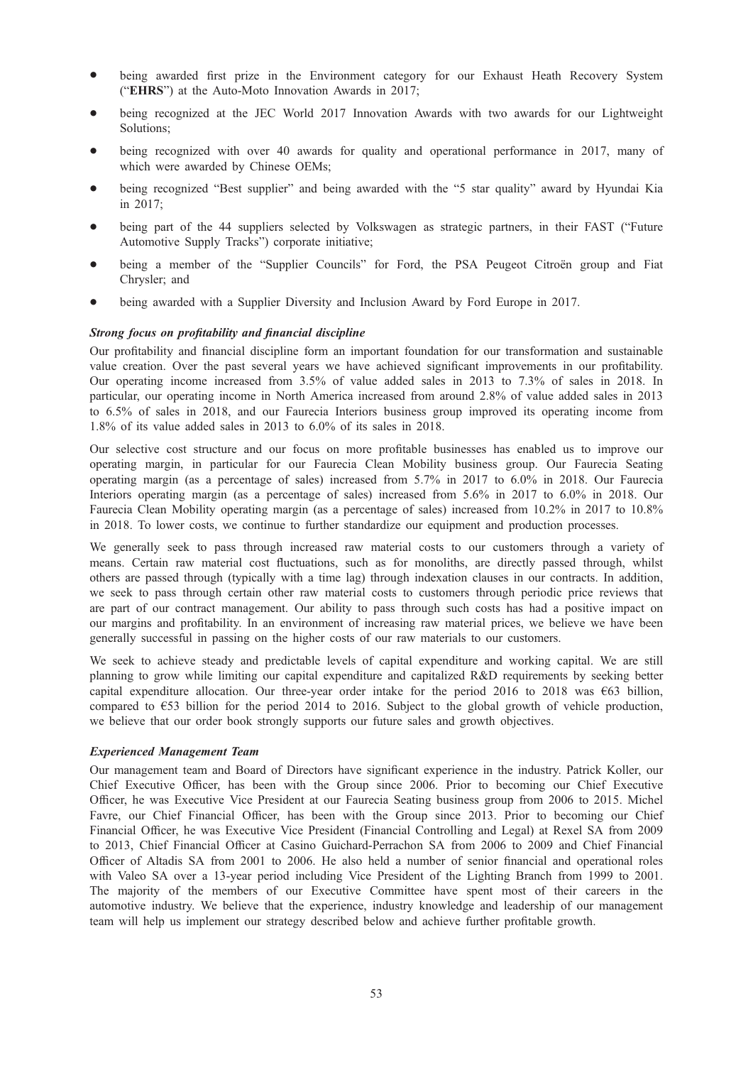- being awarded first prize in the Environment category for our Exhaust Heath Recovery System ("EHRS") at the Auto-Moto Innovation Awards in 2017;
- being recognized at the JEC World 2017 Innovation Awards with two awards for our Lightweight Solutions;
- being recognized with over 40 awards for quality and operational performance in 2017, many of which were awarded by Chinese OEMs;
- being recognized "Best supplier" and being awarded with the "5 star quality" award by Hyundai Kia in 2017;
- \* being part of the 44 suppliers selected by Volkswagen as strategic partners, in their FAST ("Future Automotive Supply Tracks") corporate initiative;
- being a member of the "Supplier Councils" for Ford, the PSA Peugeot Citroën group and Fiat Chrysler; and
- being awarded with a Supplier Diversity and Inclusion Award by Ford Europe in 2017.

## Strong focus on profitability and financial discipline

Our profitability and financial discipline form an important foundation for our transformation and sustainable value creation. Over the past several years we have achieved significant improvements in our profitability. Our operating income increased from 3.5% of value added sales in 2013 to 7.3% of sales in 2018. In particular, our operating income in North America increased from around 2.8% of value added sales in 2013 to 6.5% of sales in 2018, and our Faurecia Interiors business group improved its operating income from 1.8% of its value added sales in 2013 to 6.0% of its sales in 2018.

Our selective cost structure and our focus on more profitable businesses has enabled us to improve our operating margin, in particular for our Faurecia Clean Mobility business group. Our Faurecia Seating operating margin (as a percentage of sales) increased from 5.7% in 2017 to 6.0% in 2018. Our Faurecia Interiors operating margin (as a percentage of sales) increased from 5.6% in 2017 to 6.0% in 2018. Our Faurecia Clean Mobility operating margin (as a percentage of sales) increased from 10.2% in 2017 to 10.8% in 2018. To lower costs, we continue to further standardize our equipment and production processes.

We generally seek to pass through increased raw material costs to our customers through a variety of means. Certain raw material cost fluctuations, such as for monoliths, are directly passed through, whilst others are passed through (typically with a time lag) through indexation clauses in our contracts. In addition, we seek to pass through certain other raw material costs to customers through periodic price reviews that are part of our contract management. Our ability to pass through such costs has had a positive impact on our margins and profitability. In an environment of increasing raw material prices, we believe we have been generally successful in passing on the higher costs of our raw materials to our customers.

We seek to achieve steady and predictable levels of capital expenditure and working capital. We are still planning to grow while limiting our capital expenditure and capitalized R&D requirements by seeking better capital expenditure allocation. Our three-year order intake for the period 2016 to 2018 was  $\epsilon$ 63 billion, compared to  $\epsilon$ 53 billion for the period 2014 to 2016. Subject to the global growth of vehicle production, we believe that our order book strongly supports our future sales and growth objectives.

### Experienced Management Team

Our management team and Board of Directors have significant experience in the industry. Patrick Koller, our Chief Executive Officer, has been with the Group since 2006. Prior to becoming our Chief Executive Officer, he was Executive Vice President at our Faurecia Seating business group from 2006 to 2015. Michel Favre, our Chief Financial Officer, has been with the Group since 2013. Prior to becoming our Chief Financial Officer, he was Executive Vice President (Financial Controlling and Legal) at Rexel SA from 2009 to 2013, Chief Financial Officer at Casino Guichard-Perrachon SA from 2006 to 2009 and Chief Financial Officer of Altadis SA from 2001 to 2006. He also held a number of senior financial and operational roles with Valeo SA over a 13-year period including Vice President of the Lighting Branch from 1999 to 2001. The majority of the members of our Executive Committee have spent most of their careers in the automotive industry. We believe that the experience, industry knowledge and leadership of our management team will help us implement our strategy described below and achieve further profitable growth.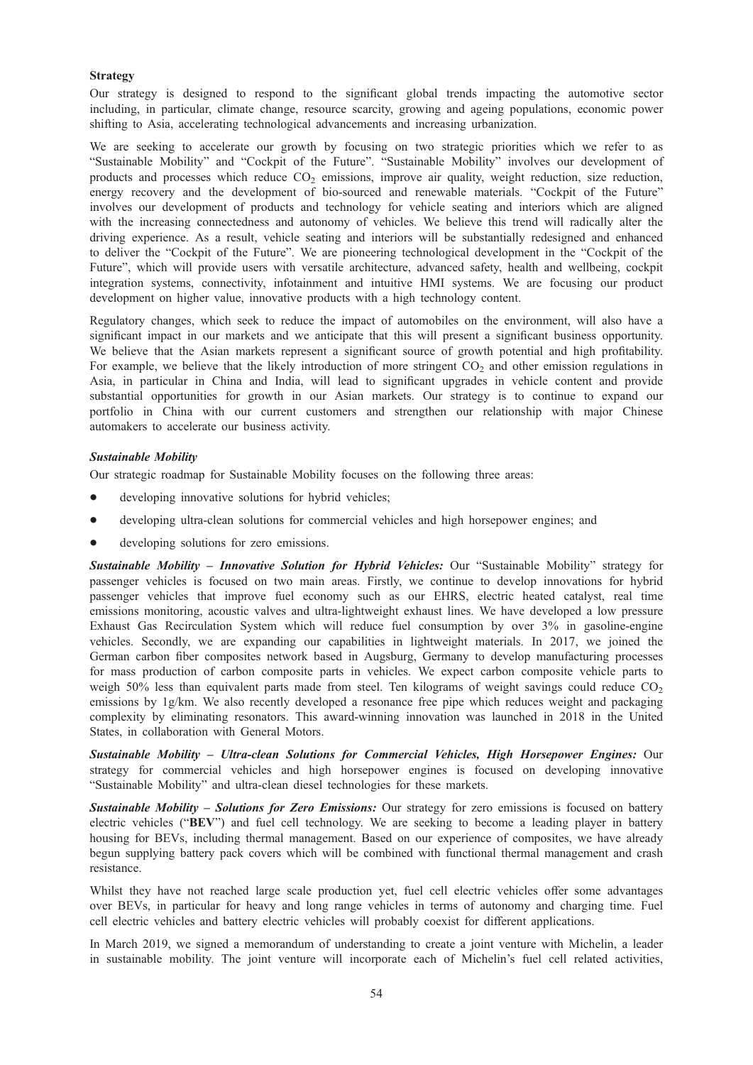## Strategy

Our strategy is designed to respond to the significant global trends impacting the automotive sector including, in particular, climate change, resource scarcity, growing and ageing populations, economic power shifting to Asia, accelerating technological advancements and increasing urbanization.

We are seeking to accelerate our growth by focusing on two strategic priorities which we refer to as "Sustainable Mobility" and "Cockpit of the Future". "Sustainable Mobility" involves our development of products and processes which reduce  $CO<sub>2</sub>$  emissions, improve air quality, weight reduction, size reduction, energy recovery and the development of bio-sourced and renewable materials. "Cockpit of the Future" involves our development of products and technology for vehicle seating and interiors which are aligned with the increasing connectedness and autonomy of vehicles. We believe this trend will radically alter the driving experience. As a result, vehicle seating and interiors will be substantially redesigned and enhanced to deliver the "Cockpit of the Future". We are pioneering technological development in the "Cockpit of the Future", which will provide users with versatile architecture, advanced safety, health and wellbeing, cockpit integration systems, connectivity, infotainment and intuitive HMI systems. We are focusing our product development on higher value, innovative products with a high technology content.

Regulatory changes, which seek to reduce the impact of automobiles on the environment, will also have a significant impact in our markets and we anticipate that this will present a significant business opportunity. We believe that the Asian markets represent a significant source of growth potential and high profitability. For example, we believe that the likely introduction of more stringent  $CO<sub>2</sub>$  and other emission regulations in Asia, in particular in China and India, will lead to significant upgrades in vehicle content and provide substantial opportunities for growth in our Asian markets. Our strategy is to continue to expand our portfolio in China with our current customers and strengthen our relationship with major Chinese automakers to accelerate our business activity.

## Sustainable Mobility

Our strategic roadmap for Sustainable Mobility focuses on the following three areas:

- developing innovative solutions for hybrid vehicles;
- developing ultra-clean solutions for commercial vehicles and high horsepower engines; and
- developing solutions for zero emissions.

Sustainable Mobility - Innovative Solution for Hybrid Vehicles: Our "Sustainable Mobility" strategy for passenger vehicles is focused on two main areas. Firstly, we continue to develop innovations for hybrid passenger vehicles that improve fuel economy such as our EHRS, electric heated catalyst, real time emissions monitoring, acoustic valves and ultra-lightweight exhaust lines. We have developed a low pressure Exhaust Gas Recirculation System which will reduce fuel consumption by over 3% in gasoline-engine vehicles. Secondly, we are expanding our capabilities in lightweight materials. In 2017, we joined the German carbon fiber composites network based in Augsburg, Germany to develop manufacturing processes for mass production of carbon composite parts in vehicles. We expect carbon composite vehicle parts to weigh 50% less than equivalent parts made from steel. Ten kilograms of weight savings could reduce  $CO<sub>2</sub>$ emissions by 1g/km. We also recently developed a resonance free pipe which reduces weight and packaging complexity by eliminating resonators. This award-winning innovation was launched in 2018 in the United States, in collaboration with General Motors.

Sustainable Mobility – Ultra-clean Solutions for Commercial Vehicles, High Horsepower Engines: Our strategy for commercial vehicles and high horsepower engines is focused on developing innovative "Sustainable Mobility" and ultra-clean diesel technologies for these markets.

Sustainable Mobility – Solutions for Zero Emissions: Our strategy for zero emissions is focused on battery electric vehicles ("BEV") and fuel cell technology. We are seeking to become a leading player in battery housing for BEVs, including thermal management. Based on our experience of composites, we have already begun supplying battery pack covers which will be combined with functional thermal management and crash resistance.

Whilst they have not reached large scale production yet, fuel cell electric vehicles offer some advantages over BEVs, in particular for heavy and long range vehicles in terms of autonomy and charging time. Fuel cell electric vehicles and battery electric vehicles will probably coexist for different applications.

In March 2019, we signed a memorandum of understanding to create a joint venture with Michelin, a leader in sustainable mobility. The joint venture will incorporate each of Michelin's fuel cell related activities,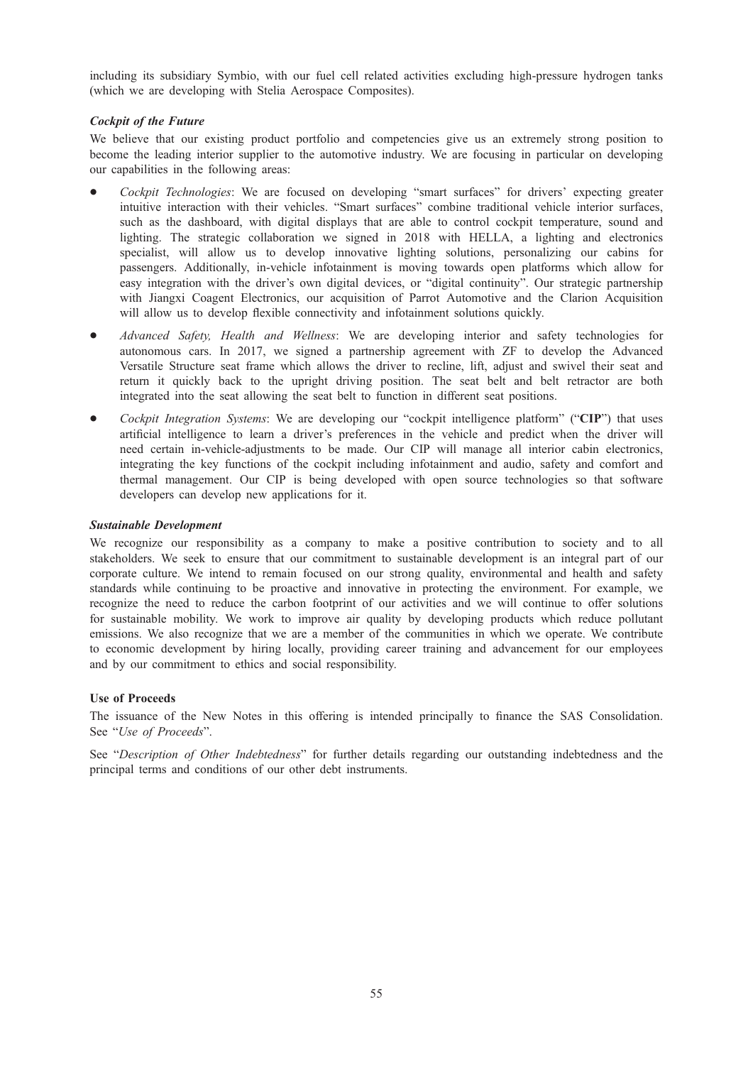including its subsidiary Symbio, with our fuel cell related activities excluding high-pressure hydrogen tanks (which we are developing with Stelia Aerospace Composites).

## Cockpit of the Future

We believe that our existing product portfolio and competencies give us an extremely strong position to become the leading interior supplier to the automotive industry. We are focusing in particular on developing our capabilities in the following areas:

- Cockpit Technologies: We are focused on developing "smart surfaces" for drivers' expecting greater intuitive interaction with their vehicles. "Smart surfaces" combine traditional vehicle interior surfaces, such as the dashboard, with digital displays that are able to control cockpit temperature, sound and lighting. The strategic collaboration we signed in 2018 with HELLA, a lighting and electronics specialist, will allow us to develop innovative lighting solutions, personalizing our cabins for passengers. Additionally, in-vehicle infotainment is moving towards open platforms which allow for easy integration with the driver's own digital devices, or "digital continuity". Our strategic partnership with Jiangxi Coagent Electronics, our acquisition of Parrot Automotive and the Clarion Acquisition will allow us to develop flexible connectivity and infotainment solutions quickly.
- Advanced Safety, Health and Wellness: We are developing interior and safety technologies for autonomous cars. In 2017, we signed a partnership agreement with ZF to develop the Advanced Versatile Structure seat frame which allows the driver to recline, lift, adjust and swivel their seat and return it quickly back to the upright driving position. The seat belt and belt retractor are both integrated into the seat allowing the seat belt to function in different seat positions.
- Cockpit Integration Systems: We are developing our "cockpit intelligence platform" ("CIP") that uses artificial intelligence to learn a driver's preferences in the vehicle and predict when the driver will need certain in-vehicle-adjustments to be made. Our CIP will manage all interior cabin electronics, integrating the key functions of the cockpit including infotainment and audio, safety and comfort and thermal management. Our CIP is being developed with open source technologies so that software developers can develop new applications for it.

## Sustainable Development

We recognize our responsibility as a company to make a positive contribution to society and to all stakeholders. We seek to ensure that our commitment to sustainable development is an integral part of our corporate culture. We intend to remain focused on our strong quality, environmental and health and safety standards while continuing to be proactive and innovative in protecting the environment. For example, we recognize the need to reduce the carbon footprint of our activities and we will continue to offer solutions for sustainable mobility. We work to improve air quality by developing products which reduce pollutant emissions. We also recognize that we are a member of the communities in which we operate. We contribute to economic development by hiring locally, providing career training and advancement for our employees and by our commitment to ethics and social responsibility.

## Use of Proceeds

The issuance of the New Notes in this offering is intended principally to finance the SAS Consolidation. See "Use of Proceeds".

See "Description of Other Indebtedness" for further details regarding our outstanding indebtedness and the principal terms and conditions of our other debt instruments.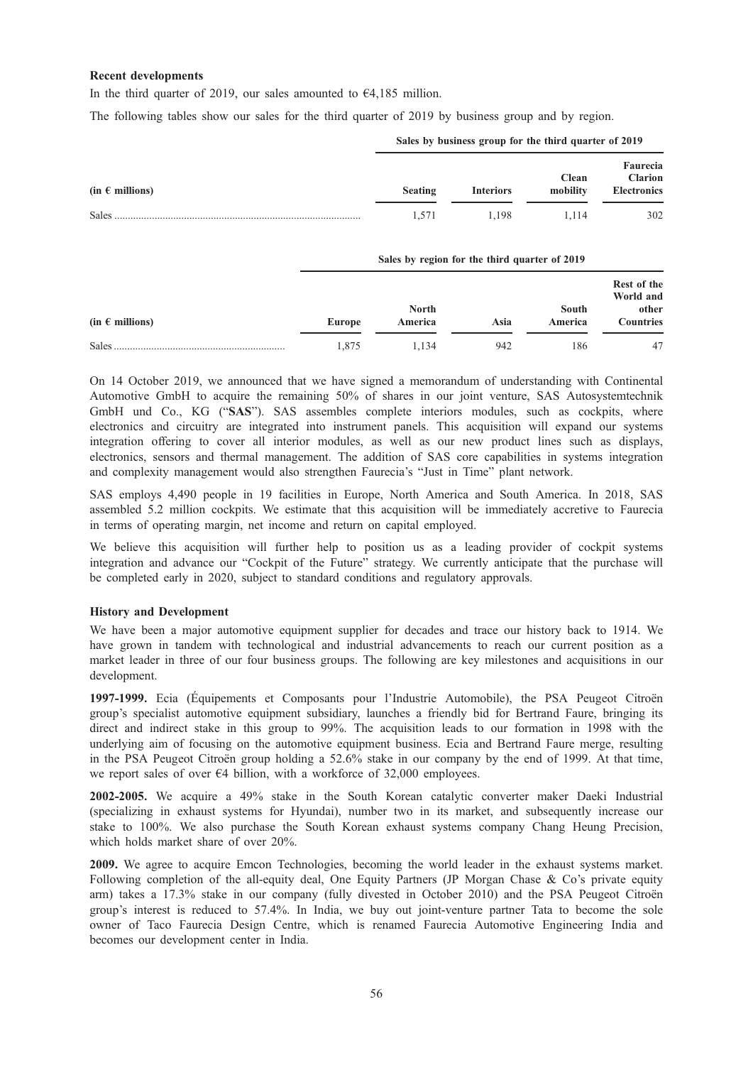## Recent developments

In the third quarter of 2019, our sales amounted to  $\epsilon$ 4,185 million.

The following tables show our sales for the third quarter of 2019 by business group and by region.

| $(in \in millions)$ | <b>Seating</b> | <b>Interiors</b> | . .<br><b>Clean</b><br>mobility | Faurecia<br><b>Clarion</b><br><b>Electronics</b> |
|---------------------|----------------|------------------|---------------------------------|--------------------------------------------------|
| Sales               | 1.571          | 1.198            | 1.114                           | 302                                              |

Sales by business group for the third quarter of 2019

Sales by region for the third quarter of 2010

|                     | $6412$ by region for the third quarter of $2012$ |              |      |              |                                   |  |  |
|---------------------|--------------------------------------------------|--------------|------|--------------|-----------------------------------|--|--|
|                     |                                                  | <b>North</b> |      | <b>South</b> | Rest of the<br>World and<br>other |  |  |
| $(in \in millions)$ | Europe                                           | America      | Asia | America      | <b>Countries</b>                  |  |  |
| Sales               | 1.875                                            | 1.134        | 942  | 186          | -47                               |  |  |

On 14 October 2019, we announced that we have signed a memorandum of understanding with Continental Automotive GmbH to acquire the remaining 50% of shares in our joint venture, SAS Autosystemtechnik GmbH und Co., KG ("SAS"). SAS assembles complete interiors modules, such as cockpits, where electronics and circuitry are integrated into instrument panels. This acquisition will expand our systems integration offering to cover all interior modules, as well as our new product lines such as displays, electronics, sensors and thermal management. The addition of SAS core capabilities in systems integration and complexity management would also strengthen Faurecia's "Just in Time" plant network.

SAS employs 4,490 people in 19 facilities in Europe, North America and South America. In 2018, SAS assembled 5.2 million cockpits. We estimate that this acquisition will be immediately accretive to Faurecia in terms of operating margin, net income and return on capital employed.

We believe this acquisition will further help to position us as a leading provider of cockpit systems integration and advance our "Cockpit of the Future" strategy. We currently anticipate that the purchase will be completed early in 2020, subject to standard conditions and regulatory approvals.

### History and Development

We have been a major automotive equipment supplier for decades and trace our history back to 1914. We have grown in tandem with technological and industrial advancements to reach our current position as a market leader in three of our four business groups. The following are key milestones and acquisitions in our development.

1997-1999. Ecia (Équipements et Composants pour l'Industrie Automobile), the PSA Peugeot Citroën group's specialist automotive equipment subsidiary, launches a friendly bid for Bertrand Faure, bringing its direct and indirect stake in this group to 99%. The acquisition leads to our formation in 1998 with the underlying aim of focusing on the automotive equipment business. Ecia and Bertrand Faure merge, resulting in the PSA Peugeot Citroën group holding a 52.6% stake in our company by the end of 1999. At that time, we report sales of over  $\epsilon$ 4 billion, with a workforce of 32,000 employees.

2002-2005. We acquire a 49% stake in the South Korean catalytic converter maker Daeki Industrial (specializing in exhaust systems for Hyundai), number two in its market, and subsequently increase our stake to 100%. We also purchase the South Korean exhaust systems company Chang Heung Precision, which holds market share of over 20%.

2009. We agree to acquire Emcon Technologies, becoming the world leader in the exhaust systems market. Following completion of the all-equity deal, One Equity Partners (JP Morgan Chase & Co's private equity arm) takes a 17.3% stake in our company (fully divested in October 2010) and the PSA Peugeot Citroën group's interest is reduced to 57.4%. In India, we buy out joint-venture partner Tata to become the sole owner of Taco Faurecia Design Centre, which is renamed Faurecia Automotive Engineering India and becomes our development center in India.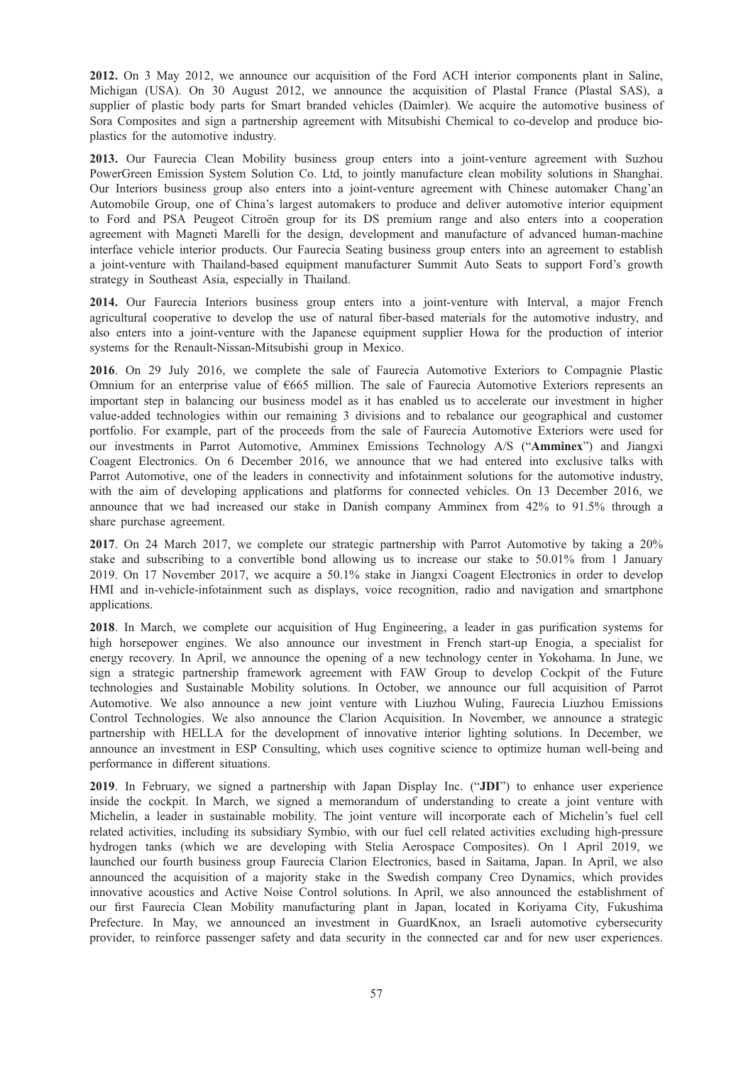2012. On 3 May 2012, we announce our acquisition of the Ford ACH interior components plant in Saline, Michigan (USA). On 30 August 2012, we announce the acquisition of Plastal France (Plastal SAS), a supplier of plastic body parts for Smart branded vehicles (Daimler). We acquire the automotive business of Sora Composites and sign a partnership agreement with Mitsubishi Chemical to co-develop and produce bioplastics for the automotive industry.

2013. Our Faurecia Clean Mobility business group enters into a joint-venture agreement with Suzhou PowerGreen Emission System Solution Co. Ltd, to jointly manufacture clean mobility solutions in Shanghai. Our Interiors business group also enters into a joint-venture agreement with Chinese automaker Chang'an Automobile Group, one of China's largest automakers to produce and deliver automotive interior equipment to Ford and PSA Peugeot Citroën group for its DS premium range and also enters into a cooperation agreement with Magneti Marelli for the design, development and manufacture of advanced human-machine interface vehicle interior products. Our Faurecia Seating business group enters into an agreement to establish a joint-venture with Thailand-based equipment manufacturer Summit Auto Seats to support Ford's growth strategy in Southeast Asia, especially in Thailand.

2014. Our Faurecia Interiors business group enters into a joint-venture with Interval, a major French agricultural cooperative to develop the use of natural fiber-based materials for the automotive industry, and also enters into a joint-venture with the Japanese equipment supplier Howa for the production of interior systems for the Renault-Nissan-Mitsubishi group in Mexico.

2016. On 29 July 2016, we complete the sale of Faurecia Automotive Exteriors to Compagnie Plastic Omnium for an enterprise value of €665 million. The sale of Faurecia Automotive Exteriors represents an important step in balancing our business model as it has enabled us to accelerate our investment in higher value-added technologies within our remaining 3 divisions and to rebalance our geographical and customer portfolio. For example, part of the proceeds from the sale of Faurecia Automotive Exteriors were used for our investments in Parrot Automotive, Amminex Emissions Technology A/S ("Amminex") and Jiangxi Coagent Electronics. On 6 December 2016, we announce that we had entered into exclusive talks with Parrot Automotive, one of the leaders in connectivity and infotainment solutions for the automotive industry, with the aim of developing applications and platforms for connected vehicles. On 13 December 2016, we announce that we had increased our stake in Danish company Amminex from 42% to 91.5% through a share purchase agreement.

2017. On 24 March 2017, we complete our strategic partnership with Parrot Automotive by taking a 20% stake and subscribing to a convertible bond allowing us to increase our stake to 50.01% from 1 January 2019. On 17 November 2017, we acquire a 50.1% stake in Jiangxi Coagent Electronics in order to develop HMI and in-vehicle-infotainment such as displays, voice recognition, radio and navigation and smartphone applications.

2018. In March, we complete our acquisition of Hug Engineering, a leader in gas purification systems for high horsepower engines. We also announce our investment in French start-up Enogia, a specialist for energy recovery. In April, we announce the opening of a new technology center in Yokohama. In June, we sign a strategic partnership framework agreement with FAW Group to develop Cockpit of the Future technologies and Sustainable Mobility solutions. In October, we announce our full acquisition of Parrot Automotive. We also announce a new joint venture with Liuzhou Wuling, Faurecia Liuzhou Emissions Control Technologies. We also announce the Clarion Acquisition. In November, we announce a strategic partnership with HELLA for the development of innovative interior lighting solutions. In December, we announce an investment in ESP Consulting, which uses cognitive science to optimize human well-being and performance in different situations.

2019. In February, we signed a partnership with Japan Display Inc. ("JDI") to enhance user experience inside the cockpit. In March, we signed a memorandum of understanding to create a joint venture with Michelin, a leader in sustainable mobility. The joint venture will incorporate each of Michelin's fuel cell related activities, including its subsidiary Symbio, with our fuel cell related activities excluding high-pressure hydrogen tanks (which we are developing with Stelia Aerospace Composites). On 1 April 2019, we launched our fourth business group Faurecia Clarion Electronics, based in Saitama, Japan. In April, we also announced the acquisition of a majority stake in the Swedish company Creo Dynamics, which provides innovative acoustics and Active Noise Control solutions. In April, we also announced the establishment of our first Faurecia Clean Mobility manufacturing plant in Japan, located in Koriyama City, Fukushima Prefecture. In May, we announced an investment in GuardKnox, an Israeli automotive cybersecurity provider, to reinforce passenger safety and data security in the connected car and for new user experiences.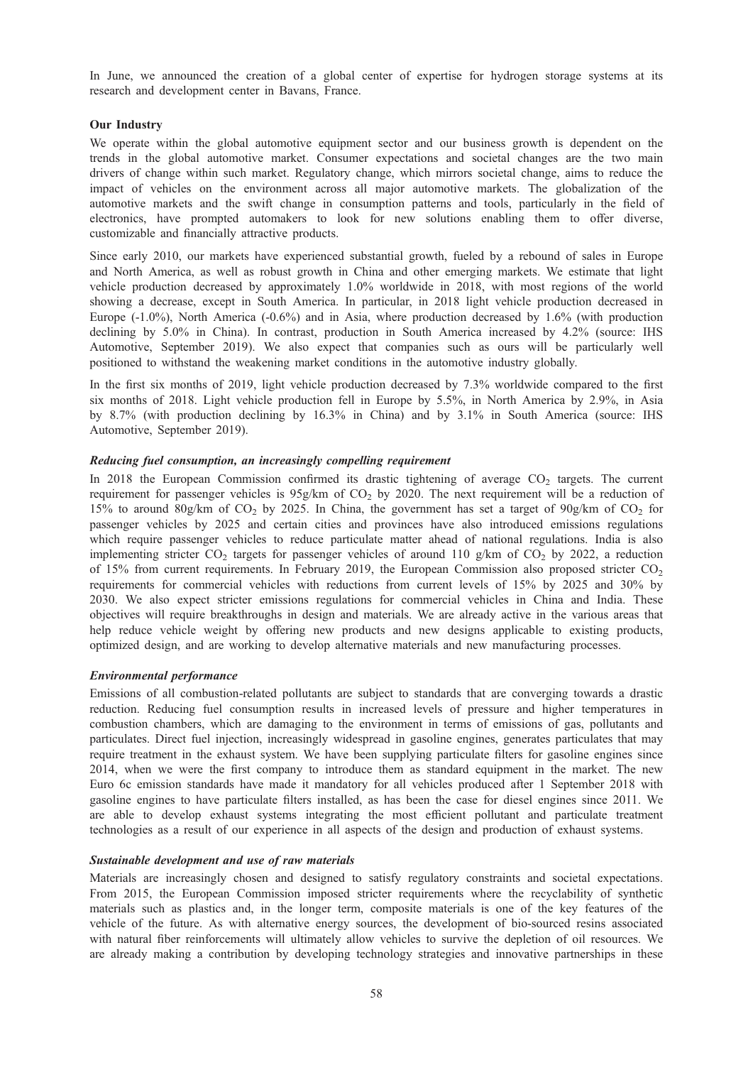In June, we announced the creation of a global center of expertise for hydrogen storage systems at its research and development center in Bavans, France.

## Our Industry

We operate within the global automotive equipment sector and our business growth is dependent on the trends in the global automotive market. Consumer expectations and societal changes are the two main drivers of change within such market. Regulatory change, which mirrors societal change, aims to reduce the impact of vehicles on the environment across all major automotive markets. The globalization of the automotive markets and the swift change in consumption patterns and tools, particularly in the field of electronics, have prompted automakers to look for new solutions enabling them to offer diverse, customizable and financially attractive products.

Since early 2010, our markets have experienced substantial growth, fueled by a rebound of sales in Europe and North America, as well as robust growth in China and other emerging markets. We estimate that light vehicle production decreased by approximately 1.0% worldwide in 2018, with most regions of the world showing a decrease, except in South America. In particular, in 2018 light vehicle production decreased in Europe (-1.0%), North America (-0.6%) and in Asia, where production decreased by 1.6% (with production declining by 5.0% in China). In contrast, production in South America increased by 4.2% (source: IHS Automotive, September 2019). We also expect that companies such as ours will be particularly well positioned to withstand the weakening market conditions in the automotive industry globally.

In the first six months of 2019, light vehicle production decreased by 7.3% worldwide compared to the first six months of 2018. Light vehicle production fell in Europe by 5.5%, in North America by 2.9%, in Asia by 8.7% (with production declining by 16.3% in China) and by 3.1% in South America (source: IHS Automotive, September 2019).

## Reducing fuel consumption, an increasingly compelling requirement

In 2018 the European Commission confirmed its drastic tightening of average CO<sub>2</sub> targets. The current requirement for passenger vehicles is  $95g/km$  of CO<sub>2</sub> by 2020. The next requirement will be a reduction of 15% to around 80g/km of CO<sub>2</sub> by 2025. In China, the government has set a target of 90g/km of CO<sub>2</sub> for passenger vehicles by 2025 and certain cities and provinces have also introduced emissions regulations which require passenger vehicles to reduce particulate matter ahead of national regulations. India is also implementing stricter  $CO_2$  targets for passenger vehicles of around 110 g/km of  $CO_2$  by 2022, a reduction of 15% from current requirements. In February 2019, the European Commission also proposed stricter  $CO<sub>2</sub>$ requirements for commercial vehicles with reductions from current levels of 15% by 2025 and 30% by 2030. We also expect stricter emissions regulations for commercial vehicles in China and India. These objectives will require breakthroughs in design and materials. We are already active in the various areas that help reduce vehicle weight by offering new products and new designs applicable to existing products, optimized design, and are working to develop alternative materials and new manufacturing processes.

### Environmental performance

Emissions of all combustion-related pollutants are subject to standards that are converging towards a drastic reduction. Reducing fuel consumption results in increased levels of pressure and higher temperatures in combustion chambers, which are damaging to the environment in terms of emissions of gas, pollutants and particulates. Direct fuel injection, increasingly widespread in gasoline engines, generates particulates that may require treatment in the exhaust system. We have been supplying particulate filters for gasoline engines since 2014, when we were the first company to introduce them as standard equipment in the market. The new Euro 6c emission standards have made it mandatory for all vehicles produced after 1 September 2018 with gasoline engines to have particulate filters installed, as has been the case for diesel engines since 2011. We are able to develop exhaust systems integrating the most efficient pollutant and particulate treatment technologies as a result of our experience in all aspects of the design and production of exhaust systems.

### Sustainable development and use of raw materials

Materials are increasingly chosen and designed to satisfy regulatory constraints and societal expectations. From 2015, the European Commission imposed stricter requirements where the recyclability of synthetic materials such as plastics and, in the longer term, composite materials is one of the key features of the vehicle of the future. As with alternative energy sources, the development of bio-sourced resins associated with natural fiber reinforcements will ultimately allow vehicles to survive the depletion of oil resources. We are already making a contribution by developing technology strategies and innovative partnerships in these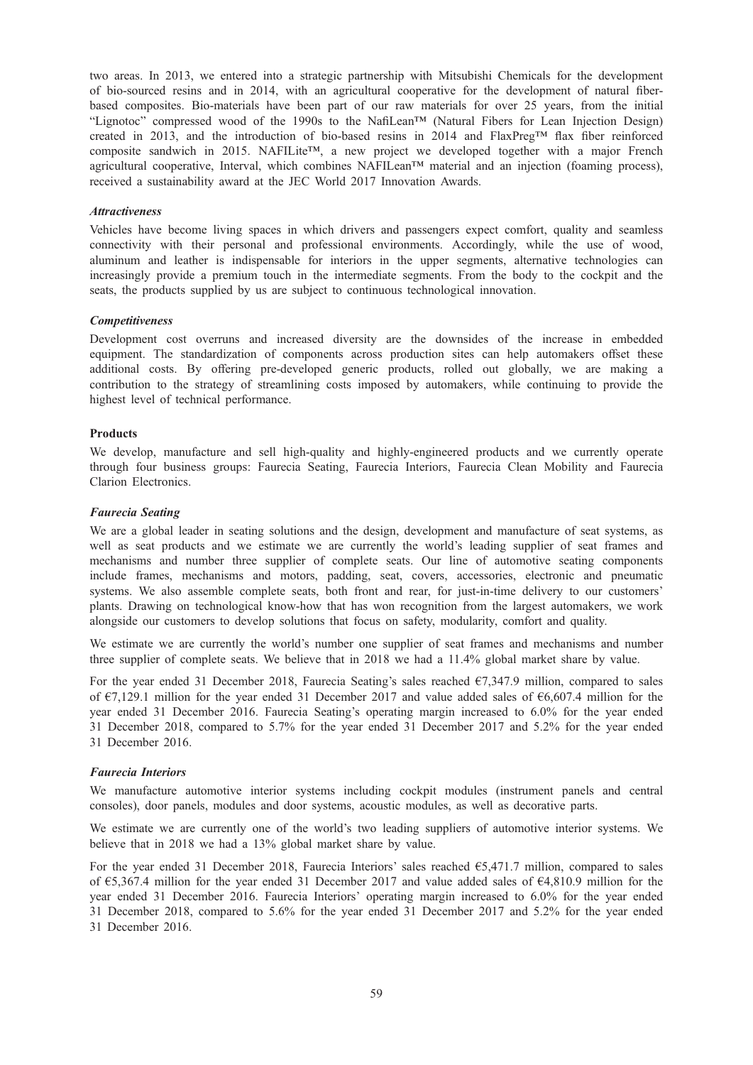two areas. In 2013, we entered into a strategic partnership with Mitsubishi Chemicals for the development of bio-sourced resins and in 2014, with an agricultural cooperative for the development of natural fiberbased composites. Bio-materials have been part of our raw materials for over 25 years, from the initial "Lignotoc" compressed wood of the 1990s to the NafiLean™ (Natural Fibers for Lean Injection Design) created in 2013, and the introduction of bio-based resins in 2014 and FlaxPreg™ flax fiber reinforced composite sandwich in 2015. NAFILite™, a new project we developed together with a major French agricultural cooperative, Interval, which combines NAFILean™ material and an injection (foaming process), received a sustainability award at the JEC World 2017 Innovation Awards.

### Attractiveness

Vehicles have become living spaces in which drivers and passengers expect comfort, quality and seamless connectivity with their personal and professional environments. Accordingly, while the use of wood, aluminum and leather is indispensable for interiors in the upper segments, alternative technologies can increasingly provide a premium touch in the intermediate segments. From the body to the cockpit and the seats, the products supplied by us are subject to continuous technological innovation.

## **Competitiveness**

Development cost overruns and increased diversity are the downsides of the increase in embedded equipment. The standardization of components across production sites can help automakers offset these additional costs. By offering pre-developed generic products, rolled out globally, we are making a contribution to the strategy of streamlining costs imposed by automakers, while continuing to provide the highest level of technical performance.

## Products

We develop, manufacture and sell high-quality and highly-engineered products and we currently operate through four business groups: Faurecia Seating, Faurecia Interiors, Faurecia Clean Mobility and Faurecia Clarion Electronics.

## Faurecia Seating

We are a global leader in seating solutions and the design, development and manufacture of seat systems, as well as seat products and we estimate we are currently the world's leading supplier of seat frames and mechanisms and number three supplier of complete seats. Our line of automotive seating components include frames, mechanisms and motors, padding, seat, covers, accessories, electronic and pneumatic systems. We also assemble complete seats, both front and rear, for just-in-time delivery to our customers' plants. Drawing on technological know-how that has won recognition from the largest automakers, we work alongside our customers to develop solutions that focus on safety, modularity, comfort and quality.

We estimate we are currently the world's number one supplier of seat frames and mechanisms and number three supplier of complete seats. We believe that in 2018 we had a 11.4% global market share by value.

For the year ended 31 December 2018, Faurecia Seating's sales reached  $\epsilon$ 7,347.9 million, compared to sales of  $\epsilon$ 7,129.1 million for the year ended 31 December 2017 and value added sales of  $\epsilon$ 6,607.4 million for the year ended 31 December 2016. Faurecia Seating's operating margin increased to 6.0% for the year ended 31 December 2018, compared to 5.7% for the year ended 31 December 2017 and 5.2% for the year ended 31 December 2016.

### Faurecia Interiors

We manufacture automotive interior systems including cockpit modules (instrument panels and central consoles), door panels, modules and door systems, acoustic modules, as well as decorative parts.

We estimate we are currently one of the world's two leading suppliers of automotive interior systems. We believe that in 2018 we had a 13% global market share by value.

For the year ended 31 December 2018, Faurecia Interiors' sales reached  $65,471.7$  million, compared to sales of €5,367.4 million for the year ended 31 December 2017 and value added sales of €4,810.9 million for the year ended 31 December 2016. Faurecia Interiors' operating margin increased to 6.0% for the year ended 31 December 2018, compared to 5.6% for the year ended 31 December 2017 and 5.2% for the year ended 31 December 2016.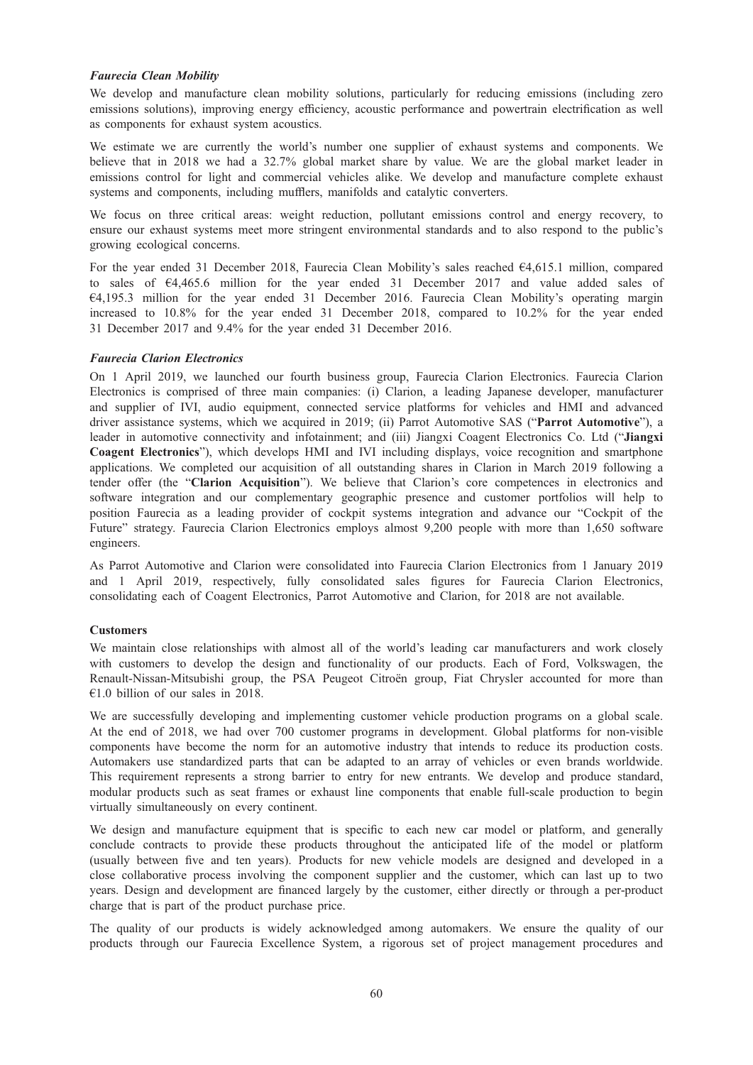## Faurecia Clean Mobility

We develop and manufacture clean mobility solutions, particularly for reducing emissions (including zero emissions solutions), improving energy efficiency, acoustic performance and powertrain electrification as well as components for exhaust system acoustics.

We estimate we are currently the world's number one supplier of exhaust systems and components. We believe that in 2018 we had a 32.7% global market share by value. We are the global market leader in emissions control for light and commercial vehicles alike. We develop and manufacture complete exhaust systems and components, including mufflers, manifolds and catalytic converters.

We focus on three critical areas: weight reduction, pollutant emissions control and energy recovery, to ensure our exhaust systems meet more stringent environmental standards and to also respond to the public's growing ecological concerns.

For the year ended 31 December 2018, Faurecia Clean Mobility's sales reached €4,615.1 million, compared to sales of €4,465.6 million for the year ended 31 December 2017 and value added sales of €4,195.3 million for the year ended 31 December 2016. Faurecia Clean Mobility's operating margin increased to 10.8% for the year ended 31 December 2018, compared to 10.2% for the year ended 31 December 2017 and 9.4% for the year ended 31 December 2016.

### Faurecia Clarion Electronics

On 1 April 2019, we launched our fourth business group, Faurecia Clarion Electronics. Faurecia Clarion Electronics is comprised of three main companies: (i) Clarion, a leading Japanese developer, manufacturer and supplier of IVI, audio equipment, connected service platforms for vehicles and HMI and advanced driver assistance systems, which we acquired in 2019; (ii) Parrot Automotive SAS ("Parrot Automotive"), a leader in automotive connectivity and infotainment; and (iii) Jiangxi Coagent Electronics Co. Ltd ("Jiangxi Coagent Electronics"), which develops HMI and IVI including displays, voice recognition and smartphone applications. We completed our acquisition of all outstanding shares in Clarion in March 2019 following a tender offer (the "Clarion Acquisition"). We believe that Clarion's core competences in electronics and software integration and our complementary geographic presence and customer portfolios will help to position Faurecia as a leading provider of cockpit systems integration and advance our "Cockpit of the Future" strategy. Faurecia Clarion Electronics employs almost 9,200 people with more than 1,650 software engineers.

As Parrot Automotive and Clarion were consolidated into Faurecia Clarion Electronics from 1 January 2019 and 1 April 2019, respectively, fully consolidated sales figures for Faurecia Clarion Electronics, consolidating each of Coagent Electronics, Parrot Automotive and Clarion, for 2018 are not available.

## **Customers**

We maintain close relationships with almost all of the world's leading car manufacturers and work closely with customers to develop the design and functionality of our products. Each of Ford, Volkswagen, the Renault-Nissan-Mitsubishi group, the PSA Peugeot Citroën group, Fiat Chrysler accounted for more than €1.0 billion of our sales in 2018.

We are successfully developing and implementing customer vehicle production programs on a global scale. At the end of 2018, we had over 700 customer programs in development. Global platforms for non-visible components have become the norm for an automotive industry that intends to reduce its production costs. Automakers use standardized parts that can be adapted to an array of vehicles or even brands worldwide. This requirement represents a strong barrier to entry for new entrants. We develop and produce standard, modular products such as seat frames or exhaust line components that enable full-scale production to begin virtually simultaneously on every continent.

We design and manufacture equipment that is specific to each new car model or platform, and generally conclude contracts to provide these products throughout the anticipated life of the model or platform (usually between five and ten years). Products for new vehicle models are designed and developed in a close collaborative process involving the component supplier and the customer, which can last up to two years. Design and development are financed largely by the customer, either directly or through a per-product charge that is part of the product purchase price.

The quality of our products is widely acknowledged among automakers. We ensure the quality of our products through our Faurecia Excellence System, a rigorous set of project management procedures and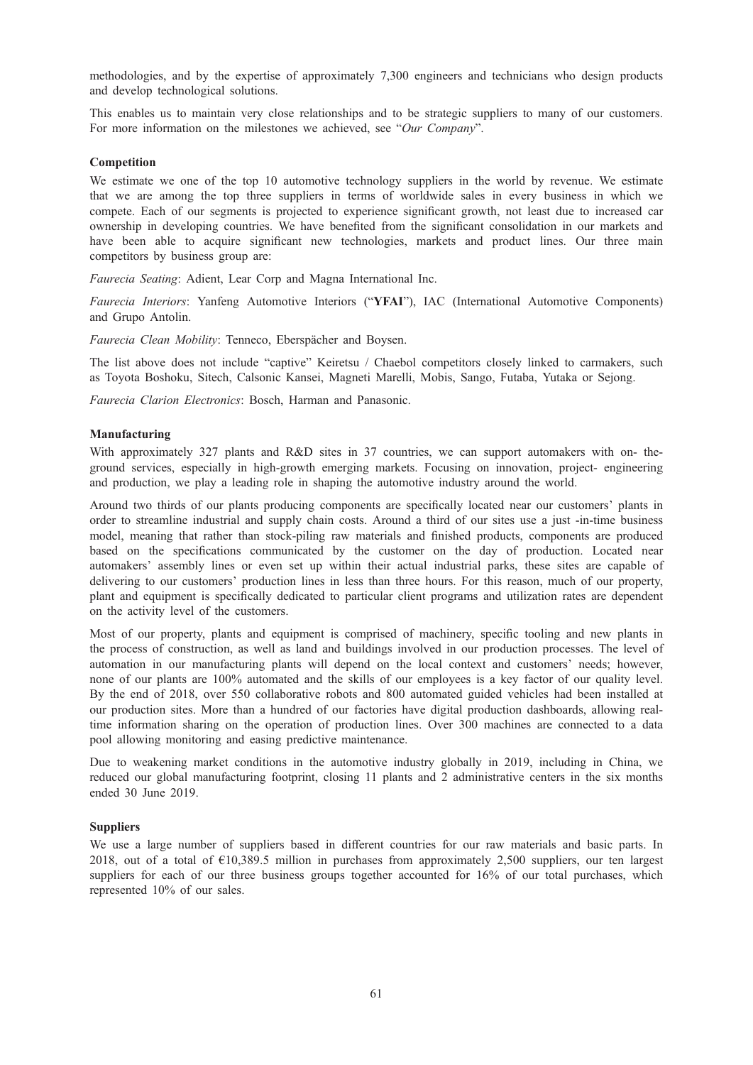methodologies, and by the expertise of approximately 7,300 engineers and technicians who design products and develop technological solutions.

This enables us to maintain very close relationships and to be strategic suppliers to many of our customers. For more information on the milestones we achieved, see "Our Company".

### **Competition**

We estimate we one of the top 10 automotive technology suppliers in the world by revenue. We estimate that we are among the top three suppliers in terms of worldwide sales in every business in which we compete. Each of our segments is projected to experience significant growth, not least due to increased car ownership in developing countries. We have benefited from the significant consolidation in our markets and have been able to acquire significant new technologies, markets and product lines. Our three main competitors by business group are:

Faurecia Seating: Adient, Lear Corp and Magna International Inc.

Faurecia Interiors: Yanfeng Automotive Interiors ("YFAI"), IAC (International Automotive Components) and Grupo Antolin.

Faurecia Clean Mobility: Tenneco, Eberspächer and Boysen.

The list above does not include "captive" Keiretsu / Chaebol competitors closely linked to carmakers, such as Toyota Boshoku, Sitech, Calsonic Kansei, Magneti Marelli, Mobis, Sango, Futaba, Yutaka or Sejong.

Faurecia Clarion Electronics: Bosch, Harman and Panasonic.

## Manufacturing

With approximately 327 plants and R&D sites in 37 countries, we can support automakers with on-theground services, especially in high-growth emerging markets. Focusing on innovation, project- engineering and production, we play a leading role in shaping the automotive industry around the world.

Around two thirds of our plants producing components are specifically located near our customers' plants in order to streamline industrial and supply chain costs. Around a third of our sites use a just -in-time business model, meaning that rather than stock-piling raw materials and finished products, components are produced based on the specifications communicated by the customer on the day of production. Located near automakers' assembly lines or even set up within their actual industrial parks, these sites are capable of delivering to our customers' production lines in less than three hours. For this reason, much of our property, plant and equipment is specifically dedicated to particular client programs and utilization rates are dependent on the activity level of the customers.

Most of our property, plants and equipment is comprised of machinery, specific tooling and new plants in the process of construction, as well as land and buildings involved in our production processes. The level of automation in our manufacturing plants will depend on the local context and customers' needs; however, none of our plants are 100% automated and the skills of our employees is a key factor of our quality level. By the end of 2018, over 550 collaborative robots and 800 automated guided vehicles had been installed at our production sites. More than a hundred of our factories have digital production dashboards, allowing realtime information sharing on the operation of production lines. Over 300 machines are connected to a data pool allowing monitoring and easing predictive maintenance.

Due to weakening market conditions in the automotive industry globally in 2019, including in China, we reduced our global manufacturing footprint, closing 11 plants and 2 administrative centers in the six months ended 30 June 2019.

### **Suppliers**

We use a large number of suppliers based in different countries for our raw materials and basic parts. In 2018, out of a total of €10,389.5 million in purchases from approximately 2,500 suppliers, our ten largest suppliers for each of our three business groups together accounted for 16% of our total purchases, which represented 10% of our sales.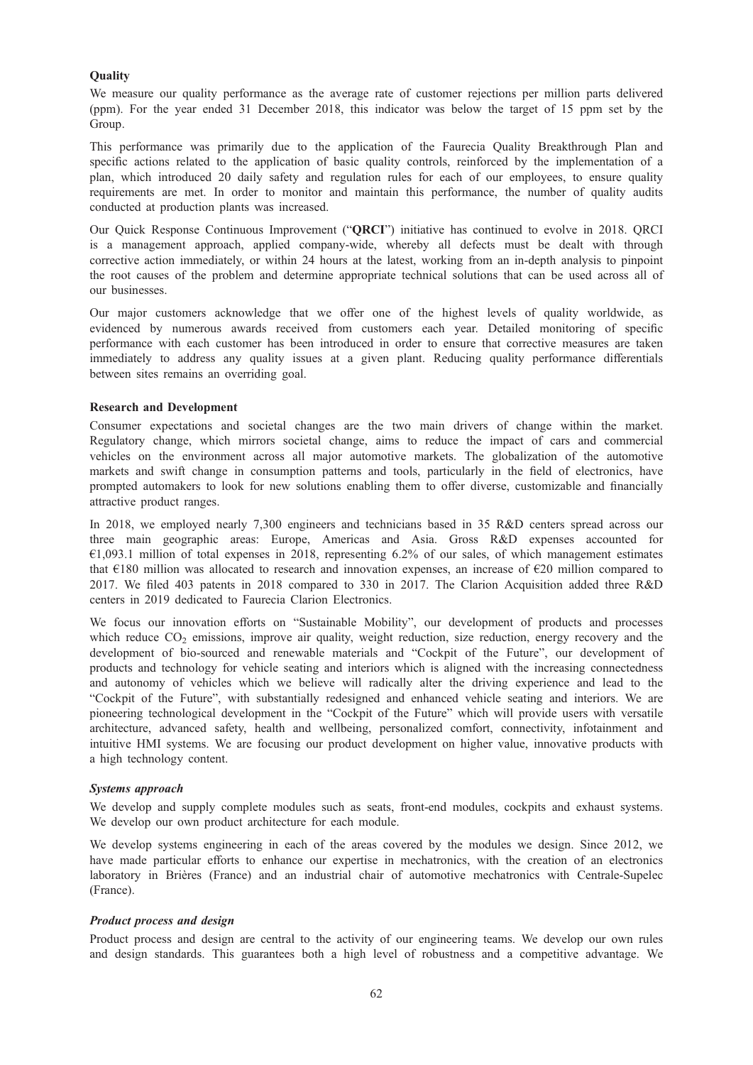## **Ouality**

We measure our quality performance as the average rate of customer rejections per million parts delivered (ppm). For the year ended 31 December 2018, this indicator was below the target of 15 ppm set by the Group.

This performance was primarily due to the application of the Faurecia Quality Breakthrough Plan and specific actions related to the application of basic quality controls, reinforced by the implementation of a plan, which introduced 20 daily safety and regulation rules for each of our employees, to ensure quality requirements are met. In order to monitor and maintain this performance, the number of quality audits conducted at production plants was increased.

Our Quick Response Continuous Improvement ("QRCI") initiative has continued to evolve in 2018. QRCI is a management approach, applied company-wide, whereby all defects must be dealt with through corrective action immediately, or within 24 hours at the latest, working from an in-depth analysis to pinpoint the root causes of the problem and determine appropriate technical solutions that can be used across all of our businesses.

Our major customers acknowledge that we offer one of the highest levels of quality worldwide, as evidenced by numerous awards received from customers each year. Detailed monitoring of specific performance with each customer has been introduced in order to ensure that corrective measures are taken immediately to address any quality issues at a given plant. Reducing quality performance differentials between sites remains an overriding goal.

## Research and Development

Consumer expectations and societal changes are the two main drivers of change within the market. Regulatory change, which mirrors societal change, aims to reduce the impact of cars and commercial vehicles on the environment across all major automotive markets. The globalization of the automotive markets and swift change in consumption patterns and tools, particularly in the field of electronics, have prompted automakers to look for new solutions enabling them to offer diverse, customizable and financially attractive product ranges.

In 2018, we employed nearly 7,300 engineers and technicians based in 35 R&D centers spread across our three main geographic areas: Europe, Americas and Asia. Gross R&D expenses accounted for  $€1,093.1$  million of total expenses in 2018, representing 6.2% of our sales, of which management estimates that €180 million was allocated to research and innovation expenses, an increase of €20 million compared to 2017. We filed 403 patents in 2018 compared to 330 in 2017. The Clarion Acquisition added three R&D centers in 2019 dedicated to Faurecia Clarion Electronics.

We focus our innovation efforts on "Sustainable Mobility", our development of products and processes which reduce  $CO<sub>2</sub>$  emissions, improve air quality, weight reduction, size reduction, energy recovery and the development of bio-sourced and renewable materials and "Cockpit of the Future", our development of products and technology for vehicle seating and interiors which is aligned with the increasing connectedness and autonomy of vehicles which we believe will radically alter the driving experience and lead to the "Cockpit of the Future", with substantially redesigned and enhanced vehicle seating and interiors. We are pioneering technological development in the "Cockpit of the Future" which will provide users with versatile architecture, advanced safety, health and wellbeing, personalized comfort, connectivity, infotainment and intuitive HMI systems. We are focusing our product development on higher value, innovative products with a high technology content.

### Systems approach

We develop and supply complete modules such as seats, front-end modules, cockpits and exhaust systems. We develop our own product architecture for each module.

We develop systems engineering in each of the areas covered by the modules we design. Since 2012, we have made particular efforts to enhance our expertise in mechatronics, with the creation of an electronics laboratory in Brières (France) and an industrial chair of automotive mechatronics with Centrale-Supelec (France).

## Product process and design

Product process and design are central to the activity of our engineering teams. We develop our own rules and design standards. This guarantees both a high level of robustness and a competitive advantage. We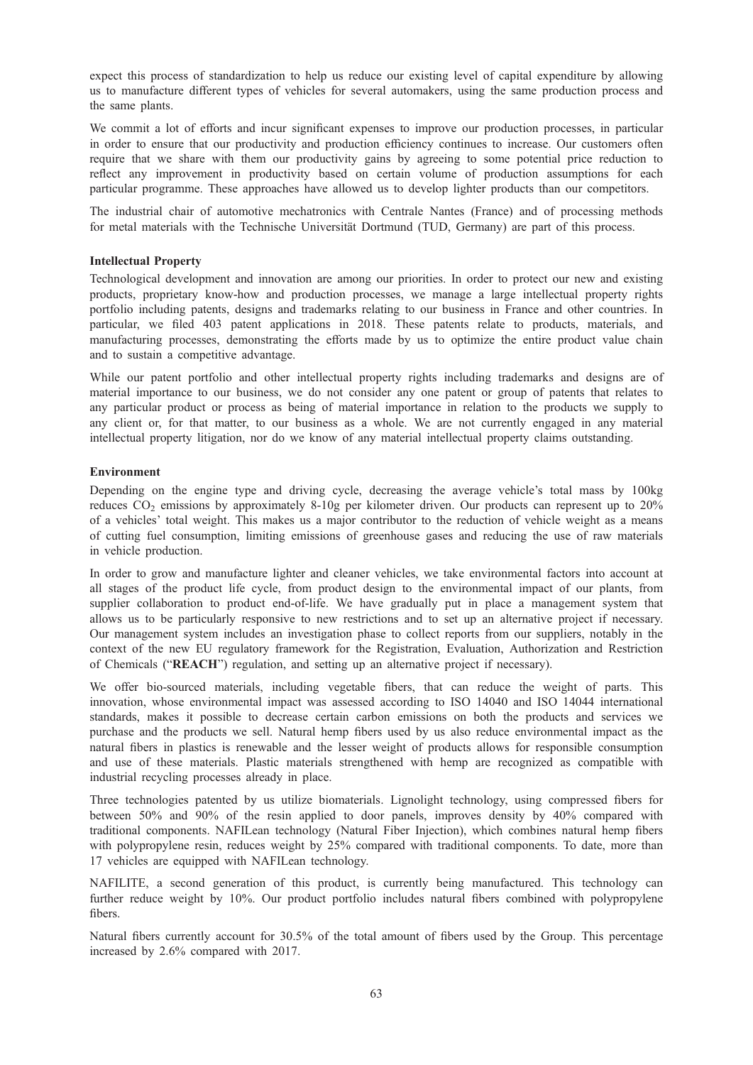expect this process of standardization to help us reduce our existing level of capital expenditure by allowing us to manufacture different types of vehicles for several automakers, using the same production process and the same plants.

We commit a lot of efforts and incur significant expenses to improve our production processes, in particular in order to ensure that our productivity and production efficiency continues to increase. Our customers often require that we share with them our productivity gains by agreeing to some potential price reduction to reflect any improvement in productivity based on certain volume of production assumptions for each particular programme. These approaches have allowed us to develop lighter products than our competitors.

The industrial chair of automotive mechatronics with Centrale Nantes (France) and of processing methods for metal materials with the Technische Universität Dortmund (TUD, Germany) are part of this process.

## Intellectual Property

Technological development and innovation are among our priorities. In order to protect our new and existing products, proprietary know-how and production processes, we manage a large intellectual property rights portfolio including patents, designs and trademarks relating to our business in France and other countries. In particular, we filed 403 patent applications in 2018. These patents relate to products, materials, and manufacturing processes, demonstrating the efforts made by us to optimize the entire product value chain and to sustain a competitive advantage.

While our patent portfolio and other intellectual property rights including trademarks and designs are of material importance to our business, we do not consider any one patent or group of patents that relates to any particular product or process as being of material importance in relation to the products we supply to any client or, for that matter, to our business as a whole. We are not currently engaged in any material intellectual property litigation, nor do we know of any material intellectual property claims outstanding.

### Environment

Depending on the engine type and driving cycle, decreasing the average vehicle's total mass by 100kg reduces  $CO<sub>2</sub>$  emissions by approximately 8-10g per kilometer driven. Our products can represent up to 20% of a vehicles' total weight. This makes us a major contributor to the reduction of vehicle weight as a means of cutting fuel consumption, limiting emissions of greenhouse gases and reducing the use of raw materials in vehicle production.

In order to grow and manufacture lighter and cleaner vehicles, we take environmental factors into account at all stages of the product life cycle, from product design to the environmental impact of our plants, from supplier collaboration to product end-of-life. We have gradually put in place a management system that allows us to be particularly responsive to new restrictions and to set up an alternative project if necessary. Our management system includes an investigation phase to collect reports from our suppliers, notably in the context of the new EU regulatory framework for the Registration, Evaluation, Authorization and Restriction of Chemicals ("REACH") regulation, and setting up an alternative project if necessary).

We offer bio-sourced materials, including vegetable fibers, that can reduce the weight of parts. This innovation, whose environmental impact was assessed according to ISO 14040 and ISO 14044 international standards, makes it possible to decrease certain carbon emissions on both the products and services we purchase and the products we sell. Natural hemp fibers used by us also reduce environmental impact as the natural fibers in plastics is renewable and the lesser weight of products allows for responsible consumption and use of these materials. Plastic materials strengthened with hemp are recognized as compatible with industrial recycling processes already in place.

Three technologies patented by us utilize biomaterials. Lignolight technology, using compressed fibers for between 50% and 90% of the resin applied to door panels, improves density by 40% compared with traditional components. NAFILean technology (Natural Fiber Injection), which combines natural hemp fibers with polypropylene resin, reduces weight by 25% compared with traditional components. To date, more than 17 vehicles are equipped with NAFILean technology.

NAFILITE, a second generation of this product, is currently being manufactured. This technology can further reduce weight by 10%. Our product portfolio includes natural fibers combined with polypropylene fibers.

Natural fibers currently account for 30.5% of the total amount of fibers used by the Group. This percentage increased by 2.6% compared with 2017.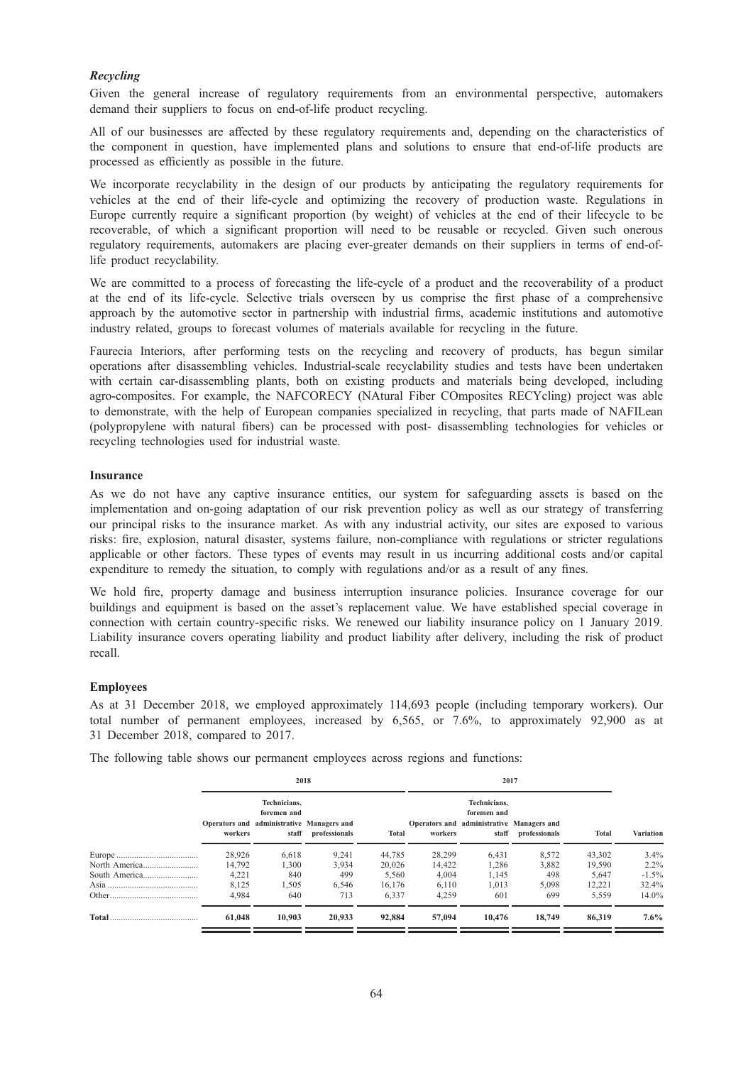## Recycling

Given the general increase of regulatory requirements from an environmental perspective, automakers demand their suppliers to focus on end-of-life product recycling.

All of our businesses are affected by these regulatory requirements and, depending on the characteristics of the component in question, have implemented plans and solutions to ensure that end-of-life products are processed as efficiently as possible in the future.

We incorporate recyclability in the design of our products by anticipating the regulatory requirements for vehicles at the end of their life-cycle and optimizing the recovery of production waste. Regulations in Europe currently require a significant proportion (by weight) of vehicles at the end of their lifecycle to be recoverable, of which a significant proportion will need to be reusable or recycled. Given such onerous regulatory requirements, automakers are placing ever-greater demands on their suppliers in terms of end-oflife product recyclability.

We are committed to a process of forecasting the life-cycle of a product and the recoverability of a product at the end of its life-cycle. Selective trials overseen by us comprise the first phase of a comprehensive approach by the automotive sector in partnership with industrial firms, academic institutions and automotive industry related, groups to forecast volumes of materials available for recycling in the future.

Faurecia Interiors, after performing tests on the recycling and recovery of products, has begun similar operations after disassembling vehicles. Industrial-scale recyclability studies and tests have been undertaken with certain car-disassembling plants, both on existing products and materials being developed, including agro-composites. For example, the NAFCORECY (NAtural Fiber COmposites RECYcling) project was able to demonstrate, with the help of European companies specialized in recycling, that parts made of NAFILean (polypropylene with natural fibers) can be processed with post- disassembling technologies for vehicles or recycling technologies used for industrial waste.

## Insurance

As we do not have any captive insurance entities, our system for safeguarding assets is based on the implementation and on-going adaptation of our risk prevention policy as well as our strategy of transferring our principal risks to the insurance market. As with any industrial activity, our sites are exposed to various risks: fire, explosion, natural disaster, systems failure, non-compliance with regulations or stricter regulations applicable or other factors. These types of events may result in us incurring additional costs and/or capital expenditure to remedy the situation, to comply with regulations and/or as a result of any fines.

We hold fire, property damage and business interruption insurance policies. Insurance coverage for our buildings and equipment is based on the asset's replacement value. We have established special coverage in connection with certain country-specific risks. We renewed our liability insurance policy on 1 January 2019. Liability insurance covers operating liability and product liability after delivery, including the risk of product recall.

## Employees

As at 31 December 2018, we employed approximately 114,693 people (including temporary workers). Our total number of permanent employees, increased by 6,565, or 7.6%, to approximately 92,900 as at 31 December 2018, compared to 2017.

|  |  |  | The following table shows our permanent employees across regions and functions: |  |  |
|--|--|--|---------------------------------------------------------------------------------|--|--|
|  |  |  |                                                                                 |  |  |

| 2018                                                                                         |        |                               |        |         |                                                                          |                     |              |                  |
|----------------------------------------------------------------------------------------------|--------|-------------------------------|--------|---------|--------------------------------------------------------------------------|---------------------|--------------|------------------|
| Technicians.<br>foremen and<br>Operators and administrative Managers and<br>workers<br>staff |        | professionals<br><b>Total</b> |        | workers | Technicians.<br>foremen and<br>Operators and administrative Managers and | staff professionals |              | <b>Variation</b> |
|                                                                                              |        |                               |        |         |                                                                          |                     | <b>Total</b> |                  |
| 28,926                                                                                       | 6,618  | 9,241                         | 44,785 | 28,299  | 6,431                                                                    | 8,572               | 43,302       | $3.4\%$          |
| 14.792                                                                                       | 1.300  | 3,934                         | 20,026 | 14.422  | 1,286                                                                    | 3,882               | 19.590       | $2.2\%$          |
| 4,221                                                                                        | 840    | 499                           | 5.560  | 4.004   | 1,145                                                                    | 498                 | 5.647        | $-1.5\%$         |
| 8,125                                                                                        | 1.505  | 6.546                         | 16.176 | 6.110   | 1,013                                                                    | 5.098               | 12.221       | 32.4%            |
| 4.984                                                                                        | 640    | 713                           | 6,337  | 4,259   | 601                                                                      | 699                 | 5,559        | $14.0\%$         |
| 61,048                                                                                       | 10.903 | 20.933                        | 92,884 | 57,094  | 10,476                                                                   | 18,749              | 86,319       | $7.6\%$          |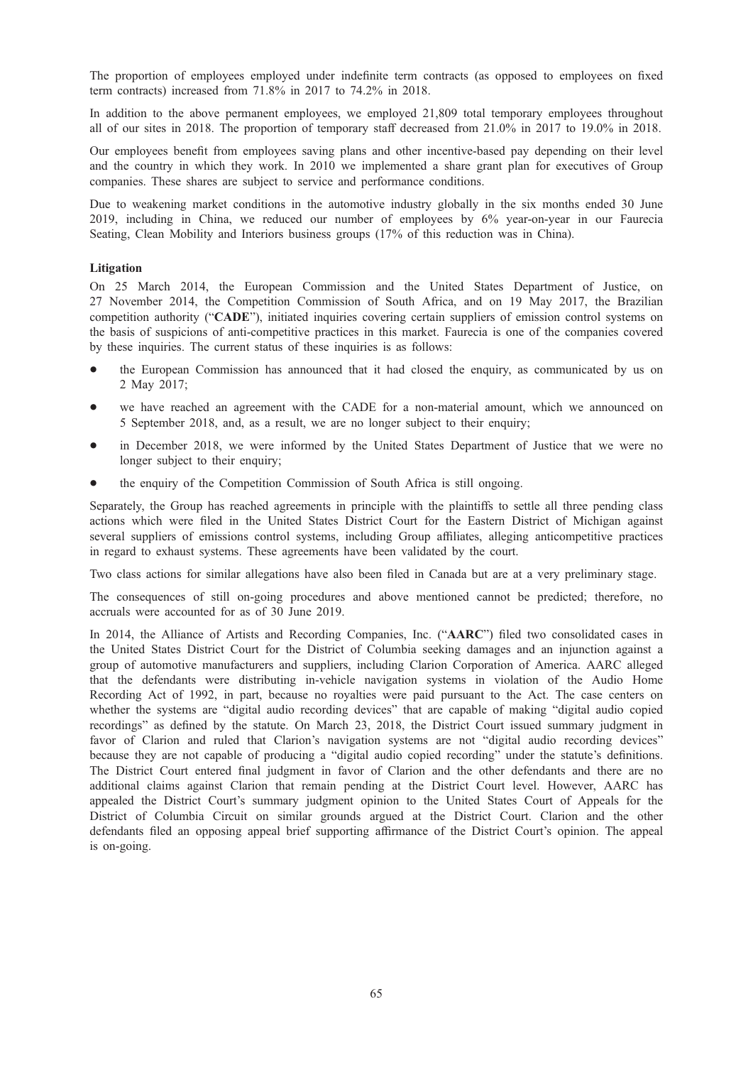The proportion of employees employed under indefinite term contracts (as opposed to employees on fixed term contracts) increased from 71.8% in 2017 to 74.2% in 2018.

In addition to the above permanent employees, we employed 21,809 total temporary employees throughout all of our sites in 2018. The proportion of temporary staff decreased from 21.0% in 2017 to 19.0% in 2018.

Our employees benefit from employees saving plans and other incentive-based pay depending on their level and the country in which they work. In 2010 we implemented a share grant plan for executives of Group companies. These shares are subject to service and performance conditions.

Due to weakening market conditions in the automotive industry globally in the six months ended 30 June 2019, including in China, we reduced our number of employees by 6% year-on-year in our Faurecia Seating, Clean Mobility and Interiors business groups (17% of this reduction was in China).

## Litigation

On 25 March 2014, the European Commission and the United States Department of Justice, on 27 November 2014, the Competition Commission of South Africa, and on 19 May 2017, the Brazilian competition authority ("CADE"), initiated inquiries covering certain suppliers of emission control systems on the basis of suspicions of anti-competitive practices in this market. Faurecia is one of the companies covered by these inquiries. The current status of these inquiries is as follows:

- the European Commission has announced that it had closed the enquiry, as communicated by us on 2 May 2017;
- we have reached an agreement with the CADE for a non-material amount, which we announced on 5 September 2018, and, as a result, we are no longer subject to their enquiry;
- in December 2018, we were informed by the United States Department of Justice that we were no longer subject to their enquiry;
- the enquiry of the Competition Commission of South Africa is still ongoing.

Separately, the Group has reached agreements in principle with the plaintiffs to settle all three pending class actions which were filed in the United States District Court for the Eastern District of Michigan against several suppliers of emissions control systems, including Group affiliates, alleging anticompetitive practices in regard to exhaust systems. These agreements have been validated by the court.

Two class actions for similar allegations have also been filed in Canada but are at a very preliminary stage.

The consequences of still on-going procedures and above mentioned cannot be predicted; therefore, no accruals were accounted for as of 30 June 2019.

In 2014, the Alliance of Artists and Recording Companies, Inc. ("AARC") filed two consolidated cases in the United States District Court for the District of Columbia seeking damages and an injunction against a group of automotive manufacturers and suppliers, including Clarion Corporation of America. AARC alleged that the defendants were distributing in-vehicle navigation systems in violation of the Audio Home Recording Act of 1992, in part, because no royalties were paid pursuant to the Act. The case centers on whether the systems are "digital audio recording devices" that are capable of making "digital audio copied recordings" as defined by the statute. On March 23, 2018, the District Court issued summary judgment in favor of Clarion and ruled that Clarion's navigation systems are not "digital audio recording devices" because they are not capable of producing a "digital audio copied recording" under the statute's definitions. The District Court entered final judgment in favor of Clarion and the other defendants and there are no additional claims against Clarion that remain pending at the District Court level. However, AARC has appealed the District Court's summary judgment opinion to the United States Court of Appeals for the District of Columbia Circuit on similar grounds argued at the District Court. Clarion and the other defendants filed an opposing appeal brief supporting affirmance of the District Court's opinion. The appeal is on-going.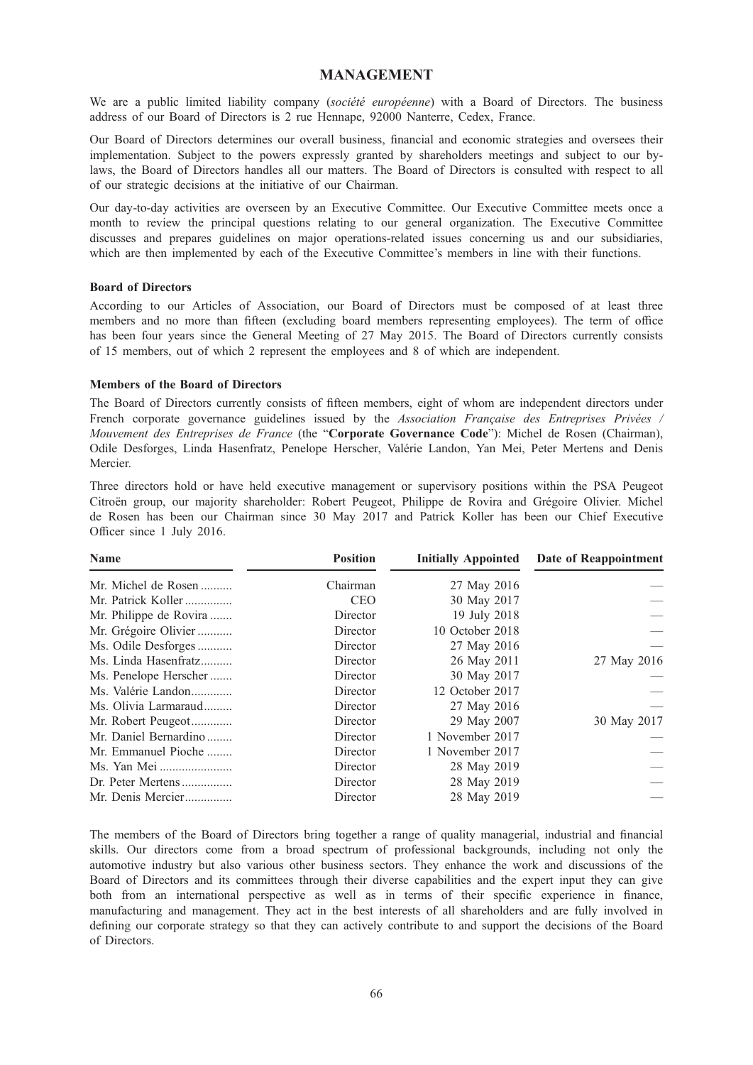## MANAGEMENT

We are a public limited liability company (société européenne) with a Board of Directors. The business address of our Board of Directors is 2 rue Hennape, 92000 Nanterre, Cedex, France.

Our Board of Directors determines our overall business, financial and economic strategies and oversees their implementation. Subject to the powers expressly granted by shareholders meetings and subject to our bylaws, the Board of Directors handles all our matters. The Board of Directors is consulted with respect to all of our strategic decisions at the initiative of our Chairman.

Our day-to-day activities are overseen by an Executive Committee. Our Executive Committee meets once a month to review the principal questions relating to our general organization. The Executive Committee discusses and prepares guidelines on major operations-related issues concerning us and our subsidiaries, which are then implemented by each of the Executive Committee's members in line with their functions.

## Board of Directors

According to our Articles of Association, our Board of Directors must be composed of at least three members and no more than fifteen (excluding board members representing employees). The term of office has been four years since the General Meeting of 27 May 2015. The Board of Directors currently consists of 15 members, out of which 2 represent the employees and 8 of which are independent.

# Members of the Board of Directors

The Board of Directors currently consists of fifteen members, eight of whom are independent directors under French corporate governance guidelines issued by the Association Française des Entreprises Privées / Mouvement des Entreprises de France (the "Corporate Governance Code"): Michel de Rosen (Chairman), Odile Desforges, Linda Hasenfratz, Penelope Herscher, Valérie Landon, Yan Mei, Peter Mertens and Denis Mercier.

Three directors hold or have held executive management or supervisory positions within the PSA Peugeot Citroën group, our majority shareholder: Robert Peugeot, Philippe de Rovira and Grégoire Olivier. Michel de Rosen has been our Chairman since 30 May 2017 and Patrick Koller has been our Chief Executive Officer since 1 July 2016.

| <b>Name</b>            | <b>Position</b><br><b>Initially Appointed</b> |                 | Date of Reappointment |  |  |
|------------------------|-----------------------------------------------|-----------------|-----------------------|--|--|
| Mr. Michel de Rosen    | Chairman                                      | 27 May 2016     |                       |  |  |
| Mr. Patrick Koller     | <b>CEO</b>                                    | 30 May 2017     |                       |  |  |
| Mr. Philippe de Rovira | Director                                      | 19 July 2018    |                       |  |  |
| Mr. Grégoire Olivier   | Director                                      | 10 October 2018 |                       |  |  |
| Ms. Odile Desforges    | Director                                      | 27 May 2016     |                       |  |  |
| Ms. Linda Hasenfratz   | Director                                      | 26 May 2011     | 27 May 2016           |  |  |
| Ms. Penelope Herscher  | Director                                      | 30 May 2017     |                       |  |  |
| Ms. Valérie Landon     | Director                                      | 12 October 2017 |                       |  |  |
| Ms. Olivia Larmaraud   | Director                                      | 27 May 2016     |                       |  |  |
| Mr. Robert Peugeot     | Director                                      | 29 May 2007     | 30 May 2017           |  |  |
| Mr. Daniel Bernardino  | Director                                      | 1 November 2017 |                       |  |  |
| Mr. Emmanuel Pioche    | Director                                      | 1 November 2017 |                       |  |  |
|                        | Director                                      | 28 May 2019     |                       |  |  |
| Dr. Peter Mertens      | Director                                      | 28 May 2019     |                       |  |  |
| Mr. Denis Mercier      | Director                                      | 28 May 2019     |                       |  |  |

The members of the Board of Directors bring together a range of quality managerial, industrial and financial skills. Our directors come from a broad spectrum of professional backgrounds, including not only the automotive industry but also various other business sectors. They enhance the work and discussions of the Board of Directors and its committees through their diverse capabilities and the expert input they can give both from an international perspective as well as in terms of their specific experience in finance, manufacturing and management. They act in the best interests of all shareholders and are fully involved in defining our corporate strategy so that they can actively contribute to and support the decisions of the Board of Directors.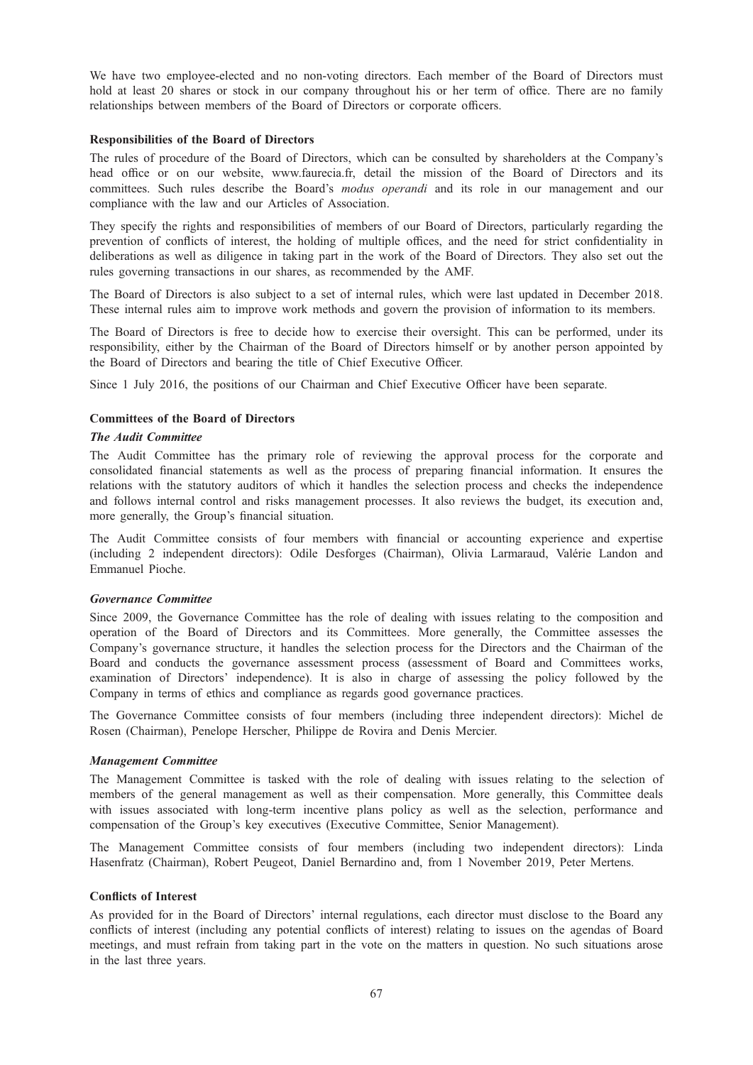We have two employee-elected and no non-voting directors. Each member of the Board of Directors must hold at least 20 shares or stock in our company throughout his or her term of office. There are no family relationships between members of the Board of Directors or corporate officers.

### Responsibilities of the Board of Directors

The rules of procedure of the Board of Directors, which can be consulted by shareholders at the Company's head office or on our website, www.faurecia.fr, detail the mission of the Board of Directors and its committees. Such rules describe the Board's modus operandi and its role in our management and our compliance with the law and our Articles of Association.

They specify the rights and responsibilities of members of our Board of Directors, particularly regarding the prevention of conflicts of interest, the holding of multiple offices, and the need for strict confidentiality in deliberations as well as diligence in taking part in the work of the Board of Directors. They also set out the rules governing transactions in our shares, as recommended by the AMF.

The Board of Directors is also subject to a set of internal rules, which were last updated in December 2018. These internal rules aim to improve work methods and govern the provision of information to its members.

The Board of Directors is free to decide how to exercise their oversight. This can be performed, under its responsibility, either by the Chairman of the Board of Directors himself or by another person appointed by the Board of Directors and bearing the title of Chief Executive Officer.

Since 1 July 2016, the positions of our Chairman and Chief Executive Officer have been separate.

## Committees of the Board of Directors

## The Audit Committee

The Audit Committee has the primary role of reviewing the approval process for the corporate and consolidated financial statements as well as the process of preparing financial information. It ensures the relations with the statutory auditors of which it handles the selection process and checks the independence and follows internal control and risks management processes. It also reviews the budget, its execution and, more generally, the Group's financial situation.

The Audit Committee consists of four members with financial or accounting experience and expertise (including 2 independent directors): Odile Desforges (Chairman), Olivia Larmaraud, Valérie Landon and Emmanuel Pioche.

### Governance Committee

Since 2009, the Governance Committee has the role of dealing with issues relating to the composition and operation of the Board of Directors and its Committees. More generally, the Committee assesses the Company's governance structure, it handles the selection process for the Directors and the Chairman of the Board and conducts the governance assessment process (assessment of Board and Committees works, examination of Directors' independence). It is also in charge of assessing the policy followed by the Company in terms of ethics and compliance as regards good governance practices.

The Governance Committee consists of four members (including three independent directors): Michel de Rosen (Chairman), Penelope Herscher, Philippe de Rovira and Denis Mercier.

### Management Committee

The Management Committee is tasked with the role of dealing with issues relating to the selection of members of the general management as well as their compensation. More generally, this Committee deals with issues associated with long-term incentive plans policy as well as the selection, performance and compensation of the Group's key executives (Executive Committee, Senior Management).

The Management Committee consists of four members (including two independent directors): Linda Hasenfratz (Chairman), Robert Peugeot, Daniel Bernardino and, from 1 November 2019, Peter Mertens.

## Conflicts of Interest

As provided for in the Board of Directors' internal regulations, each director must disclose to the Board any conflicts of interest (including any potential conflicts of interest) relating to issues on the agendas of Board meetings, and must refrain from taking part in the vote on the matters in question. No such situations arose in the last three years.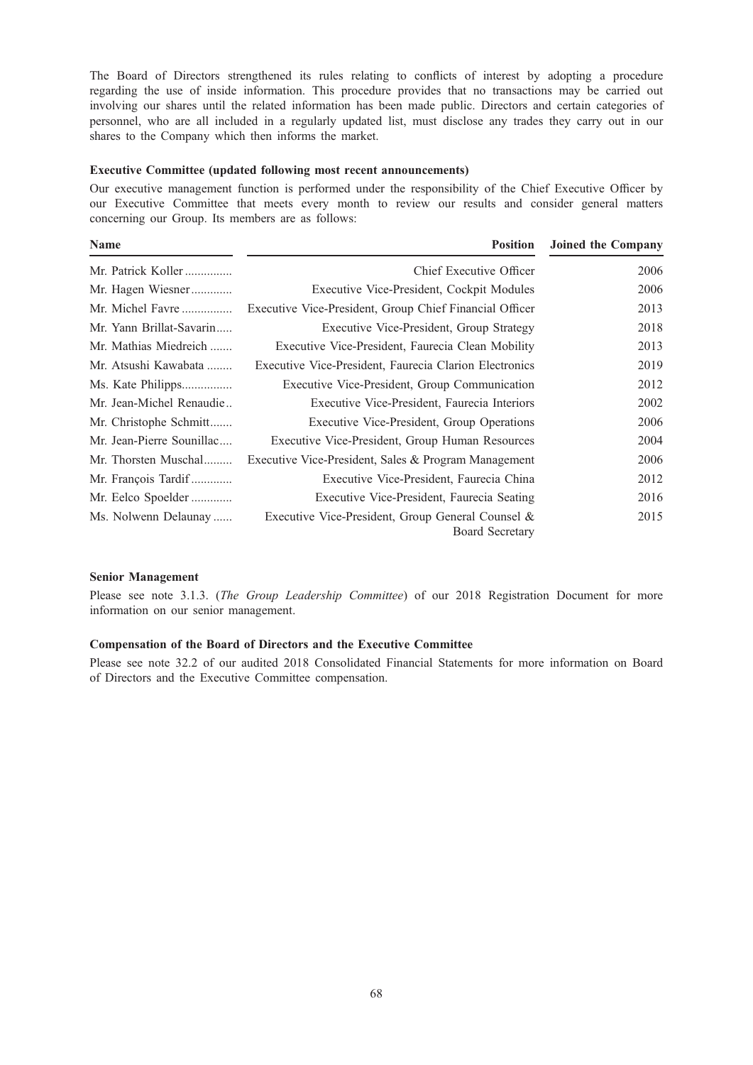The Board of Directors strengthened its rules relating to conflicts of interest by adopting a procedure regarding the use of inside information. This procedure provides that no transactions may be carried out involving our shares until the related information has been made public. Directors and certain categories of personnel, who are all included in a regularly updated list, must disclose any trades they carry out in our shares to the Company which then informs the market.

## Executive Committee (updated following most recent announcements)

Our executive management function is performed under the responsibility of the Chief Executive Officer by our Executive Committee that meets every month to review our results and consider general matters concerning our Group. Its members are as follows:

| Name                      | <b>Position</b>                                                             | <b>Joined the Company</b> |
|---------------------------|-----------------------------------------------------------------------------|---------------------------|
| Mr. Patrick Koller        | Chief Executive Officer                                                     | 2006                      |
| Mr. Hagen Wiesner         | Executive Vice-President, Cockpit Modules                                   | 2006                      |
| Mr. Michel Favre          | Executive Vice-President, Group Chief Financial Officer                     | 2013                      |
| Mr. Yann Brillat-Savarin  | Executive Vice-President, Group Strategy                                    | 2018                      |
| Mr. Mathias Miedreich     | Executive Vice-President, Faurecia Clean Mobility                           | 2013                      |
| Mr. Atsushi Kawabata      | Executive Vice-President, Faurecia Clarion Electronics                      | 2019                      |
| Ms. Kate Philipps         | Executive Vice-President, Group Communication                               | 2012                      |
| Mr. Jean-Michel Renaudie  | Executive Vice-President, Faurecia Interiors                                | 2002                      |
| Mr. Christophe Schmitt    | Executive Vice-President, Group Operations                                  | 2006                      |
| Mr. Jean-Pierre Sounillac | Executive Vice-President, Group Human Resources                             | 2004                      |
| Mr. Thorsten Muschal      | Executive Vice-President, Sales & Program Management                        | 2006                      |
| Mr. François Tardif       | Executive Vice-President, Faurecia China                                    | 2012                      |
| Mr. Eelco Spoelder        | Executive Vice-President, Faurecia Seating                                  | 2016                      |
| Ms. Nolwenn Delaunay      | Executive Vice-President, Group General Counsel &<br><b>Board Secretary</b> | 2015                      |

#### Senior Management

Please see note 3.1.3. (The Group Leadership Committee) of our 2018 Registration Document for more information on our senior management.

# Compensation of the Board of Directors and the Executive Committee

Please see note 32.2 of our audited 2018 Consolidated Financial Statements for more information on Board of Directors and the Executive Committee compensation.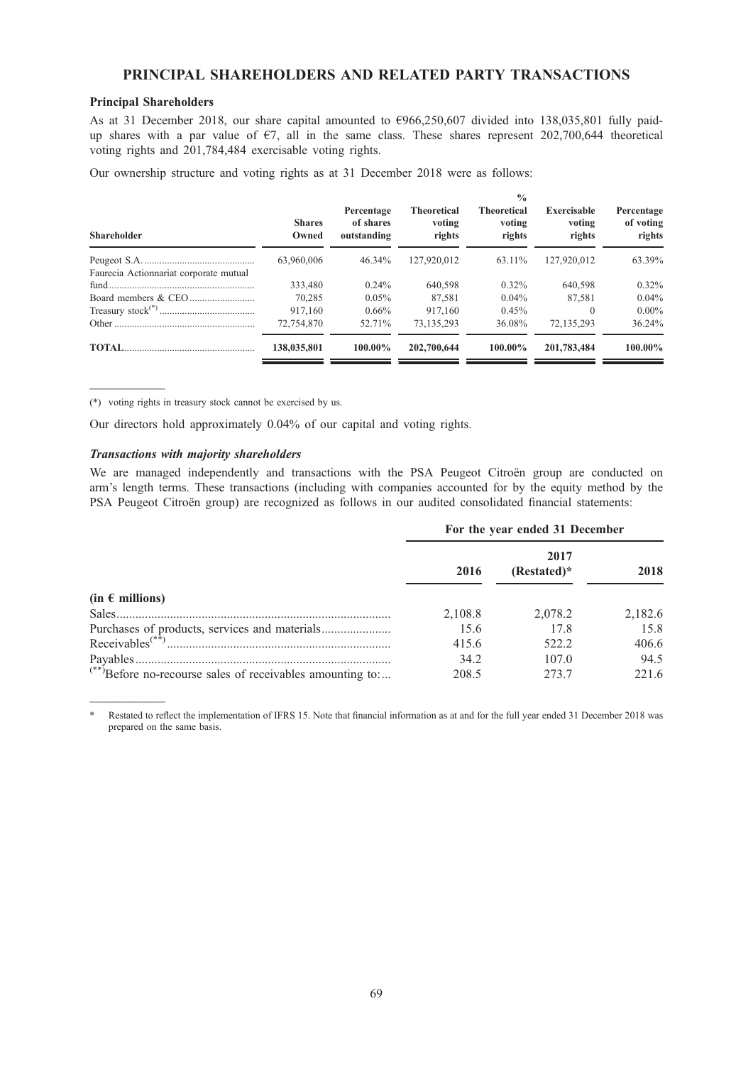# PRINCIPAL SHAREHOLDERS AND RELATED PARTY TRANSACTIONS

## Principal Shareholders

As at 31 December 2018, our share capital amounted to €966,250,607 divided into 138,035,801 fully paidup shares with a par value of  $\epsilon$ 7, all in the same class. These shares represent 202,700,644 theoretical voting rights and 201,784,484 exercisable voting rights.

Our ownership structure and voting rights as at 31 December 2018 were as follows:

| <b>Shareholder</b>                     | <b>Shares</b><br>Owned | Percentage<br>of shares<br>outstanding | <b>Theoretical</b><br>voting<br>rights | $\frac{0}{0}$<br><b>Theoretical</b><br>voting<br>rights | <b>Exercisable</b><br>voting<br>rights | Percentage<br>of voting<br>rights |
|----------------------------------------|------------------------|----------------------------------------|----------------------------------------|---------------------------------------------------------|----------------------------------------|-----------------------------------|
|                                        | 63,960,006             | 46.34%                                 | 127,920,012                            | 63.11%                                                  | 127,920,012                            | 63.39%                            |
| Faurecia Actionnariat corporate mutual |                        |                                        |                                        |                                                         |                                        |                                   |
|                                        | 333,480                | $0.24\%$                               | 640,598                                | $0.32\%$                                                | 640,598                                | $0.32\%$                          |
|                                        | 70.285                 | $0.05\%$                               | 87.581                                 | $0.04\%$                                                | 87.581                                 | $0.04\%$                          |
|                                        | 917,160                | $0.66\%$                               | 917,160                                | 0.45%                                                   | $\theta$                               | $0.00\%$                          |
|                                        | 72,754,870             | 52.71%                                 | 73,135,293                             | 36.08%                                                  | 72.135.293                             | 36.24%                            |
|                                        | 138,035,801            | $100.00\%$                             | 202,700,644                            | $100.00\%$                                              | 201,783,484                            | $100.00\%$                        |

————— (\*) voting rights in treasury stock cannot be exercised by us.

Our directors hold approximately 0.04% of our capital and voting rights.

### Transactions with majority shareholders

We are managed independently and transactions with the PSA Peugeot Citroën group are conducted on arm's length terms. These transactions (including with companies accounted for by the equity method by the PSA Peugeot Citroën group) are recognized as follows in our audited consolidated financial statements:

|                                                                       | For the year ended 31 December |                     |         |  |  |
|-----------------------------------------------------------------------|--------------------------------|---------------------|---------|--|--|
|                                                                       | 2016                           | 2017<br>(Restated)* | 2018    |  |  |
| $(in \in millions)$                                                   |                                |                     |         |  |  |
|                                                                       | 2,108.8                        | 2,078.2             | 2,182.6 |  |  |
|                                                                       | 15.6                           | 17.8                | 15.8    |  |  |
| Receivables <sup><math>(**)</math></sup>                              | 415.6                          | 522.2               | 406.6   |  |  |
|                                                                       | 34.2                           | 107.0               | 94.5    |  |  |
| <sup>(**)</sup> Before no-recourse sales of receivables amounting to: | 208.5                          | 2.73.7              | 221.6   |  |  |

<sup>—————</sup> Restated to reflect the implementation of IFRS 15. Note that financial information as at and for the full year ended 31 December 2018 was prepared on the same basis.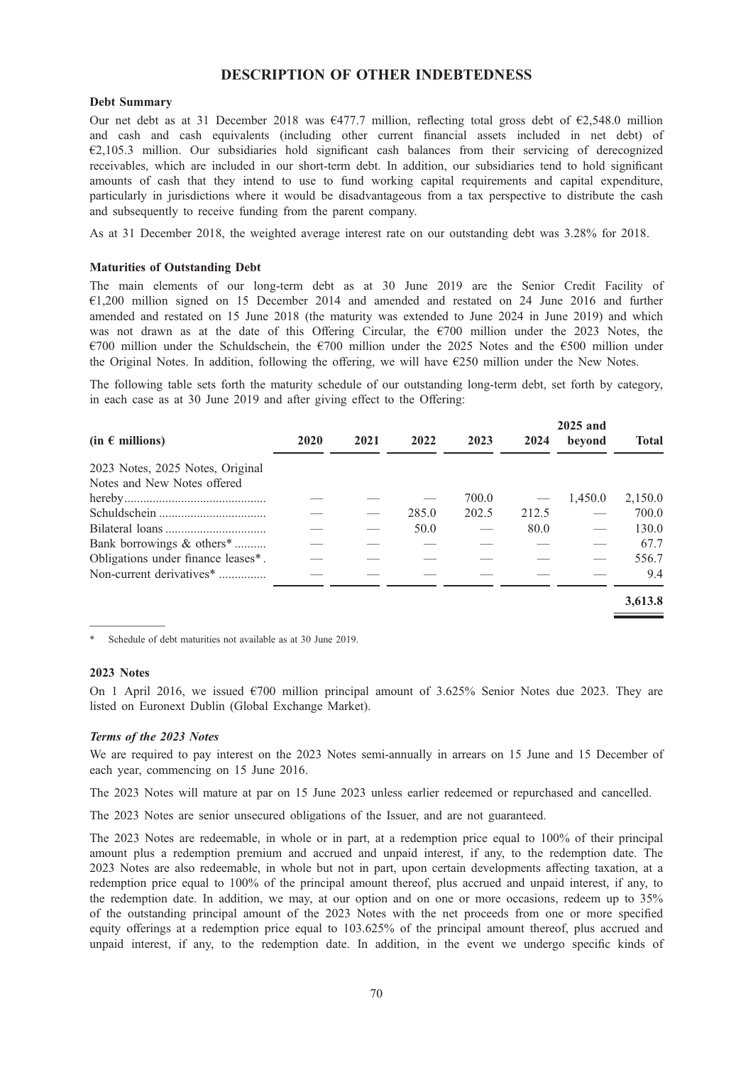# DESCRIPTION OF OTHER INDEBTEDNESS

### Debt Summary

Our net debt as at 31 December 2018 was  $\epsilon$ 477.7 million, reflecting total gross debt of  $\epsilon$ 2,548.0 million and cash and cash equivalents (including other current financial assets included in net debt) of €2,105.3 million. Our subsidiaries hold significant cash balances from their servicing of derecognized receivables, which are included in our short-term debt. In addition, our subsidiaries tend to hold significant amounts of cash that they intend to use to fund working capital requirements and capital expenditure, particularly in jurisdictions where it would be disadvantageous from a tax perspective to distribute the cash and subsequently to receive funding from the parent company.

As at 31 December 2018, the weighted average interest rate on our outstanding debt was 3.28% for 2018.

### Maturities of Outstanding Debt

The main elements of our long-term debt as at 30 June 2019 are the Senior Credit Facility of €1,200 million signed on 15 December 2014 and amended and restated on 24 June 2016 and further amended and restated on 15 June 2018 (the maturity was extended to June 2024 in June 2019) and which was not drawn as at the date of this Offering Circular, the  $\epsilon$ 700 million under the 2023 Notes, the €700 million under the Schuldschein, the €700 million under the 2025 Notes and the €500 million under the Original Notes. In addition, following the offering, we will have €250 million under the New Notes.

The following table sets forth the maturity schedule of our outstanding long-term debt, set forth by category, in each case as at 30 June 2019 and after giving effect to the Offering:

|                                       |      |      |       |       |       | 2025 and |              |
|---------------------------------------|------|------|-------|-------|-------|----------|--------------|
| $(in \in millions)$                   | 2020 | 2021 | 2022  | 2023  | 2024  | bevond   | <b>Total</b> |
| 2023 Notes, 2025 Notes, Original      |      |      |       |       |       |          |              |
| Notes and New Notes offered           |      |      |       |       |       |          |              |
|                                       |      |      |       | 700.0 |       | 1,450.0  | 2,150.0      |
|                                       |      |      | 285.0 | 202.5 | 212.5 |          | 700.0        |
|                                       |      |      | 50.0  |       | 80.0  |          | 130.0        |
| Bank borrowings & others <sup>*</sup> |      |      |       |       |       |          | 67.7         |
| Obligations under finance leases*.    |      |      |       |       |       |          | 556.7        |
| Non-current derivatives <sup>*</sup>  |      |      |       |       |       |          | 9.4          |
|                                       |      |      |       |       |       |          | 3,613.8      |

————— Schedule of debt maturities not available as at 30 June 2019.

### 2023 Notes

On 1 April 2016, we issued  $\epsilon$ 700 million principal amount of 3.625% Senior Notes due 2023. They are listed on Euronext Dublin (Global Exchange Market).

### Terms of the 2023 Notes

We are required to pay interest on the 2023 Notes semi-annually in arrears on 15 June and 15 December of each year, commencing on 15 June 2016.

The 2023 Notes will mature at par on 15 June 2023 unless earlier redeemed or repurchased and cancelled.

The 2023 Notes are senior unsecured obligations of the Issuer, and are not guaranteed.

The 2023 Notes are redeemable, in whole or in part, at a redemption price equal to 100% of their principal amount plus a redemption premium and accrued and unpaid interest, if any, to the redemption date. The 2023 Notes are also redeemable, in whole but not in part, upon certain developments affecting taxation, at a redemption price equal to 100% of the principal amount thereof, plus accrued and unpaid interest, if any, to the redemption date. In addition, we may, at our option and on one or more occasions, redeem up to 35% of the outstanding principal amount of the 2023 Notes with the net proceeds from one or more specified equity offerings at a redemption price equal to 103.625% of the principal amount thereof, plus accrued and unpaid interest, if any, to the redemption date. In addition, in the event we undergo specific kinds of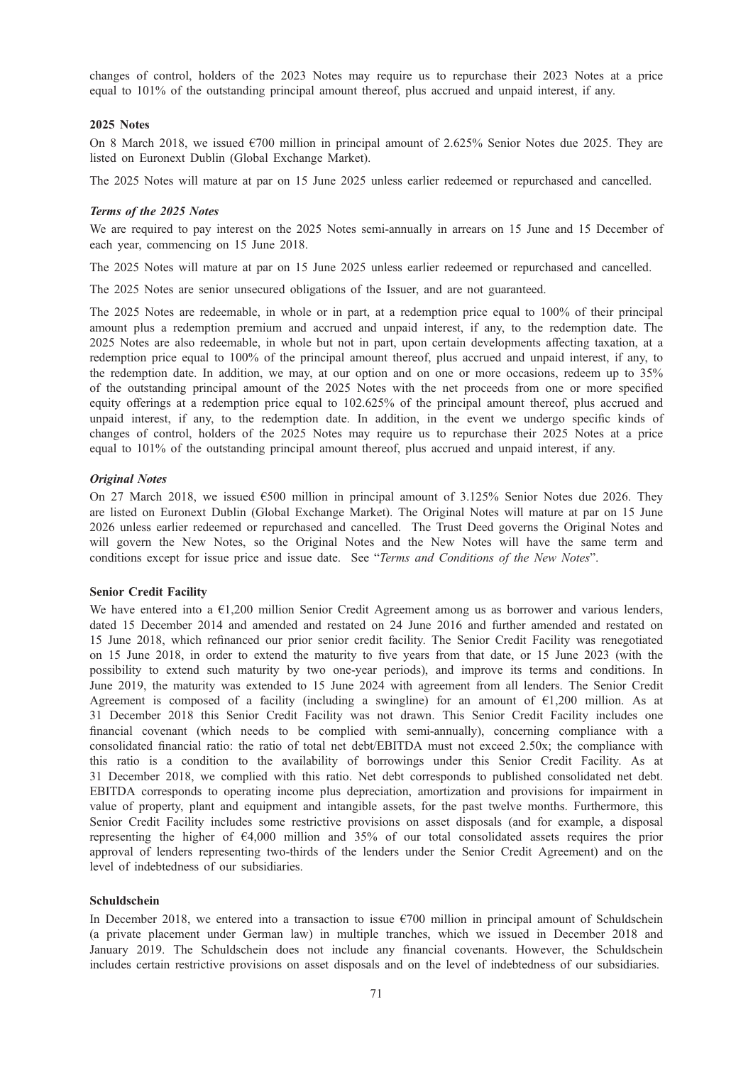changes of control, holders of the 2023 Notes may require us to repurchase their 2023 Notes at a price equal to 101% of the outstanding principal amount thereof, plus accrued and unpaid interest, if any.

### 2025 Notes

On 8 March 2018, we issued  $\epsilon$ 700 million in principal amount of 2.625% Senior Notes due 2025. They are listed on Euronext Dublin (Global Exchange Market).

The 2025 Notes will mature at par on 15 June 2025 unless earlier redeemed or repurchased and cancelled.

#### Terms of the 2025 Notes

We are required to pay interest on the 2025 Notes semi-annually in arrears on 15 June and 15 December of each year, commencing on 15 June 2018.

The 2025 Notes will mature at par on 15 June 2025 unless earlier redeemed or repurchased and cancelled.

The 2025 Notes are senior unsecured obligations of the Issuer, and are not guaranteed.

The 2025 Notes are redeemable, in whole or in part, at a redemption price equal to 100% of their principal amount plus a redemption premium and accrued and unpaid interest, if any, to the redemption date. The 2025 Notes are also redeemable, in whole but not in part, upon certain developments affecting taxation, at a redemption price equal to 100% of the principal amount thereof, plus accrued and unpaid interest, if any, to the redemption date. In addition, we may, at our option and on one or more occasions, redeem up to 35% of the outstanding principal amount of the 2025 Notes with the net proceeds from one or more specified equity offerings at a redemption price equal to 102.625% of the principal amount thereof, plus accrued and unpaid interest, if any, to the redemption date. In addition, in the event we undergo specific kinds of changes of control, holders of the 2025 Notes may require us to repurchase their 2025 Notes at a price equal to 101% of the outstanding principal amount thereof, plus accrued and unpaid interest, if any.

#### Original Notes

On 27 March 2018, we issued  $6500$  million in principal amount of 3.125% Senior Notes due 2026. They are listed on Euronext Dublin (Global Exchange Market). The Original Notes will mature at par on 15 June 2026 unless earlier redeemed or repurchased and cancelled. The Trust Deed governs the Original Notes and will govern the New Notes, so the Original Notes and the New Notes will have the same term and conditions except for issue price and issue date. See "Terms and Conditions of the New Notes".

#### Senior Credit Facility

We have entered into a €1,200 million Senior Credit Agreement among us as borrower and various lenders, dated 15 December 2014 and amended and restated on 24 June 2016 and further amended and restated on 15 June 2018, which refinanced our prior senior credit facility. The Senior Credit Facility was renegotiated on 15 June 2018, in order to extend the maturity to five years from that date, or 15 June 2023 (with the possibility to extend such maturity by two one-year periods), and improve its terms and conditions. In June 2019, the maturity was extended to 15 June 2024 with agreement from all lenders. The Senior Credit Agreement is composed of a facility (including a swingline) for an amount of  $\epsilon$ 1,200 million. As at 31 December 2018 this Senior Credit Facility was not drawn. This Senior Credit Facility includes one financial covenant (which needs to be complied with semi-annually), concerning compliance with a consolidated financial ratio: the ratio of total net debt/EBITDA must not exceed 2.50x; the compliance with this ratio is a condition to the availability of borrowings under this Senior Credit Facility. As at 31 December 2018, we complied with this ratio. Net debt corresponds to published consolidated net debt. EBITDA corresponds to operating income plus depreciation, amortization and provisions for impairment in value of property, plant and equipment and intangible assets, for the past twelve months. Furthermore, this Senior Credit Facility includes some restrictive provisions on asset disposals (and for example, a disposal representing the higher of €4,000 million and 35% of our total consolidated assets requires the prior approval of lenders representing two-thirds of the lenders under the Senior Credit Agreement) and on the level of indebtedness of our subsidiaries.

#### Schuldschein

In December 2018, we entered into a transaction to issue  $\epsilon$ 700 million in principal amount of Schuldschein (a private placement under German law) in multiple tranches, which we issued in December 2018 and January 2019. The Schuldschein does not include any financial covenants. However, the Schuldschein includes certain restrictive provisions on asset disposals and on the level of indebtedness of our subsidiaries.